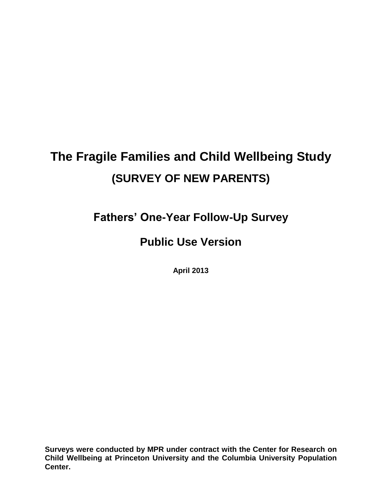# **The Fragile Families and Child Wellbeing Study (SURVEY OF NEW PARENTS)**

**Fathers' One-Year Follow-Up Survey**

# **Public Use Version**

**April 2013**

**Surveys were conducted by MPR under contract with the Center for Research on Child Wellbeing at Princeton University and the Columbia University Population Center.**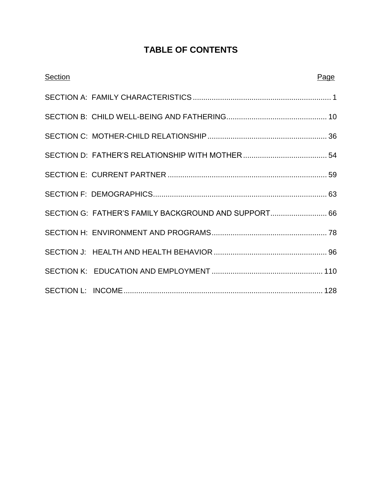# **TABLE OF CONTENTS**

| <b>Section</b> |                                                      | Page |
|----------------|------------------------------------------------------|------|
|                |                                                      |      |
|                |                                                      |      |
|                |                                                      |      |
|                |                                                      |      |
|                |                                                      |      |
|                |                                                      |      |
|                | SECTION G: FATHER'S FAMILY BACKGROUND AND SUPPORT 66 |      |
|                |                                                      |      |
|                |                                                      |      |
|                |                                                      |      |
|                |                                                      |      |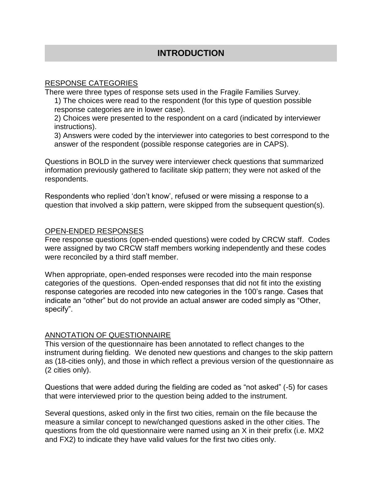# **INTRODUCTION**

#### RESPONSE CATEGORIES

There were three types of response sets used in the Fragile Families Survey.

1) The choices were read to the respondent (for this type of question possible response categories are in lower case).

2) Choices were presented to the respondent on a card (indicated by interviewer instructions).

3) Answers were coded by the interviewer into categories to best correspond to the answer of the respondent (possible response categories are in CAPS).

Questions in BOLD in the survey were interviewer check questions that summarized information previously gathered to facilitate skip pattern; they were not asked of the respondents.

Respondents who replied 'don't know', refused or were missing a response to a question that involved a skip pattern, were skipped from the subsequent question(s).

#### OPEN-ENDED RESPONSES

Free response questions (open-ended questions) were coded by CRCW staff. Codes were assigned by two CRCW staff members working independently and these codes were reconciled by a third staff member.

When appropriate, open-ended responses were recoded into the main response categories of the questions. Open-ended responses that did not fit into the existing response categories are recoded into new categories in the 100's range. Cases that indicate an "other" but do not provide an actual answer are coded simply as "Other, specify".

#### ANNOTATION OF QUESTIONNAIRE

This version of the questionnaire has been annotated to reflect changes to the instrument during fielding. We denoted new questions and changes to the skip pattern as (18-cities only), and those in which reflect a previous version of the questionnaire as (2 cities only).

Questions that were added during the fielding are coded as "not asked" (-5) for cases that were interviewed prior to the question being added to the instrument.

Several questions, asked only in the first two cities, remain on the file because the measure a similar concept to new/changed questions asked in the other cities. The questions from the old questionnaire were named using an X in their prefix (i.e. MX2 and FX2) to indicate they have valid values for the first two cities only.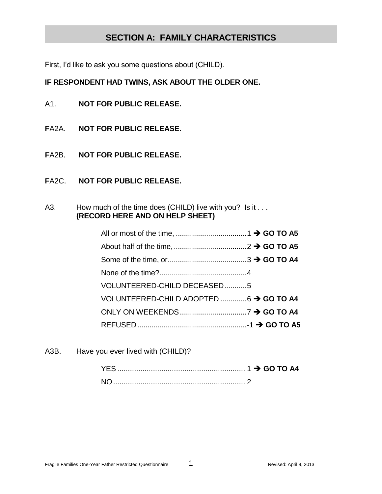# **SECTION A: FAMILY CHARACTERISTICS**

First, I'd like to ask you some questions about (CHILD).

#### **IF RESPONDENT HAD TWINS, ASK ABOUT THE OLDER ONE.**

- A1. **NOT FOR PUBLIC RELEASE.**
- **F**A2A. **NOT FOR PUBLIC RELEASE.**
- **F**A2B. **NOT FOR PUBLIC RELEASE.**
- **F**A2C. **NOT FOR PUBLIC RELEASE.**
- A3. How much of the time does (CHILD) live with you? Is it . . . **(RECORD HERE AND ON HELP SHEET)**

| VOLUNTEERED-CHILD DECEASED5             |  |
|-----------------------------------------|--|
| VOLUNTEERED-CHILD ADOPTED  6 → GO TO A4 |  |
|                                         |  |
|                                         |  |

A3B. Have you ever lived with (CHILD)?

| <b>NC</b> |  |
|-----------|--|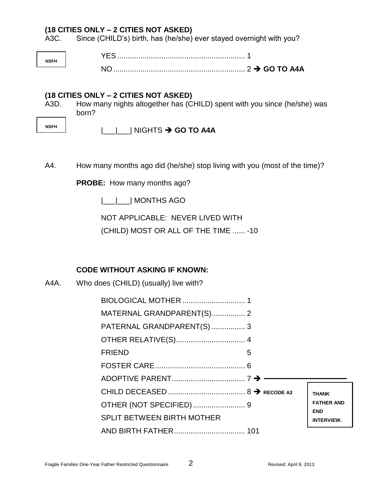A3C. Since (CHILD's) birth, has (he/she) ever stayed overnight with you?

**NSFH** YES ............................................................. 1 NO............................................................... 2 **GO TO A4A**

#### **(18 CITIES ONLY – 2 CITIES NOT ASKED)**

A3D. How many nights altogether has (CHILD) spent with you since (he/she) was born?

**NSFH**

# |\_\_\_|\_\_\_| NIGHTS  $\rightarrow$  GO TO A4A

A4. How many months ago did (he/she) stop living with you (most of the time)?

**PROBE:** How many months ago?

|\_\_\_|\_\_\_| MONTHS AGO

NOT APPLICABLE: NEVER LIVED WITH

(CHILD) MOST OR ALL OF THE TIME ...... -10

# **CODE WITHOUT ASKING IF KNOWN:**

A4A. Who does (CHILD) (usually) live with?

| MATERNAL GRANDPARENT(S) 2         |   |                                 |
|-----------------------------------|---|---------------------------------|
| PATERNAL GRANDPARENT(S)  3        |   |                                 |
|                                   |   |                                 |
| <b>FRIEND</b>                     | 5 |                                 |
|                                   |   |                                 |
|                                   |   |                                 |
|                                   |   | <b>THANK</b>                    |
|                                   |   | <b>FATHER AND</b><br><b>END</b> |
| <b>SPLIT BETWEEN BIRTH MOTHER</b> |   | <b>INTERVIEW.</b>               |
|                                   |   |                                 |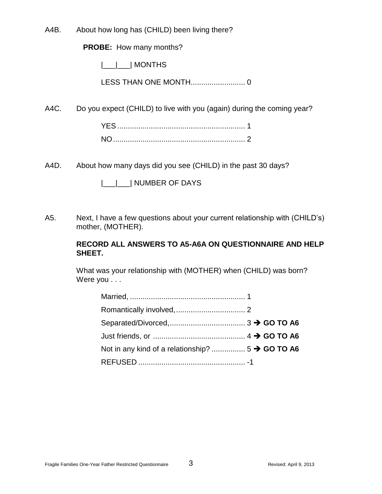A4B. About how long has (CHILD) been living there?

**PROBE:** How many months?

|\_\_\_|\_\_\_| MONTHS

LESS THAN ONE MONTH.......................... 0

A4C. Do you expect (CHILD) to live with you (again) during the coming year?

A4D. About how many days did you see (CHILD) in the past 30 days?

|  | <b>INUMBER OF DAYS</b> |  |
|--|------------------------|--|
|--|------------------------|--|

A5. Next, I have a few questions about your current relationship with (CHILD's) mother, (MOTHER).

#### **RECORD ALL ANSWERS TO A5-A6A ON QUESTIONNAIRE AND HELP SHEET.**

What was your relationship with (MOTHER) when (CHILD) was born? Were you . . .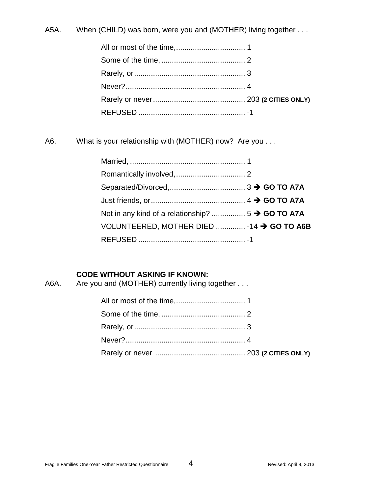A5A. When (CHILD) was born, were you and (MOTHER) living together . . .

A6. What is your relationship with (MOTHER) now? Are you . . .

| VOLUNTEERED, MOTHER DIED  -14 → GO TO A6B |  |
|-------------------------------------------|--|
|                                           |  |

# **CODE WITHOUT ASKING IF KNOWN:**

A6A. Are you and (MOTHER) currently living together . . .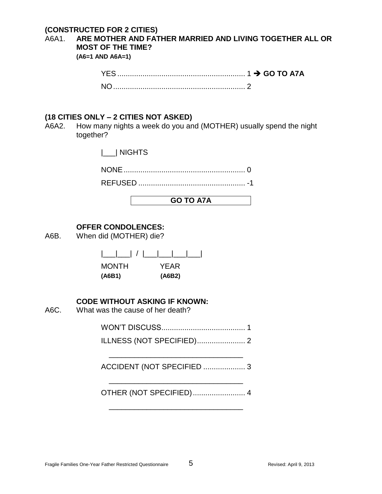#### **(CONSTRUCTED FOR 2 CITIES)**

A6A1. **ARE MOTHER AND FATHER MARRIED AND LIVING TOGETHER ALL OR MOST OF THE TIME?** 

**(A6=1 AND A6A=1)**

| $NO1$ . |  |
|---------|--|

#### **(18 CITIES ONLY – 2 CITIES NOT ASKED)**

A6A2. How many nights a week do you and (MOTHER) usually spend the night together?

|\_\_\_| NIGHTS

|--|--|

REFUSED ................................................... -1

#### **GO TO A7A**

#### **OFFER CONDOLENCES:**

A6B. When did (MOTHER) die?

| $\Box$ / $\Box$ | - 11 - |
|-----------------|--------|
| <b>MONTH</b>    | YEAR   |
| (A6B1)          | (A6B2) |

#### **CODE WITHOUT ASKING IF KNOWN:**

A6C. What was the cause of her death?

# WON'T DISCUSS........................................ 1

ILLNESS (NOT SPECIFIED)....................... 2

\_\_\_\_\_\_\_\_\_\_\_\_\_\_\_\_\_\_\_\_\_\_\_\_\_\_\_\_\_\_\_\_ ACCIDENT (NOT SPECIFIED .................... 3

\_\_\_\_\_\_\_\_\_\_\_\_\_\_\_\_\_\_\_\_\_\_\_\_\_\_\_\_\_\_\_\_

OTHER (NOT SPECIFIED)......................... 4

\_\_\_\_\_\_\_\_\_\_\_\_\_\_\_\_\_\_\_\_\_\_\_\_\_\_\_\_\_\_\_\_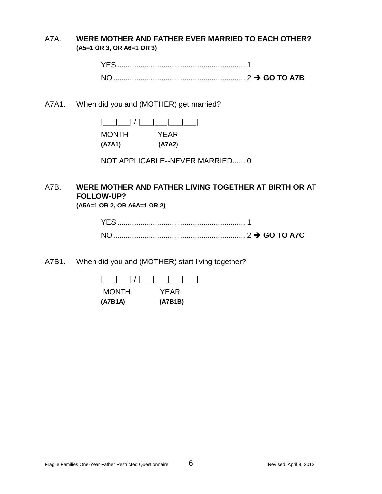A7A. **WERE MOTHER AND FATHER EVER MARRIED TO EACH OTHER? (A5=1 OR 3, OR A6=1 OR 3)**

> YES ............................................................. 1 NO............................................................... 2 **GO TO A7B**

A7A1. When did you and (MOTHER) get married?

|\_\_\_|\_\_\_| / |\_\_\_|\_\_\_|\_\_\_|\_\_\_| MONTH YEAR **(A7A1) (A7A2)**

NOT APPLICABLE--NEVER MARRIED...... 0

# A7B. **WERE MOTHER AND FATHER LIVING TOGETHER AT BIRTH OR AT FOLLOW-UP?**

**(A5A=1 OR 2, OR A6A=1 OR 2)**

| <b>ACCESSION CONTROLS TO ATE AND TO ATE ACCESSION CONTROL</b> 2 → GO TO ATC |  |
|-----------------------------------------------------------------------------|--|

A7B1. When did you and (MOTHER) start living together?

| $\Box U$ |         |
|----------|---------|
| MONTH    | YFAR    |
| (A7B1A)  | (A7B1B) |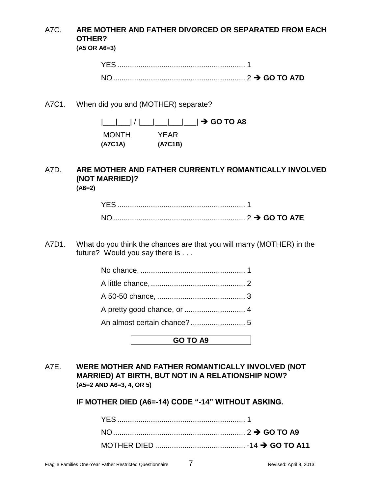# A7C. **ARE MOTHER AND FATHER DIVORCED OR SEPARATED FROM EACH OTHER?**

**(A5 OR A6=3)**

| YES.            |  |  |
|-----------------|--|--|
| NO <sub>2</sub> |  |  |

A7C1. When did you and (MOTHER) separate?

|\_\_\_|\_\_\_| / |\_\_\_|\_\_\_|\_\_\_|\_\_\_| **GO TO A8** MONTH YEAR **(A7C1A) (A7C1B)**

#### A7D. **ARE MOTHER AND FATHER CURRENTLY ROMANTICALLY INVOLVED (NOT MARRIED)? (A6=2)**

| YES. |  |  |  |
|------|--|--|--|
| NΩ   |  |  |  |

A7D1. What do you think the chances are that you will marry (MOTHER) in the future? Would you say there is . . .

**GO TO A9**

A7E. **WERE MOTHER AND FATHER ROMANTICALLY INVOLVED (NOT MARRIED) AT BIRTH, BUT NOT IN A RELATIONSHIP NOW? (A5=2 AND A6=3, 4, OR 5)**

**IF MOTHER DIED (A6=-14) CODE "-14" WITHOUT ASKING.**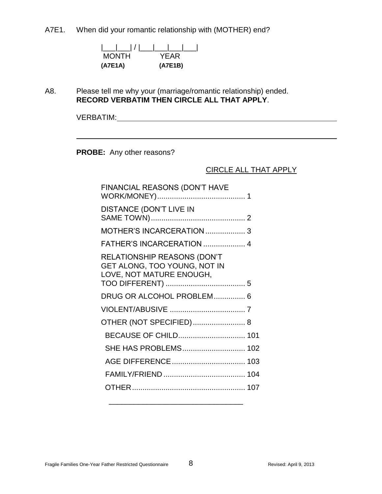A7E1. When did your romantic relationship with (MOTHER) end?

| $\lfloor \underline{\qquad} \rfloor / \lfloor$ |         |
|------------------------------------------------|---------|
| <b>MONTH</b>                                   | YFAR    |
| (A7E1A)                                        | (A7E1B) |

A8. Please tell me why your (marriage/romantic relationship) ended. **RECORD VERBATIM THEN CIRCLE ALL THAT APPLY**.

VERBATIM:

**PROBE:** Any other reasons?

#### CIRCLE ALL THAT APPLY

| FINANCIAL REASONS (DON'T HAVE                                                                  |  |
|------------------------------------------------------------------------------------------------|--|
| <b>DISTANCE (DON'T LIVE IN</b>                                                                 |  |
| MOTHER'S INCARCERATION  3                                                                      |  |
| FATHER'S INCARCERATION  4                                                                      |  |
| <b>RELATIONSHIP REASONS (DON'T</b><br>GET ALONG, TOO YOUNG, NOT IN<br>LOVE, NOT MATURE ENOUGH, |  |
| DRUG OR ALCOHOL PROBLEM 6                                                                      |  |
|                                                                                                |  |
| OTHER (NOT SPECIFIED) 8                                                                        |  |
| BECAUSE OF CHILD 101                                                                           |  |
| SHE HAS PROBLEMS 102                                                                           |  |
|                                                                                                |  |
|                                                                                                |  |
|                                                                                                |  |
|                                                                                                |  |

\_\_\_\_\_\_\_\_\_\_\_\_\_\_\_\_\_\_\_\_\_\_\_\_\_\_\_\_\_\_\_\_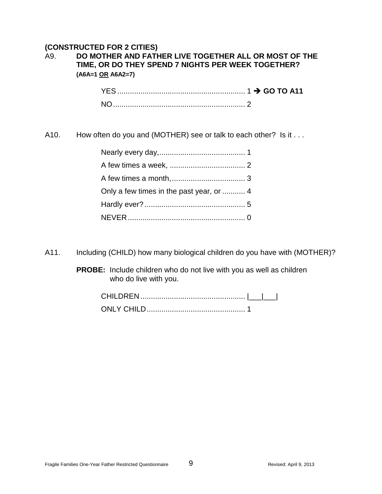#### **(CONSTRUCTED FOR 2 CITIES)**

# A9. **DO MOTHER AND FATHER LIVE TOGETHER ALL OR MOST OF THE TIME, OR DO THEY SPEND 7 NIGHTS PER WEEK TOGETHER? (A6A=1 OR A6A2=7)**

A10. How often do you and (MOTHER) see or talk to each other? Is it . . .

| Only a few times in the past year, or  4 |  |
|------------------------------------------|--|
|                                          |  |
|                                          |  |

A11. Including (CHILD) how many biological children do you have with (MOTHER)?

**PROBE:** Include children who do not live with you as well as children who do live with you.

| CHILDREN |  |
|----------|--|
|          |  |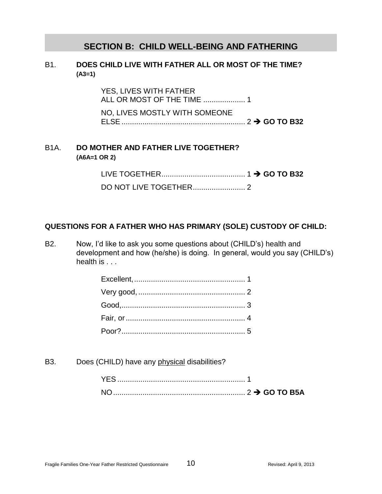# **SECTION B: CHILD WELL-BEING AND FATHERING**

#### B1. **DOES CHILD LIVE WITH FATHER ALL OR MOST OF THE TIME? (A3=1)**

YES, LIVES WITH FATHER ALL OR MOST OF THE TIME .................... 1 NO, LIVES MOSTLY WITH SOMEONE ELSE ........................................................... 2 **GO TO B32**

#### B1A. **DO MOTHER AND FATHER LIVE TOGETHER? (A6A=1 OR 2)**

LIVE TOGETHER........................................ 1 **GO TO B32** DO NOT LIVE TOGETHER......................... 2

# **QUESTIONS FOR A FATHER WHO HAS PRIMARY (SOLE) CUSTODY OF CHILD:**

B2. Now, I'd like to ask you some questions about (CHILD's) health and development and how (he/she) is doing. In general, would you say (CHILD's) health is . . .

B3. Does (CHILD) have any physical disabilities?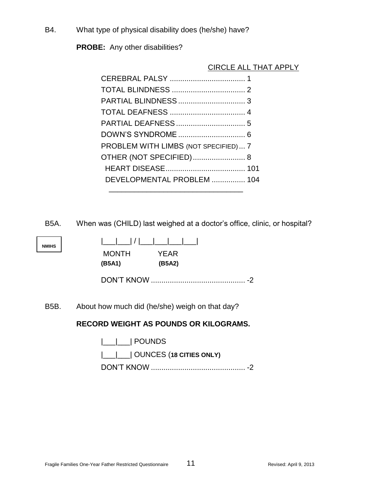B4. What type of physical disability does (he/she) have?

**PROBE:** Any other disabilities?

# CIRCLE ALL THAT APPLY

| PROBLEM WITH LIMBS (NOT SPECIFIED) 7 |  |
|--------------------------------------|--|
| OTHER (NOT SPECIFIED) 8              |  |
|                                      |  |
| DEVELOPMENTAL PROBLEM  104           |  |
|                                      |  |

B5A. When was (CHILD) last weighed at a doctor's office, clinic, or hospital?

| NMIHS |  |
|-------|--|
|       |  |

| $\lfloor$ $\lfloor$ $\rfloor$ $\lfloor$ $\rfloor$ $\lfloor$ $\lfloor$ $\rfloor$ |             |
|---------------------------------------------------------------------------------|-------------|
| <b>MONTH</b>                                                                    | <b>YEAR</b> |
| (B5A1)                                                                          | (B5A2)      |

DON'T KNOW ............................................. -2

B5B. About how much did (he/she) weigh on that day?

# **RECORD WEIGHT AS POUNDS OR KILOGRAMS.**

| $ \_\_\_\ $ POUNDS                        |
|-------------------------------------------|
| $ \_\_\_\_\_\_\ $ OUNCES (18 CITIES ONLY) |
|                                           |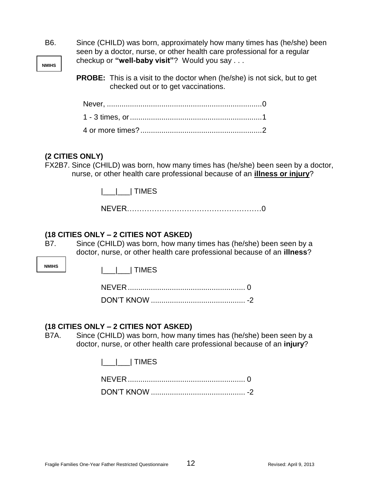| B6.                 | Since (CHILD) was born, approximately how many times has (he/she) been<br>seen by a doctor, nurse, or other health care professional for a regular                                                     |
|---------------------|--------------------------------------------------------------------------------------------------------------------------------------------------------------------------------------------------------|
| <b>NMIHS</b>        | checkup or "well-baby visit"? Would you say                                                                                                                                                            |
|                     | <b>PROBE:</b> This is a visit to the doctor when (he/she) is not sick, but to get<br>checked out or to get vaccinations.                                                                               |
|                     |                                                                                                                                                                                                        |
|                     |                                                                                                                                                                                                        |
|                     |                                                                                                                                                                                                        |
|                     | (2 CITIES ONLY)<br>FX2B7. Since (CHILD) was born, how many times has (he/she) been seen by a doctor,<br>nurse, or other health care professional because of an illness or injury?                      |
|                     | TIMES                                                                                                                                                                                                  |
|                     |                                                                                                                                                                                                        |
| B7.<br><b>NMIHS</b> | (18 CITIES ONLY – 2 CITIES NOT ASKED)<br>Since (CHILD) was born, how many times has (he/she) been seen by a<br>doctor, nurse, or other health care professional because of an illness?<br><b>TIMES</b> |
| <b>B7A.</b>         | (18 CITIES ONLY – 2 CITIES NOT ASKED)<br>Since (CHILD) was born, how many times has (he/she) been seen by a<br>doctor, nurse, or other health care professional because of an injury?<br><b>TIMES</b>  |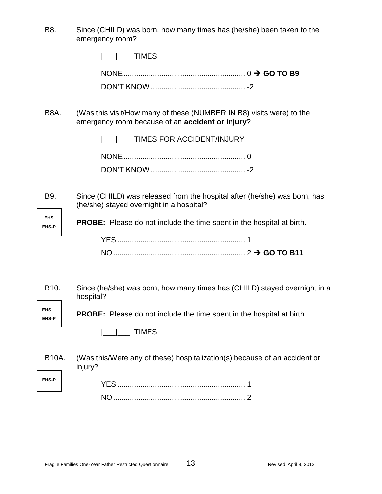B8. Since (CHILD) was born, how many times has (he/she) been taken to the emergency room?

| $ \_\_\_\_\ $ TIMES |  |
|---------------------|--|
|                     |  |
|                     |  |

B8A. (Was this visit/How many of these (NUMBER IN B8) visits were) to the emergency room because of an **accident or injury**?

| __ __  TIMES FOR ACCIDENT/INJURY |
|----------------------------------|
|                                  |
|                                  |

B9. Since (CHILD) was released from the hospital after (he/she) was born, has (he/she) stayed overnight in a hospital?

**EHS-P PROBE:** Please do not include the time spent in the hospital at birth.

B10. Since (he/she) was born, how many times has (CHILD) stayed overnight in a hospital?

**PROBE:** Please do not include the time spent in the hospital at birth.

|\_\_\_|\_\_\_| TIMES

**EHS**

**EHS EHS-P**

**EHS-P**

B10A. (Was this/Were any of these) hospitalization(s) because of an accident or injury?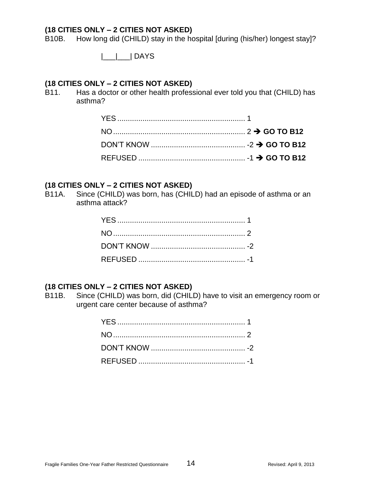B10B. How long did (CHILD) stay in the hospital [during (his/her) longest stay]?

|\_\_\_|\_\_\_| DAYS

# **(18 CITIES ONLY – 2 CITIES NOT ASKED)**

B11. Has a doctor or other health professional ever told you that (CHILD) has asthma?

#### **(18 CITIES ONLY – 2 CITIES NOT ASKED)**

B11A. Since (CHILD) was born, has (CHILD) had an episode of asthma or an asthma attack?

# **(18 CITIES ONLY – 2 CITIES NOT ASKED)**

B11B. Since (CHILD) was born, did (CHILD) have to visit an emergency room or urgent care center because of asthma?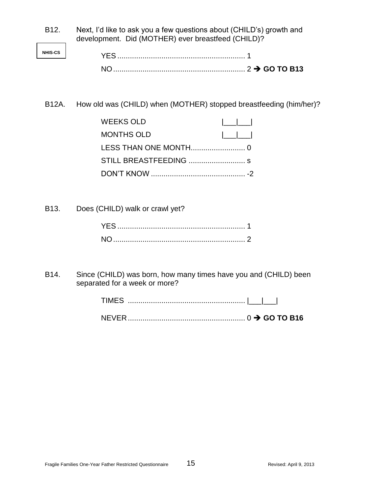| B <sub>12</sub> . | Next, I'd like to ask you a few questions about (CHILD's) growth and |
|-------------------|----------------------------------------------------------------------|
|                   | development. Did (MOTHER) ever breastfeed (CHILD)?                   |

B12A. How old was (CHILD) when (MOTHER) stopped breastfeeding (him/her)?

B13. Does (CHILD) walk or crawl yet?

B14. Since (CHILD) was born, how many times have you and (CHILD) been separated for a week or more?

| TIMES |  |  |  |
|-------|--|--|--|
|       |  |  |  |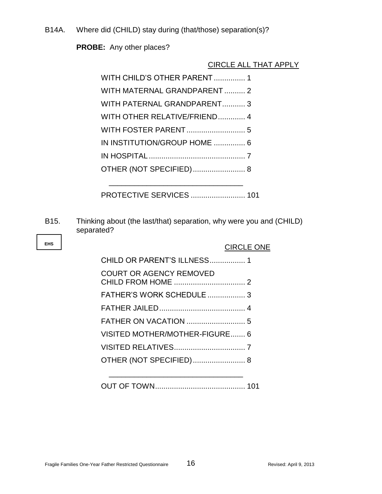B14A. Where did (CHILD) stay during (that/those) separation(s)?

**PROBE:** Any other places?

# CIRCLE ALL THAT APPLY

| WITH CHILD'S OTHER PARENT 1  |
|------------------------------|
| WITH MATERNAL GRANDPARENT 2  |
| WITH PATERNAL GRANDPARENT 3  |
| WITH OTHER RELATIVE/FRIEND 4 |
|                              |
| IN INSTITUTION/GROUP HOME  6 |
|                              |
|                              |
|                              |

PROTECTIVE SERVICES .......................... 101

B15. Thinking about (the last/that) separation, why were you and (CHILD) separated?

|                                | <b>CIRCLE ONE</b> |
|--------------------------------|-------------------|
| CHILD OR PARENT'S ILLNESS 1    |                   |
| <b>COURT OR AGENCY REMOVED</b> |                   |
| FATHER'S WORK SCHEDULE  3      |                   |
|                                |                   |
|                                |                   |
| VISITED MOTHER/MOTHER-FIGURE 6 |                   |
|                                |                   |
| OTHER (NOT SPECIFIED) 8        |                   |
|                                |                   |
|                                |                   |

OUT OF TOWN........................................... 101

**EHS**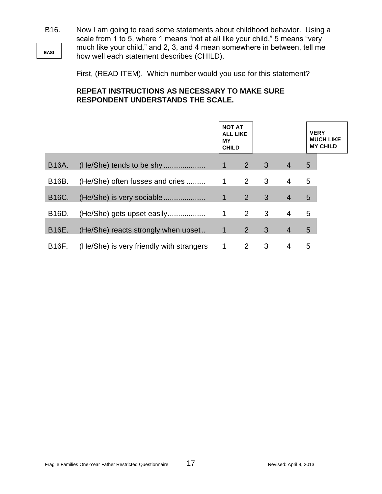**EASI** B16. Now I am going to read some statements about childhood behavior. Using a scale from 1 to 5, where 1 means "not at all like your child," 5 means "very much like your child," and 2, 3, and 4 mean somewhere in between, tell me how well each statement describes (CHILD).

First, (READ ITEM). Which number would you use for this statement?

# **REPEAT INSTRUCTIONS AS NECESSARY TO MAKE SURE RESPONDENT UNDERSTANDS THE SCALE.**

|              |                                          | <b>NOT AT</b><br><b>ALL LIKE</b><br>MY<br><b>CHILD</b> |                |   |                |   |  |  |  |  |  |  |  |  |  |  |  |  |  |  |  |  |  |  |  |  |  |  |  |  |  | <b>VERY</b><br><b>MUCH LIKE</b><br><b>MY CHILD</b> |
|--------------|------------------------------------------|--------------------------------------------------------|----------------|---|----------------|---|--|--|--|--|--|--|--|--|--|--|--|--|--|--|--|--|--|--|--|--|--|--|--|--|--|----------------------------------------------------|
| <b>B16A.</b> | (He/She) tends to be shy                 | $\mathbf{1}$                                           | $\overline{2}$ | 3 | $\overline{4}$ | 5 |  |  |  |  |  |  |  |  |  |  |  |  |  |  |  |  |  |  |  |  |  |  |  |  |  |                                                    |
| B16B.        | (He/She) often fusses and cries          | 1                                                      | $\mathbf{2}$   | 3 | 4              | 5 |  |  |  |  |  |  |  |  |  |  |  |  |  |  |  |  |  |  |  |  |  |  |  |  |  |                                                    |
| B16C.        | (He/She) is very sociable                | $\mathbf{1}$                                           | 2 <sup>1</sup> | 3 | $\overline{4}$ | 5 |  |  |  |  |  |  |  |  |  |  |  |  |  |  |  |  |  |  |  |  |  |  |  |  |  |                                                    |
| B16D.        | (He/She) gets upset easily               | 1                                                      | $\overline{2}$ | 3 | 4              | 5 |  |  |  |  |  |  |  |  |  |  |  |  |  |  |  |  |  |  |  |  |  |  |  |  |  |                                                    |
| B16E.        | (He/She) reacts strongly when upset      | $\mathbf{1}$                                           | $2^{\circ}$    | 3 | $\overline{4}$ | 5 |  |  |  |  |  |  |  |  |  |  |  |  |  |  |  |  |  |  |  |  |  |  |  |  |  |                                                    |
| B16F.        | (He/She) is very friendly with strangers | 1                                                      | 2              | 3 | 4              | 5 |  |  |  |  |  |  |  |  |  |  |  |  |  |  |  |  |  |  |  |  |  |  |  |  |  |                                                    |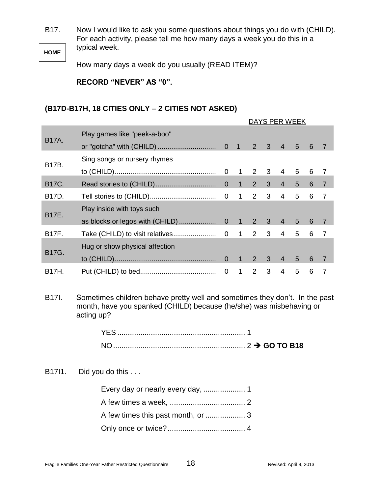B17. Now I would like to ask you some questions about things you do with (CHILD). For each activity, please tell me how many days a week you do this in a typical week.

**HOME**

How many days a week do you usually (READ ITEM)?

**RECORD "NEVER" AS "0".**

# **(B17D-B17H, 18 CITIES ONLY – 2 CITIES NOT ASKED)**

|              |                                                                                                                                                                  | DAYS PER WEEK  |                |                |   |                          |   |                 |                |
|--------------|------------------------------------------------------------------------------------------------------------------------------------------------------------------|----------------|----------------|----------------|---|--------------------------|---|-----------------|----------------|
|              | Play games like "peek-a-boo"                                                                                                                                     |                |                |                |   |                          |   |                 |                |
| <b>B17A.</b> |                                                                                                                                                                  |                | $\overline{1}$ | 2              | 3 | $\overline{4}$           | 5 | 6               | 7              |
| B17B.        | Sing songs or nursery rhymes                                                                                                                                     |                |                |                |   |                          |   |                 |                |
|              |                                                                                                                                                                  | $\mathbf 0$    | $\mathbf 1$    | 2              | 3 | 4                        | 5 | 6               | $\overline{7}$ |
| <b>B17C.</b> |                                                                                                                                                                  | $\mathbf 0$    | $\mathbf{1}$   | $\overline{2}$ | 3 | $\overline{4}$           | 5 | $6\phantom{1}6$ | $\overline{7}$ |
| B17D.        |                                                                                                                                                                  | 0              | $\mathbf{1}$   | 2              | 3 | $\overline{4}$           | 5 | 6               | $\overline{7}$ |
| B17E.        | Play inside with toys such                                                                                                                                       |                |                |                |   |                          |   |                 |                |
|              | as blocks or legos with (CHILD)                                                                                                                                  | $\overline{0}$ | $\mathbf{1}$   | 2              | 3 | $\overline{4}$           | 5 | 6               | $\overline{7}$ |
| <b>B17F.</b> | Take (CHILD) to visit relatives                                                                                                                                  | $\overline{0}$ | $\mathbf 1$    | $\overline{2}$ | 3 | 4                        | 5 | 6               | $\overline{7}$ |
| <b>B17G.</b> | Hug or show physical affection                                                                                                                                   |                |                |                |   |                          |   |                 |                |
|              |                                                                                                                                                                  | $\overline{0}$ | $\mathbf{1}$   | $\overline{2}$ | 3 | $\overline{4}$           | 5 | 6               | $\overline{7}$ |
| B17H.        |                                                                                                                                                                  | $\mathbf 0$    | $\mathbf{1}$   | $\overline{2}$ | 3 | $\overline{\mathcal{A}}$ | 5 | $6\phantom{1}6$ | $\overline{7}$ |
| B17I.        | Sometimes children behave pretty well and sometimes they don't. In the past<br>month, have you spanked (CHILD) because (he/she) was misbehaving or<br>acting up? |                |                |                |   |                          |   |                 |                |
|              |                                                                                                                                                                  |                |                |                |   |                          |   |                 |                |
|              |                                                                                                                                                                  |                |                |                |   |                          |   |                 |                |
| B1711.       | Did you do this                                                                                                                                                  |                |                |                |   |                          |   |                 |                |
|              |                                                                                                                                                                  |                |                |                |   |                          |   |                 |                |
|              |                                                                                                                                                                  |                |                |                |   |                          |   |                 |                |
|              |                                                                                                                                                                  |                |                |                |   |                          |   |                 |                |
|              |                                                                                                                                                                  |                |                |                |   |                          |   |                 |                |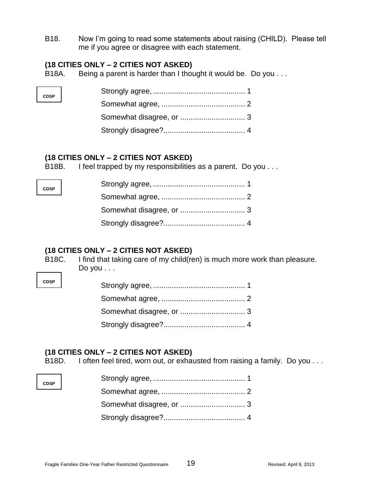B18. Now I'm going to read some statements about raising (CHILD). Please tell me if you agree or disagree with each statement.

#### **(18 CITIES ONLY – 2 CITIES NOT ASKED)**

B18A. Being a parent is harder than I thought it would be. Do you . . .

# **(18 CITIES ONLY – 2 CITIES NOT ASKED)**

B18B. I feel trapped by my responsibilities as a parent. Do you . . .

# **(18 CITIES ONLY – 2 CITIES NOT ASKED)**

B18C. I find that taking care of my child(ren) is much more work than pleasure. Do you . . .

| ۰.<br>×<br>۰.<br>×<br>۰. |  |
|--------------------------|--|

**CDSP**

**CDSP**

# **(18 CITIES ONLY – 2 CITIES NOT ASKED)**

B18D. I often feel tired, worn out, or exhausted from raising a family. Do you . . .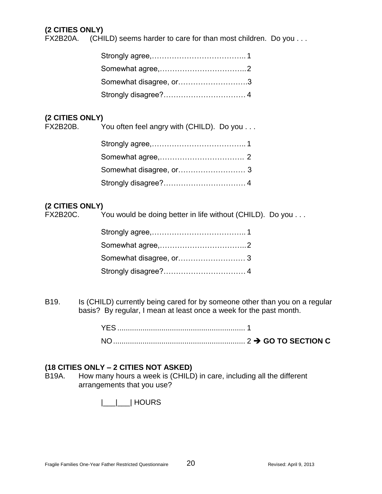# **(2 CITIES ONLY)**

FX2B20A. (CHILD) seems harder to care for than most children. Do you . . .

| Somewhat disagree, or3 |  |
|------------------------|--|
|                        |  |

# **(2 CITIES ONLY)**

| FX2B20B. You often feel angry with (CHILD). Do you |
|----------------------------------------------------|
|                                                    |
|                                                    |

# **(2 CITIES ONLY)**

FX2B20C. You would be doing better in life without (CHILD). Do you . . .

B19. Is (CHILD) currently being cared for by someone other than you on a regular basis? By regular, I mean at least once a week for the past month.

| YES |  |
|-----|--|
| NΟ  |  |

# **(18 CITIES ONLY – 2 CITIES NOT ASKED)**

B19A. How many hours a week is (CHILD) in care, including all the different arrangements that you use?

|\_\_\_|\_\_\_| HOURS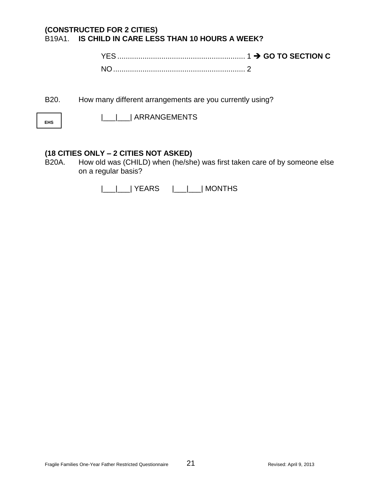# **(CONSTRUCTED FOR 2 CITIES)** B19A1. **IS CHILD IN CARE LESS THAN 10 HOURS A WEEK?**

YES ............................................................. 1 **GO TO SECTION C** NO............................................................... 2

B20. How many different arrangements are you currently using?

**EHS**

|\_\_\_|\_\_\_| ARRANGEMENTS

#### **(18 CITIES ONLY – 2 CITIES NOT ASKED)**

B20A. How old was (CHILD) when (he/she) was first taken care of by someone else on a regular basis?

|\_\_\_|\_\_\_| YEARS |\_\_\_|\_\_\_| MONTHS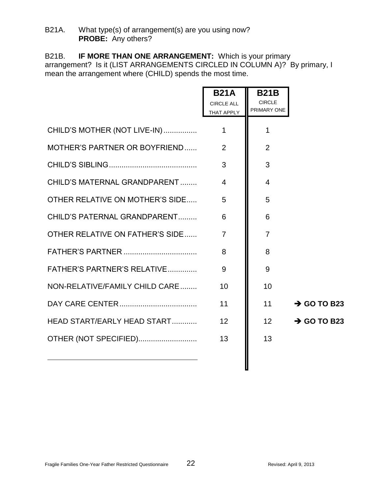#### B21A. What type(s) of arrangement(s) are you using now? **PROBE:** Any others?

B21B. **IF MORE THAN ONE ARRANGEMENT:** Which is your primary arrangement? Is it (LIST ARRANGEMENTS CIRCLED IN COLUMN A)? By primary, I mean the arrangement where (CHILD) spends the most time.

|                                 | <b>B21A</b><br><b>CIRCLE ALL</b> | <b>B21B</b><br><b>CIRCLE</b> |                         |
|---------------------------------|----------------------------------|------------------------------|-------------------------|
|                                 | THAT APPLY                       | PRIMARY ONE                  |                         |
| CHILD'S MOTHER (NOT LIVE-IN)    | $\mathbf{1}$                     | 1                            |                         |
| MOTHER'S PARTNER OR BOYFRIEND   | 2                                | $\overline{2}$               |                         |
|                                 | 3                                | 3                            |                         |
| CHILD'S MATERNAL GRANDPARENT    | $\overline{4}$                   | $\overline{4}$               |                         |
| OTHER RELATIVE ON MOTHER'S SIDE | 5                                | 5                            |                         |
| CHILD'S PATERNAL GRANDPARENT    | 6                                | 6                            |                         |
| OTHER RELATIVE ON FATHER'S SIDE | $\overline{7}$                   | $\overline{7}$               |                         |
|                                 | 8                                | 8                            |                         |
| FATHER'S PARTNER'S RELATIVE     | 9                                | 9                            |                         |
| NON-RELATIVE/FAMILY CHILD CARE  | 10                               | 10                           |                         |
|                                 | 11                               | 11                           | $\rightarrow$ GO TO B23 |
| HEAD START/EARLY HEAD START     | 12                               | 12                           | $\rightarrow$ GO TO B23 |
| OTHER (NOT SPECIFIED)           | 13                               | 13                           |                         |
|                                 |                                  |                              |                         |

I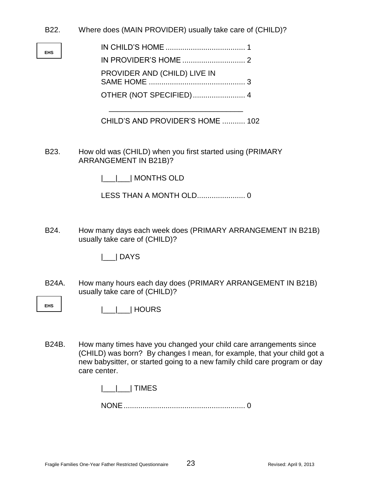B22. Where does (MAIN PROVIDER) usually take care of (CHILD)?

| ۰. |  |
|----|--|

| PROVIDER AND (CHILD) LIVE IN |  |
|------------------------------|--|
|                              |  |

CHILD'S AND PROVIDER'S HOME ........... 102

\_\_\_\_\_\_\_\_\_\_\_\_\_\_\_\_\_\_\_\_\_\_\_\_\_\_\_\_\_\_\_\_

B23. How old was (CHILD) when you first started using (PRIMARY ARRANGEMENT IN B21B)?

|\_\_\_|\_\_\_| MONTHS OLD

LESS THAN A MONTH OLD....................... 0

B24. How many days each week does (PRIMARY ARRANGEMENT IN B21B) usually take care of (CHILD)?

|\_\_\_| DAYS

- B24A. How many hours each day does (PRIMARY ARRANGEMENT IN B21B) usually take care of (CHILD)?
- **EHS** |\_\_\_|\_\_\_| HOURS
- B24B. How many times have you changed your child care arrangements since (CHILD) was born? By changes I mean, for example, that your child got a new babysitter, or started going to a new family child care program or day care center.

| TIMES |  |
|-------|--|
|       |  |

|--|--|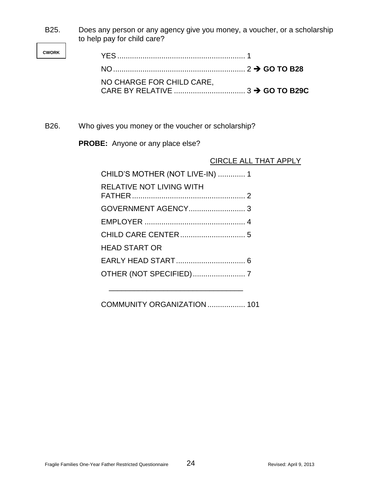B25. Does any person or any agency give you money, a voucher, or a scholarship to help pay for child care?

**CWORK**

| NO CHARGE FOR CHILD CARE. |  |
|---------------------------|--|
|                           |  |

B26. Who gives you money or the voucher or scholarship?

**PROBE:** Anyone or any place else?

#### CIRCLE ALL THAT APPLY

| CHILD'S MOTHER (NOT LIVE-IN)  1 |
|---------------------------------|
|                                 |
|                                 |
|                                 |
|                                 |
|                                 |
|                                 |
|                                 |
|                                 |

COMMUNITY ORGANIZATION .................. 101

\_\_\_\_\_\_\_\_\_\_\_\_\_\_\_\_\_\_\_\_\_\_\_\_\_\_\_\_\_\_\_\_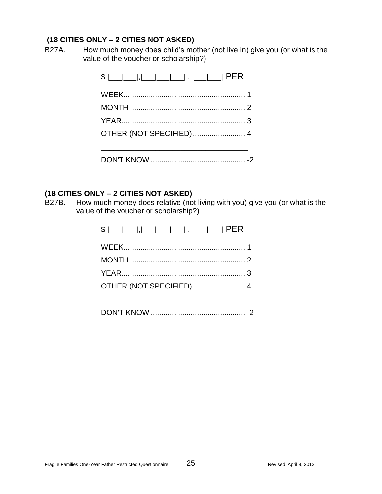B27A. How much money does child's mother (not live in) give you (or what is the value of the voucher or scholarship?)

# **(18 CITIES ONLY – 2 CITIES NOT ASKED)**

B27B. How much money does relative (not living with you) give you (or what is the value of the voucher or scholarship?)

| OTHER (NOT SPECIFIED) 4 |
|-------------------------|
|                         |

|--|--|--|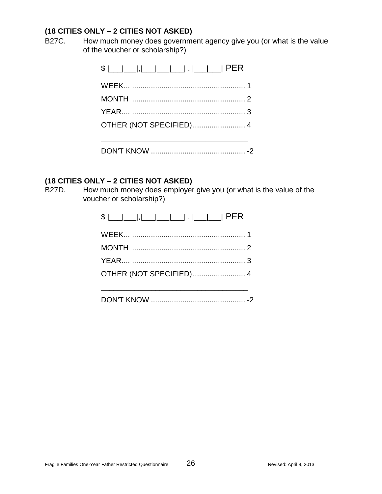B27C. How much money does government agency give you (or what is the value of the voucher or scholarship?)

# **(18 CITIES ONLY – 2 CITIES NOT ASKED)**

B27D. How much money does employer give you (or what is the value of the voucher or scholarship?)

|--|--|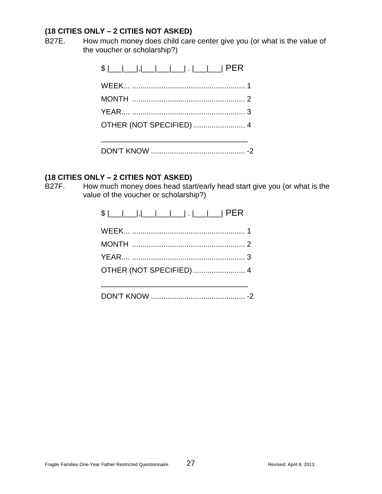B27E. How much money does child care center give you (or what is the value of the voucher or scholarship?)

| OTHER (NOT SPECIFIED) 4 |
|-------------------------|
|                         |
|                         |

#### **(18 CITIES ONLY – 2 CITIES NOT ASKED)**

B27F. How much money does head start/early head start give you (or what is the value of the voucher or scholarship?)

| OTHER (NOT SPECIFIED) 4 |
|-------------------------|
|                         |

|--|--|--|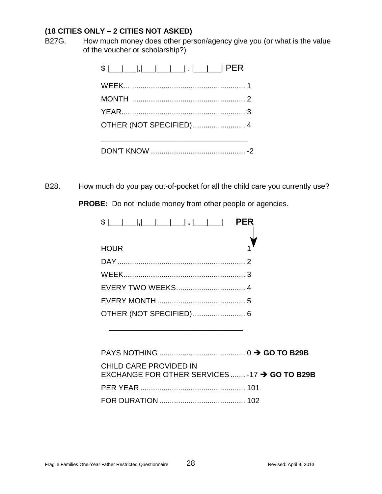B27G. How much money does other person/agency give you (or what is the value of the voucher or scholarship?)

| OTHER (NOT SPECIFIED) 4 |
|-------------------------|
|                         |
|                         |

B28. How much do you pay out-of-pocket for all the child care you currently use?

**PROBE:** Do not include money from other people or agencies.

| $ S $                                 PER |  |
|-------------------------------------------|--|
| <b>HOUR</b>                               |  |
|                                           |  |
|                                           |  |
|                                           |  |
|                                           |  |
|                                           |  |
|                                           |  |

\_\_\_\_\_\_\_\_\_\_\_\_\_\_\_\_\_\_\_\_\_\_\_\_\_\_\_\_\_\_\_\_

| CHILD CARE PROVIDED IN<br>EXCHANGE FOR OTHER SERVICES  -17 $\rightarrow$ GO TO B29B |  |
|-------------------------------------------------------------------------------------|--|
|                                                                                     |  |
|                                                                                     |  |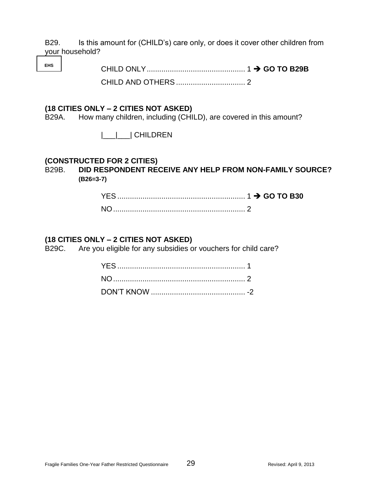B29. Is this amount for (CHILD's) care only, or does it cover other children from your household?

**EHS** CHILD ONLY............................................... 1 **GO TO B29B** CHILD AND OTHERS ................................. 2

#### **(18 CITIES ONLY – 2 CITIES NOT ASKED)**

B29A. How many children, including (CHILD), are covered in this amount?

|\_\_\_|\_\_\_| CHILDREN

#### **(CONSTRUCTED FOR 2 CITIES)**

#### B29B. **DID RESPONDENT RECEIVE ANY HELP FROM NON-FAMILY SOURCE? (B26=3-7)**

#### **(18 CITIES ONLY – 2 CITIES NOT ASKED)**

B29C. Are you eligible for any subsidies or vouchers for child care?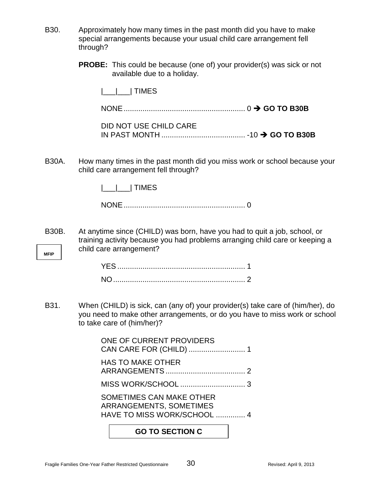- B30. Approximately how many times in the past month did you have to make special arrangements because your usual child care arrangement fell through?
	- **PROBE:** This could be because (one of) your provider(s) was sick or not available due to a holiday.

|\_\_\_|\_\_\_| TIMES

NONE.......................................................... 0 **GO TO B30B**

| DID NOT USE CHILD CARE |  |  |
|------------------------|--|--|
|                        |  |  |

B30A. How many times in the past month did you miss work or school because your child care arrangement fell through?

|  | IME. |
|--|------|
|  |      |

NONE.......................................................... 0

**MFIP** B30B. At anytime since (CHILD) was born, have you had to quit a job, school, or training activity because you had problems arranging child care or keeping a child care arrangement?

B31. When (CHILD) is sick, can (any of) your provider(s) take care of (him/her), do you need to make other arrangements, or do you have to miss work or school to take care of (him/her)?

> ONE OF CURRENT PROVIDERS CAN CARE FOR (CHILD) ........................... 1 HAS TO MAKE OTHER ARRANGEMENTS ...................................... 2 MISS WORK/SCHOOL ............................... 3 SOMETIMES CAN MAKE OTHER ARRANGEMENTS, SOMETIMES HAVE TO MISS WORK/SCHOOL .............. 4

# **GO TO SECTION C**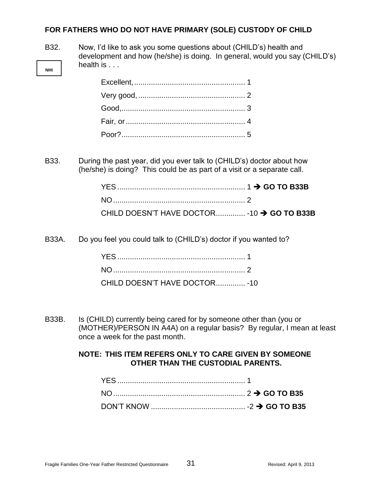#### **FOR FATHERS WHO DO NOT HAVE PRIMARY (SOLE) CUSTODY OF CHILD**

**NHI**

B32. Now, I'd like to ask you some questions about (CHILD's) health and development and how (he/she) is doing. In general, would you say (CHILD's) health is . . .

B33. During the past year, did you ever talk to (CHILD's) doctor about how (he/she) is doing? This could be as part of a visit or a separate call.

| CHILD DOESN'T HAVE DOCTOR -10 $\rightarrow$ GO TO B33B |  |
|--------------------------------------------------------|--|

B33A. Do you feel you could talk to (CHILD's) doctor if you wanted to?

| CHILD DOESN'T HAVE DOCTOR - 10 |  |
|--------------------------------|--|

B33B. Is (CHILD) currently being cared for by someone other than (you or (MOTHER)/PERSON IN A4A) on a regular basis? By regular, I mean at least once a week for the past month.

#### **NOTE: THIS ITEM REFERS ONLY TO CARE GIVEN BY SOMEONE OTHER THAN THE CUSTODIAL PARENTS.**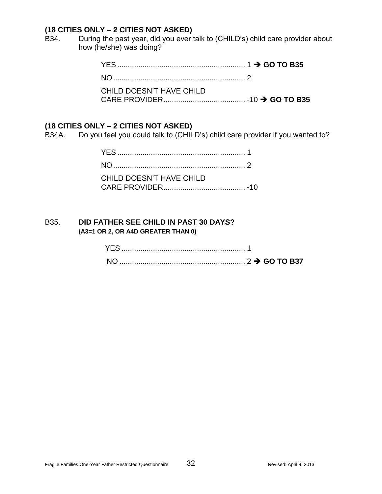B34. During the past year, did you ever talk to (CHILD's) child care provider about how (he/she) was doing?

| CHILD DOESN'T HAVE CHILD |  |
|--------------------------|--|

#### **(18 CITIES ONLY – 2 CITIES NOT ASKED)**

B34A. Do you feel you could talk to (CHILD's) child care provider if you wanted to?

| CHILD DOESN'T HAVE CHILD |  |
|--------------------------|--|

#### B35. **DID FATHER SEE CHILD IN PAST 30 DAYS? (A3=1 OR 2, OR A4D GREATER THAN 0)**

| <b>YES</b> |  |
|------------|--|
|            |  |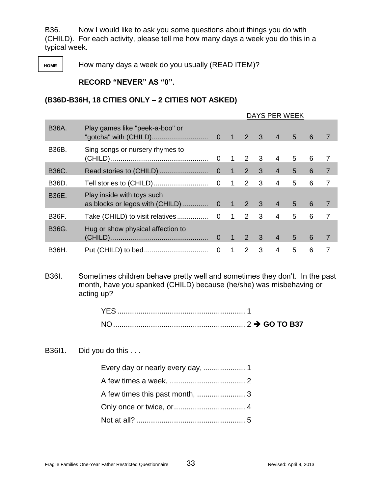B36. Now I would like to ask you some questions about things you do with (CHILD). For each activity, please tell me how many days a week you do this in a typical week.

**HOME** How many days a week do you usually (READ ITEM)?

#### **RECORD "NEVER" AS "0".**

#### **(B36D-B36H, 18 CITIES ONLY – 2 CITIES NOT ASKED)**

|              |                                   | DAYS PER WEEK  |                |                     |              |                |   |   |                |
|--------------|-----------------------------------|----------------|----------------|---------------------|--------------|----------------|---|---|----------------|
| <b>B36A.</b> | Play games like "peek-a-boo" or   |                |                | $1 \quad 2 \quad 3$ |              | $\overline{4}$ | 5 | 6 | $\overline{7}$ |
| B36B.        | Sing songs or nursery rhymes to   | $\mathbf 0$    |                | $1 \quad 2 \quad 3$ |              | 4              | 5 | 6 | 7              |
| <b>B36C.</b> |                                   | $\overline{0}$ | 17             | $2^{\circ}$         | $\mathbf{3}$ | $\overline{4}$ | 5 | 6 | $\overline{7}$ |
| B36D.        |                                   | $\mathbf 0$    | $\overline{1}$ | 2                   | 3            | $\overline{4}$ | 5 | 6 | 7              |
| <b>B36E.</b> | Play inside with toys such        |                |                |                     |              | $\overline{4}$ | 5 | 6 | $\overline{7}$ |
| <b>B36F.</b> |                                   |                |                | $\mathbf{2}$        | 3            | 4              | 5 | 6 | 7              |
| <b>B36G.</b> | Hug or show physical affection to |                | $\overline{1}$ | $2^{\circ}$         | $\mathbf{3}$ | $\overline{4}$ | 5 | 6 | $\overline{7}$ |
| <b>B36H.</b> |                                   |                | $\overline{1}$ | 2                   | 3            | $\overline{4}$ | 5 | 6 | 7              |

B36I. Sometimes children behave pretty well and sometimes they don't. In the past month, have you spanked (CHILD) because (he/she) was misbehaving or acting up?

| $NO_{-.}$ |  |
|-----------|--|

B36I1. Did you do this ...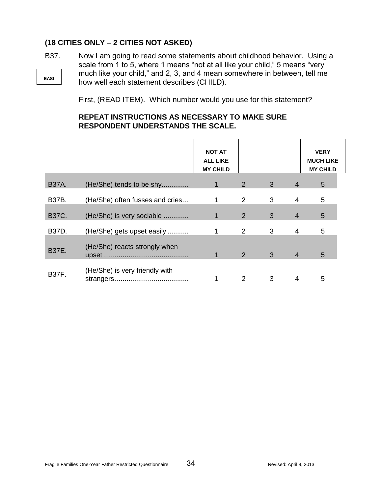## **(18 CITIES ONLY – 2 CITIES NOT ASKED)**

**EASI** B37. Now I am going to read some statements about childhood behavior. Using a scale from 1 to 5, where 1 means "not at all like your child," 5 means "very much like your child," and 2, 3, and 4 mean somewhere in between, tell me how well each statement describes (CHILD).

First, (READ ITEM). Which number would you use for this statement?

## **REPEAT INSTRUCTIONS AS NECESSARY TO MAKE SURE RESPONDENT UNDERSTANDS THE SCALE.**

|              |                                 | <b>NOT AT</b><br><b>ALL LIKE</b><br><b>MY CHILD</b> |                |                |                | <b>VERY</b><br><b>MUCH LIKE</b><br><b>MY CHILD</b> |
|--------------|---------------------------------|-----------------------------------------------------|----------------|----------------|----------------|----------------------------------------------------|
| <b>B37A.</b> | (He/She) tends to be shy        | $\mathbf 1$                                         | 2              | 3 <sup>5</sup> | $\overline{4}$ | 5                                                  |
| <b>B37B.</b> | (He/She) often fusses and cries | 1                                                   | $\overline{2}$ | 3              | $\overline{4}$ | 5                                                  |
| <b>B37C.</b> | (He/She) is very sociable       | 1                                                   | $\overline{2}$ | 3              | $\overline{4}$ | 5                                                  |
| <b>B37D.</b> | (He/She) gets upset easily      | 1                                                   | 2              | 3              | $\overline{4}$ | 5                                                  |
| <b>B37E.</b> | (He/She) reacts strongly when   | 1                                                   | 2 <sup>1</sup> | 3 <sup>2</sup> | $\overline{4}$ | 5                                                  |
| <b>B37F.</b> | (He/She) is very friendly with  |                                                     | $\mathcal{P}$  | 3              | 4              | 5                                                  |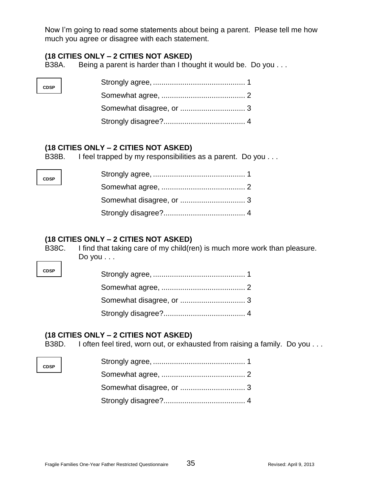Now I'm going to read some statements about being a parent. Please tell me how much you agree or disagree with each statement.

## **(18 CITIES ONLY – 2 CITIES NOT ASKED)**

B38A. Being a parent is harder than I thought it would be. Do you . . .

### **(18 CITIES ONLY – 2 CITIES NOT ASKED)**

B38B. I feel trapped by my responsibilities as a parent. Do you . . .

## **(18 CITIES ONLY – 2 CITIES NOT ASKED)**

B38C. I find that taking care of my child(ren) is much more work than pleasure. Do you . . .

**CDSP**

**CDSP**

**CDSP**

**CDSP**

### **(18 CITIES ONLY – 2 CITIES NOT ASKED)**

B38D. I often feel tired, worn out, or exhausted from raising a family. Do you . . .

| $\overline{\phantom{0}}$ |  |
|--------------------------|--|
|                          |  |
|                          |  |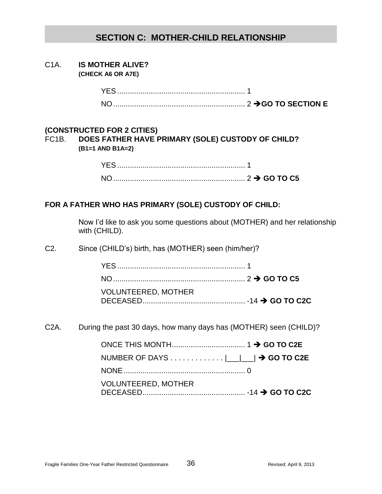# **SECTION C: MOTHER-CHILD RELATIONSHIP**

C1A. **IS MOTHER ALIVE? (CHECK A6 OR A7E)**

| <b>YES</b> |  |
|------------|--|
| $N \cap$   |  |

#### **(CONSTRUCTED FOR 2 CITIES)**

FC1B. **DOES FATHER HAVE PRIMARY (SOLE) CUSTODY OF CHILD? (B1=1 AND B1A=2)**

### **FOR A FATHER WHO HAS PRIMARY (SOLE) CUSTODY OF CHILD:**

Now I'd like to ask you some questions about (MOTHER) and her relationship with (CHILD).

C2. Since (CHILD's) birth, has (MOTHER) seen (him/her)?

| <b>VOLUNTEERED, MOTHER</b> |  |
|----------------------------|--|
|                            |  |

C2A. During the past 30 days, how many days has (MOTHER) seen (CHILD)?

| NUMBER OF DAYS  __ __  → GO TO C2E |  |
|------------------------------------|--|
|                                    |  |
| <b>VOLUNTEERED, MOTHER</b>         |  |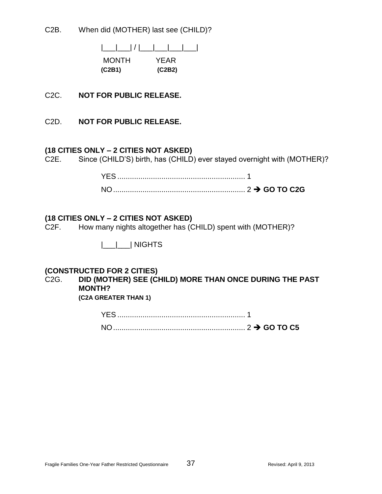C2B. When did (MOTHER) last see (CHILD)?

|\_\_\_|\_\_\_| / |\_\_\_|\_\_\_|\_\_\_|\_\_\_| MONTH YEAR **(C2B1) (C2B2)**

- C2C. **NOT FOR PUBLIC RELEASE.**
- C2D. **NOT FOR PUBLIC RELEASE.**

#### **(18 CITIES ONLY – 2 CITIES NOT ASKED)**

C2E. Since (CHILD'S) birth, has (CHILD) ever stayed overnight with (MOTHER)?

#### **(18 CITIES ONLY – 2 CITIES NOT ASKED)**

C2F. How many nights altogether has (CHILD) spent with (MOTHER)?

|\_\_\_|\_\_\_| NIGHTS

#### **(CONSTRUCTED FOR 2 CITIES)**

C2G. **DID (MOTHER) SEE (CHILD) MORE THAN ONCE DURING THE PAST MONTH? (C2A GREATER THAN 1)**

YES ............................................................. 1

NO............................................................... 2 **GO TO C5**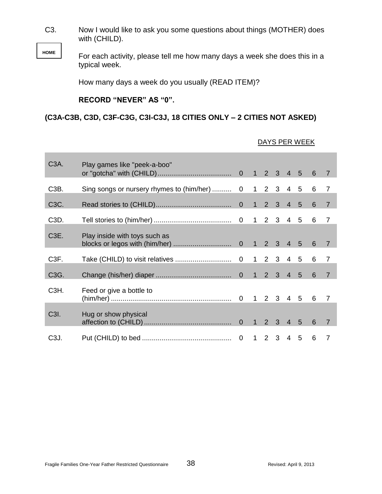C3. Now I would like to ask you some questions about things (MOTHER) does with (CHILD).

**HOME**

For each activity, please tell me how many days a week she does this in a typical week.

How many days a week do you usually (READ ITEM)?

**RECORD "NEVER" AS "0".**

## **(C3A-C3B, C3D, C3F-C3G, C3I-C3J, 18 CITIES ONLY – 2 CITIES NOT ASKED)**

| C <sub>3</sub> A. | Play games like "peek-a-boo"                 |  |           |  |   |                |
|-------------------|----------------------------------------------|--|-----------|--|---|----------------|
| C <sub>3</sub> B. | Sing songs or nursery rhymes to (him/her)  0 |  | 1 2 3 4 5 |  | 6 | $\overline{7}$ |
| C3C.              |                                              |  |           |  | 6 | $\overline{7}$ |
| C3D.              |                                              |  |           |  | 6 | $\overline{7}$ |
| C <sub>3</sub> E. | Play inside with toys such as                |  |           |  |   | $\overline{7}$ |
| C <sub>3</sub> F. |                                              |  |           |  | 6 | $\overline{7}$ |
| C3G.              |                                              |  |           |  | 6 | $\overline{7}$ |
| C <sub>3</sub> H. | Feed or give a bottle to                     |  |           |  |   | 7              |
| C3I.              | Hug or show physical                         |  |           |  | 6 | $\overline{7}$ |
| C <sub>3</sub> J. |                                              |  | 1 2 3 4 5 |  | 6 | $\overline{7}$ |

#### DAYS PER WEEK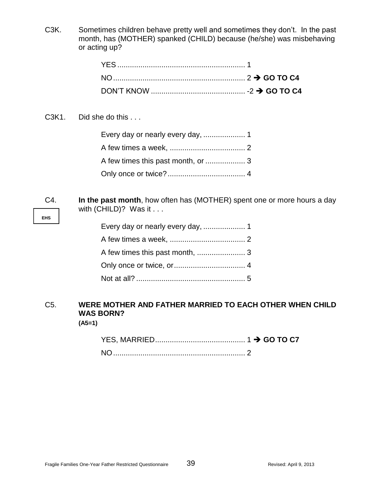C3K. Sometimes children behave pretty well and sometimes they don't. In the past month, has (MOTHER) spanked (CHILD) because (he/she) was misbehaving or acting up?

C3K1. Did she do this ...

C4. **In the past month**, how often has (MOTHER) spent one or more hours a day with (CHILD)? Was it . . .

# C5. **WERE MOTHER AND FATHER MARRIED TO EACH OTHER WHEN CHILD WAS BORN?**

**(A5=1)**

**EHS**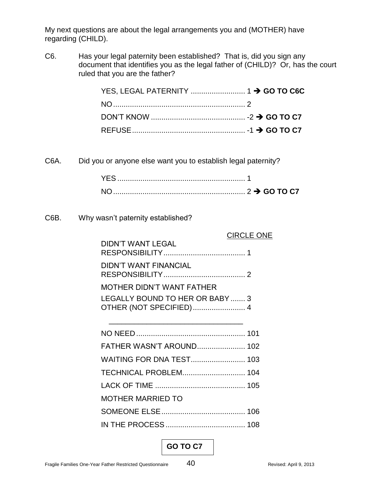My next questions are about the legal arrangements you and (MOTHER) have regarding (CHILD).

C6. Has your legal paternity been established? That is, did you sign any document that identifies you as the legal father of (CHILD)? Or, has the court ruled that you are the father?

C6A. Did you or anyone else want you to establish legal paternity?

C6B. Why wasn't paternity established?

|                                                            | <b>CIRCLE ONE</b> |
|------------------------------------------------------------|-------------------|
| <b>DIDN'T WANT LEGAL</b>                                   |                   |
| DIDN'T WANT FINANCIAL                                      |                   |
| <b>MOTHER DIDN'T WANT FATHER</b>                           |                   |
| LEGALLY BOUND TO HER OR BABY  3<br>OTHER (NOT SPECIFIED) 4 |                   |
|                                                            |                   |
|                                                            |                   |
| FATHER WASN'T AROUND 102                                   |                   |
| <b>WAITING FOR DNA TEST 103</b>                            |                   |
| TECHNICAL PROBLEM 104                                      |                   |
|                                                            |                   |
| <b>MOTHER MARRIED TO</b>                                   |                   |
|                                                            |                   |
|                                                            |                   |

# **GO TO C7**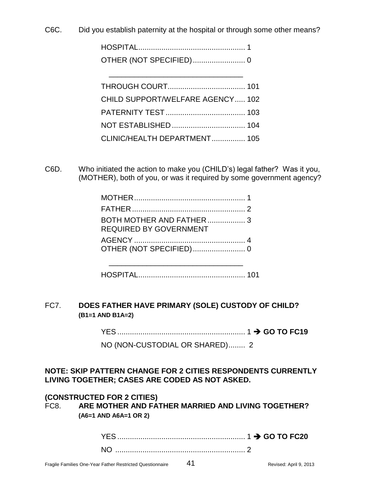C6C. Did you establish paternity at the hospital or through some other means?

HOSPITAL................................................... 1 OTHER (NOT SPECIFIED)......................... 0

\_\_\_\_\_\_\_\_\_\_\_\_\_\_\_\_\_\_\_\_\_\_\_\_\_\_\_\_\_\_\_\_

| CHILD SUPPORT/WELFARE AGENCY 102 |  |
|----------------------------------|--|
|                                  |  |
|                                  |  |
| CLINIC/HEALTH DEPARTMENT 105     |  |

C6D. Who initiated the action to make you (CHILD's) legal father? Was it you, (MOTHER), both of you, or was it required by some government agency?

| BOTH MOTHER AND FATHER3<br><b>REQUIRED BY GOVERNMENT</b> |  |
|----------------------------------------------------------|--|
|                                                          |  |

HOSPITAL................................................... 101

\_\_\_\_\_\_\_\_\_\_\_\_\_\_\_\_\_\_\_\_\_\_\_\_\_\_\_\_\_\_\_\_

## FC7. **DOES FATHER HAVE PRIMARY (SOLE) CUSTODY OF CHILD? (B1=1 AND B1A=2)**

YES ............................................................. 1 **GO TO FC19**

NO (NON-CUSTODIAL OR SHARED)........ 2

## **NOTE: SKIP PATTERN CHANGE FOR 2 CITIES RESPONDENTS CURRENTLY LIVING TOGETHER; CASES ARE CODED AS NOT ASKED.**

### **(CONSTRUCTED FOR 2 CITIES)**

FC8. **ARE MOTHER AND FATHER MARRIED AND LIVING TOGETHER? (A6=1 AND A6A=1 OR 2)**

| N |  |
|---|--|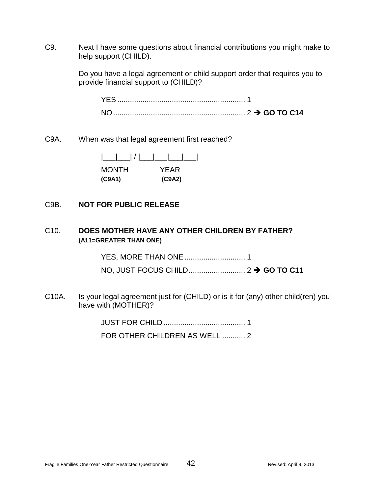C9. Next I have some questions about financial contributions you might make to help support (CHILD).

> Do you have a legal agreement or child support order that requires you to provide financial support to (CHILD)?

C9A. When was that legal agreement first reached?

| <b>MONTH</b> | YEAR   |
|--------------|--------|
| (C9A1)       | (C9A2) |

### C9B. **NOT FOR PUBLIC RELEASE**

## C10. **DOES MOTHER HAVE ANY OTHER CHILDREN BY FATHER? (A11=GREATER THAN ONE)**

YES, MORE THAN ONE............................. 1 NO, JUST FOCUS CHILD........................... 2 **GO TO C11**

C10A. Is your legal agreement just for (CHILD) or is it for (any) other child(ren) you have with (MOTHER)?

> JUST FOR CHILD ....................................... 1 FOR OTHER CHILDREN AS WELL ........... 2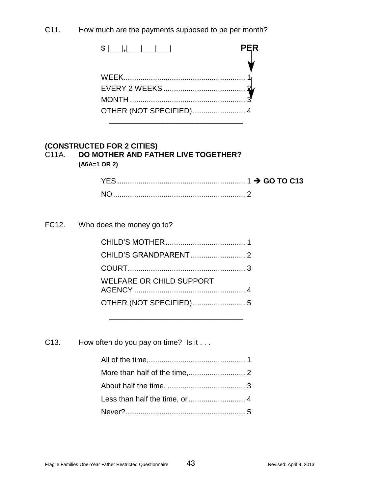C11. How much are the payments supposed to be per month?

\$ |\_\_\_|**,**|\_\_\_|\_\_\_|\_\_\_| **PER** V WEEK.......................................................... 1 EVERY 2 WEEKS ....................................... 2 MONTH ....................................................... 3 OTHER (NOT SPECIFIED)......................... 4 \_\_\_\_\_\_\_\_\_\_\_\_\_\_\_\_\_\_\_\_\_\_\_\_\_\_\_\_\_\_\_\_

### **(CONSTRUCTED FOR 2 CITIES)** C11A. **DO MOTHER AND FATHER LIVE TOGETHER? (A6A=1 OR 2)**

FC12. Who does the money go to?

| <b>WELFARE OR CHILD SUPPORT</b> |  |
|---------------------------------|--|
| OTHER (NOT SPECIFIED) 5         |  |

\_\_\_\_\_\_\_\_\_\_\_\_\_\_\_\_\_\_\_\_\_\_\_\_\_\_\_\_\_\_\_\_

C13. How often do you pay on time? Is it . . .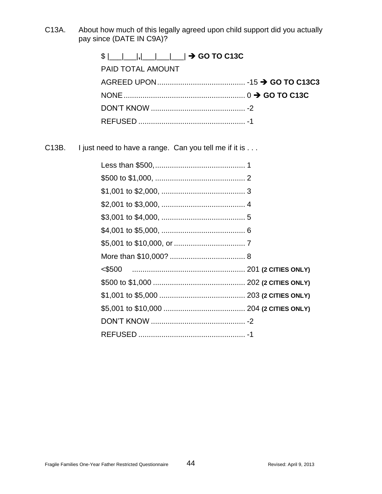C13A. About how much of this legally agreed upon child support did you actually pay since (DATE IN C9A)?

| $$ $                       $\rightarrow$ GO TO C13C |  |
|-----------------------------------------------------|--|
| <b>PAID TOTAL AMOUNT</b>                            |  |
|                                                     |  |
|                                                     |  |
|                                                     |  |
|                                                     |  |

C13B. I just need to have a range. Can you tell me if it is . . .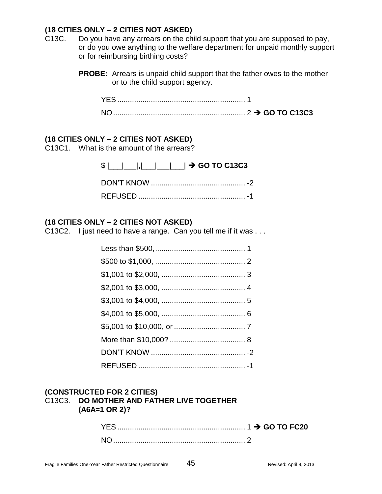## **(18 CITIES ONLY – 2 CITIES NOT ASKED)**

- C13C. Do you have any arrears on the child support that you are supposed to pay, or do you owe anything to the welfare department for unpaid monthly support or for reimbursing birthing costs?
	- **PROBE:** Arrears is unpaid child support that the father owes to the mother or to the child support agency.

## **(18 CITIES ONLY – 2 CITIES NOT ASKED)**

C13C1. What is the amount of the arrears?

| $\frac{1}{2}$ $\frac{1}{2}$ $\frac{1}{2}$ $\frac{1}{2}$ $\frac{1}{2}$ $\frac{1}{2}$ GO TO C13C3 |
|-------------------------------------------------------------------------------------------------|
|                                                                                                 |
|                                                                                                 |

## **(18 CITIES ONLY – 2 CITIES NOT ASKED)**

C13C2. I just need to have a range. Can you tell me if it was . . .

### **(CONSTRUCTED FOR 2 CITIES)** C13C3. **DO MOTHER AND FATHER LIVE TOGETHER (A6A=1 OR 2)?**

| NC |  |
|----|--|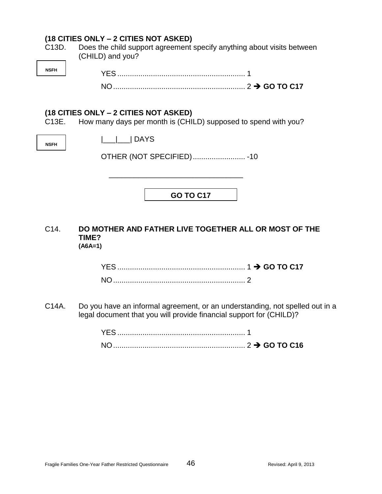# **(18 CITIES ONLY – 2 CITIES NOT ASKED)**

| C13D.       | Does the child support agreement specify anything about visits between<br>(CHILD) and you?              |
|-------------|---------------------------------------------------------------------------------------------------------|
| <b>NSFH</b> |                                                                                                         |
|             |                                                                                                         |
| C13E.       | (18 CITIES ONLY – 2 CITIES NOT ASKED)<br>How many days per month is (CHILD) supposed to spend with you? |
| <b>NSFH</b> | <b>IDAYS</b>                                                                                            |
|             | OTHER (NOT SPECIFIED) -10                                                                               |
|             |                                                                                                         |
|             | <b>GO TO C17</b>                                                                                        |
|             |                                                                                                         |

C14. **DO MOTHER AND FATHER LIVE TOGETHER ALL OR MOST OF THE TIME? (A6A=1)**

C14A. Do you have an informal agreement, or an understanding, not spelled out in a legal document that you will provide financial support for (CHILD)?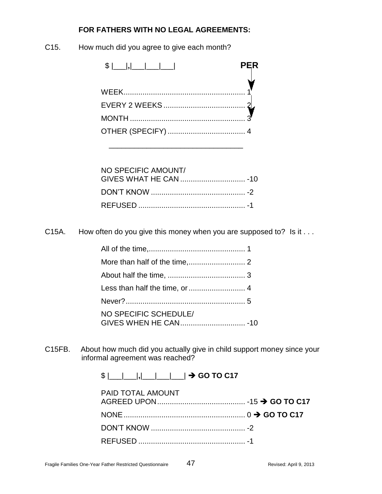# **FOR FATHERS WITH NO LEGAL AGREEMENTS:**

C15. How much did you agree to give each month?

| <b>PER</b> |  |
|------------|--|
|            |  |
|            |  |
|            |  |
|            |  |

\_\_\_\_\_\_\_\_\_\_\_\_\_\_\_\_\_\_\_\_\_\_\_\_\_\_\_\_\_\_\_\_

| NO SPECIFIC AMOUNT/ |  |
|---------------------|--|
|                     |  |
|                     |  |

C15A. How often do you give this money when you are supposed to? Is it . . .

| NO SPECIFIC SCHEDULE/ |  |
|-----------------------|--|

C15FB. About how much did you actually give in child support money since your informal agreement was reached?

 $\frac{1}{2}$   $\frac{1}{2}$   $\frac{1}{2}$   $\frac{1}{2}$  **GO TO C17** 

| <b>PAID TOTAL AMOUNT</b> |  |
|--------------------------|--|
|                          |  |
|                          |  |
|                          |  |
|                          |  |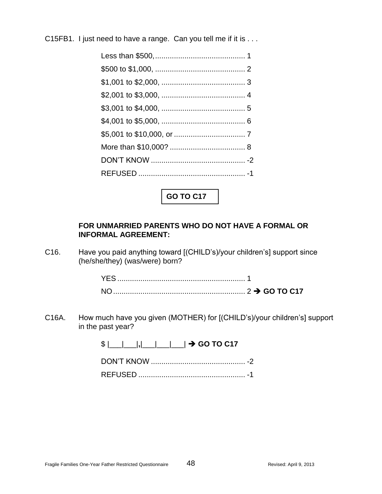C15FB1. I just need to have a range. Can you tell me if it is . . .

**GO TO C17**

## **FOR UNMARRIED PARENTS WHO DO NOT HAVE A FORMAL OR INFORMAL AGREEMENT:**

C16. Have you paid anything toward [(CHILD's)/your children's] support since (he/she/they) (was/were) born?

C16A. How much have you given (MOTHER) for [(CHILD's)/your children's] support in the past year?

 $\frac{1}{2}$  | | | | | | | | | | |  $\rightarrow$  GO TO C17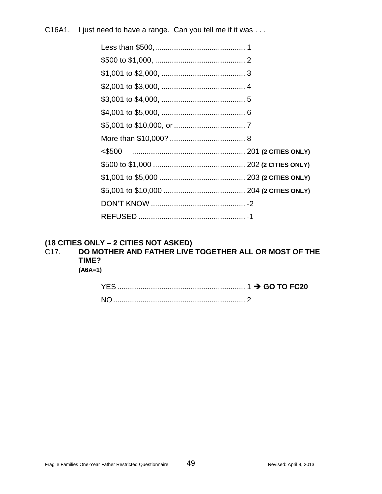C16A1. I just need to have a range. Can you tell me if it was . . .

# **(18 CITIES ONLY – 2 CITIES NOT ASKED)**

# C17. **DO MOTHER AND FATHER LIVE TOGETHER ALL OR MOST OF THE TIME?**

**(A6A=1)**

| YES. |  |
|------|--|
| ΝC   |  |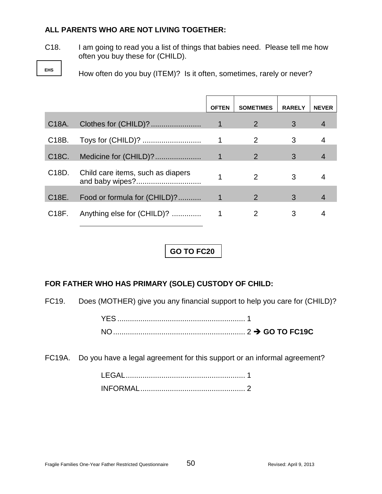## **ALL PARENTS WHO ARE NOT LIVING TOGETHER:**

C18. I am going to read you a list of things that babies need. Please tell me how often you buy these for (CHILD).

**EHS**

How often do you buy (ITEM)? Is it often, sometimes, rarely or never?

|                    |                                   | <b>OFTEN</b> | <b>SOMETIMES</b> | <b>RARELY</b> | <b>NEVER</b>   |
|--------------------|-----------------------------------|--------------|------------------|---------------|----------------|
| C <sub>18</sub> A. |                                   | $\mathbf 1$  | 2                | 3             | 4              |
| C <sub>18</sub> B. |                                   |              | 2                | 3             | 4              |
| C <sub>18</sub> C. | Medicine for (CHILD)?             | 1            | 2                | 3             |                |
| C <sub>18</sub> D. | Child care items, such as diapers |              | $\mathcal{P}$    | 3             | 4              |
| C <sub>18</sub> E. | Food or formula for (CHILD)?      |              | $\overline{2}$   | 3             | $\overline{4}$ |
| C <sub>18</sub> F. | Anything else for (CHILD)?        |              |                  | 3             |                |

# **GO TO FC20**

## **FOR FATHER WHO HAS PRIMARY (SOLE) CUSTODY OF CHILD:**

FC19. Does (MOTHER) give you any financial support to help you care for (CHILD)?

| YES.     |  |
|----------|--|
| $N \cap$ |  |

FC19A. Do you have a legal agreement for this support or an informal agreement?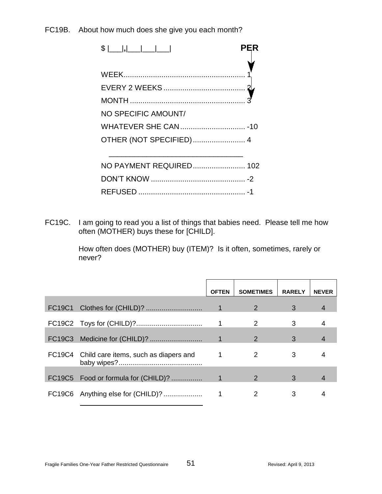## FC19B. About how much does she give you each month?

|                          | PER |
|--------------------------|-----|
|                          |     |
|                          |     |
|                          |     |
|                          |     |
| NO SPECIFIC AMOUNT/      |     |
|                          |     |
| OTHER (NOT SPECIFIED)  4 |     |
|                          |     |
| NO PAYMENT REQUIRED 102  |     |
|                          |     |
|                          |     |
|                          |     |

FC19C. I am going to read you a list of things that babies need. Please tell me how often (MOTHER) buys these for [CHILD].

> How often does (MOTHER) buy (ITEM)? Is it often, sometimes, rarely or never?

|                                 |                                              | <b>OFTEN</b> | <b>SOMETIMES</b> | <b>RARELY</b> | <b>NEVER</b> |
|---------------------------------|----------------------------------------------|--------------|------------------|---------------|--------------|
| <b>FC19C1</b>                   |                                              |              | 2                | 3             | 4            |
|                                 |                                              |              | 2                | 3             |              |
| FC19C3                          |                                              |              | 2                | 3             |              |
|                                 | FC19C4 Child care items, such as diapers and |              | 2                | 3             |              |
|                                 | FC19C5 Food or formula for (CHILD)?          |              | 2                | 3             |              |
| FC <sub>19</sub> C <sub>6</sub> | Anything else for (CHILD)?                   |              | 2                | 3             |              |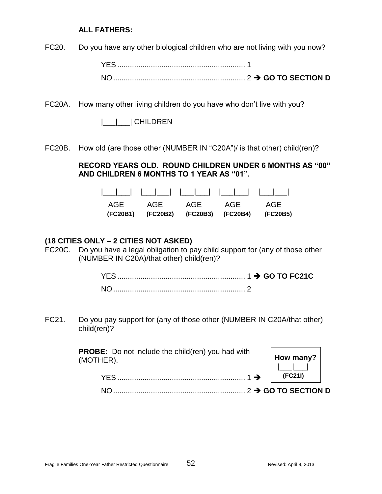### **ALL FATHERS:**

FC20. Do you have any other biological children who are not living with you now?

YES ............................................................. 1 NO............................................................... 2 **GO TO SECTION D**

FC20A. How many other living children do you have who don't live with you?

|\_\_\_|\_\_\_| CHILDREN

FC20B. How old (are those other (NUMBER IN "C20A")/ is that other) child(ren)?

## **RECORD YEARS OLD. ROUND CHILDREN UNDER 6 MONTHS AS "00" AND CHILDREN 6 MONTHS TO 1 YEAR AS "01".**

| AGE AGE AGE AGE AGE                          |  |  |
|----------------------------------------------|--|--|
| (FC20B1) (FC20B2) (FC20B3) (FC20B4) (FC20B5) |  |  |

#### **(18 CITIES ONLY – 2 CITIES NOT ASKED)**

FC20C. Do you have a legal obligation to pay child support for (any of those other (NUMBER IN C20A)/that other) child(ren)?

FC21. Do you pay support for (any of those other (NUMBER IN C20A/that other) child(ren)?

| <b>PROBE:</b> Do not include the child(ren) you had with<br>(MOTHER). | $\begin{array}{c c} \mathsf{How} \\ \mathsf{How} \\ \mathsf{I} & \mathsf{I} \end{array}$ |  |
|-----------------------------------------------------------------------|------------------------------------------------------------------------------------------|--|
| $.1 \rightarrow$<br>YFS.                                              | (FC21I)                                                                                  |  |
|                                                                       |                                                                                          |  |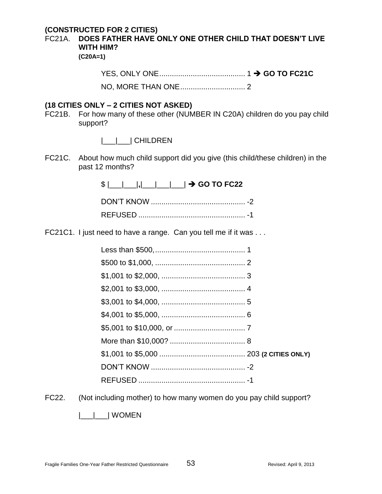## **(CONSTRUCTED FOR 2 CITIES)**

FC21A. **DOES FATHER HAVE ONLY ONE OTHER CHILD THAT DOESN'T LIVE WITH HIM?** 

**(C20A=1)**

#### **(18 CITIES ONLY – 2 CITIES NOT ASKED)**

FC21B. For how many of these other (NUMBER IN C20A) children do you pay child support?

|\_\_\_|\_\_\_| CHILDREN

FC21C. About how much child support did you give (this child/these children) in the past 12 months?

\$ |\_\_\_|\_\_\_|**,**|\_\_\_|\_\_\_|\_\_\_| **GO TO FC22**

FC21C1. I just need to have a range. Can you tell me if it was ...

FC22. (Not including mother) to how many women do you pay child support?

|\_\_\_|\_\_\_| WOMEN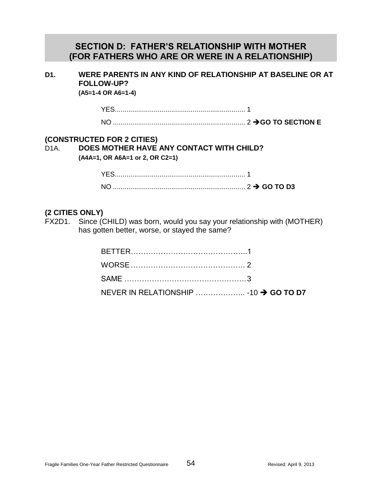# **SECTION D: FATHER'S RELATIONSHIP WITH MOTHER (FOR FATHERS WHO ARE OR WERE IN A RELATIONSHIP)**

# **D1. WERE PARENTS IN ANY KIND OF RELATIONSHIP AT BASELINE OR AT FOLLOW-UP?**

**(A5=1-4 OR A6=1-4)**

YES................................................................... 1 NO .................................................................... 2 **GO TO SECTION E**

## **(CONSTRUCTED FOR 2 CITIES)**

## D1A. **DOES MOTHER HAVE ANY CONTACT WITH CHILD? (A4A=1, OR A6A=1 or 2, OR C2=1)**

## **(2 CITIES ONLY)**

FX2D1. Since (CHILD) was born, would you say your relationship with (MOTHER) has gotten better, worse, or stayed the same?

| NEVER IN RELATIONSHIP  -10 → GO TO D7 |  |
|---------------------------------------|--|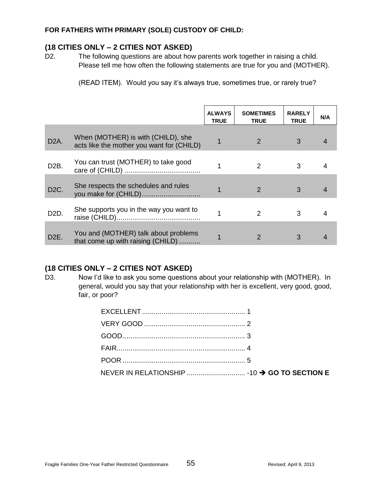#### **FOR FATHERS WITH PRIMARY (SOLE) CUSTODY OF CHILD:**

## **(18 CITIES ONLY – 2 CITIES NOT ASKED)**

D2. The following questions are about how parents work together in raising a child. Please tell me how often the following statements are true for you and (MOTHER).

(READ ITEM). Would you say it's always true, sometimes true, or rarely true?

|                   |                                                                                 | <b>ALWAYS</b><br><b>TRUE</b> | <b>SOMETIMES</b><br><b>TRUE</b> | <b>RARELY</b><br><b>TRUE</b> | N/A |
|-------------------|---------------------------------------------------------------------------------|------------------------------|---------------------------------|------------------------------|-----|
| D <sub>2</sub> A. | When (MOTHER) is with (CHILD), she<br>acts like the mother you want for (CHILD) |                              | 2                               | 3                            | 4   |
| D <sub>2</sub> B. | You can trust (MOTHER) to take good                                             |                              | $\mathcal{P}$                   | 3                            |     |
| D <sub>2</sub> C. | She respects the schedules and rules                                            |                              | 2                               | 3                            | 4   |
| D <sub>2</sub> D. | She supports you in the way you want to                                         |                              | $\mathcal{P}$                   | 3                            | 4   |
| D <sub>2</sub> E. | You and (MOTHER) talk about problems<br>that come up with raising (CHILD)       |                              | $\overline{2}$                  | 3                            | 4   |

### **(18 CITIES ONLY – 2 CITIES NOT ASKED)**

D3. Now I'd like to ask you some questions about your relationship with (MOTHER). In general, would you say that your relationship with her is excellent, very good, good, fair, or poor?

| POOR 5 |  |
|--------|--|
|        |  |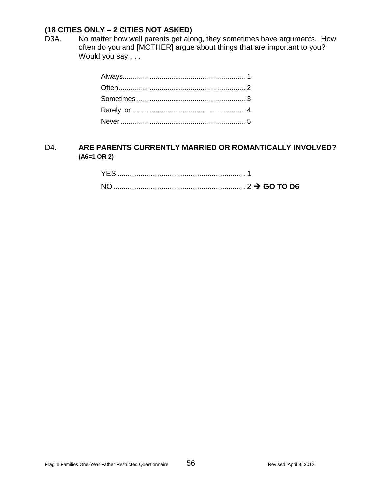# **(18 CITIES ONLY – 2 CITIES NOT ASKED)**

D3A. No matter how well parents get along, they sometimes have arguments. How often do you and [MOTHER] argue about things that are important to you? Would you say . . .

## D4. **ARE PARENTS CURRENTLY MARRIED OR ROMANTICALLY INVOLVED? (A6=1 OR 2)**

| $N \cap$ |  |  |
|----------|--|--|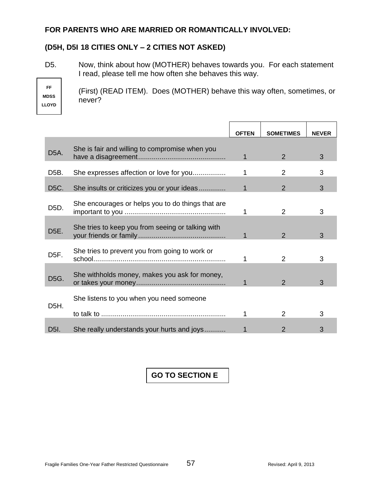### **FOR PARENTS WHO ARE MARRIED OR ROMANTICALLY INVOLVED:**

# **(D5H, D5I 18 CITIES ONLY – 2 CITIES NOT ASKED)**

D5. Now, think about how (MOTHER) behaves towards you. For each statement I read, please tell me how often she behaves this way.

**FF MDSS LLOYD**

(First) (READ ITEM). Does (MOTHER) behave this way often, sometimes, or never?

|                   |                                                   | <b>OFTEN</b> | <b>SOMETIMES</b> | <b>NEVER</b> |
|-------------------|---------------------------------------------------|--------------|------------------|--------------|
| D <sub>5</sub> A. | She is fair and willing to compromise when you    | 1            | 2                | 3            |
| D <sub>5</sub> B. | She expresses affection or love for you           |              | 2                | 3            |
| D <sub>5</sub> C. | She insults or criticizes you or your ideas       | 1            | 2                | 3            |
| D <sub>5</sub> D. | She encourages or helps you to do things that are |              | 2                | 3            |
| D <sub>5</sub> E. | She tries to keep you from seeing or talking with |              | $\mathcal{P}$    | 3            |
| D <sub>5</sub> F. | She tries to prevent you from going to work or    |              | 2                | 3            |
| D5G.              | She withholds money, makes you ask for money,     | 1            | $\mathcal{P}$    | 3            |
|                   | She listens to you when you need someone          |              |                  |              |
| D5H.              |                                                   | 1            | 2                | 3            |
| D <sub>51</sub> . | She really understands your hurts and joys        |              |                  | 3            |

# **GO TO SECTION E**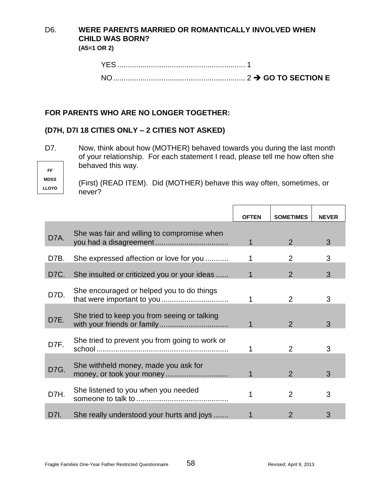# D6. **WERE PARENTS MARRIED OR ROMANTICALLY INVOLVED WHEN CHILD WAS BORN?**

**(A5=1 OR 2)**

| YES |  |
|-----|--|
| NΩ  |  |

# **FOR PARENTS WHO ARE NO LONGER TOGETHER:**

# **(D7H, D7I 18 CITIES ONLY – 2 CITIES NOT ASKED)**

D7. Now, think about how (MOTHER) behaved towards you during the last month of your relationship. For each statement I read, please tell me how often she behaved this way.

**FF MDSS LLOYD**

(First) (READ ITEM). Did (MOTHER) behave this way often, sometimes, or never?

|      |                                                                   | <b>OFTEN</b> | <b>SOMETIMES</b> | <b>NEVER</b> |
|------|-------------------------------------------------------------------|--------------|------------------|--------------|
| D7A. | She was fair and willing to compromise when                       | 1            | 2                | 3            |
| D7B. | She expressed affection or love for you                           |              | $\overline{2}$   | 3            |
| D7C. | She insulted or criticized you or your ideas                      |              | 2                | 3            |
| D7D. | She encouraged or helped you to do things                         |              | $\overline{2}$   | 3            |
| D7E. | She tried to keep you from seeing or talking                      | 1            | $\mathcal{P}$    | 3            |
| D7F. | She tried to prevent you from going to work or                    |              | $\overline{2}$   | 3            |
| D7G. | She withheld money, made you ask for<br>money, or took your money |              | $\mathcal{P}$    | 3            |
| D7H. | She listened to you when you needed                               |              | 2                | 3            |
| D7I. | She really understood your hurts and joys                         |              |                  | 3            |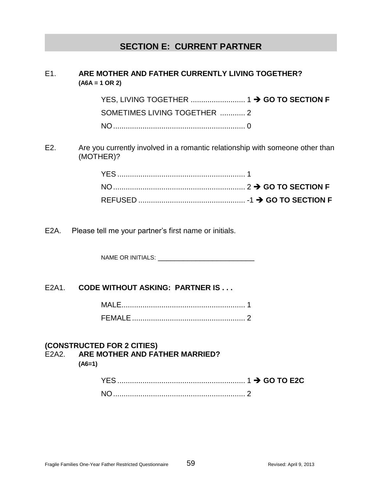# **SECTION E: CURRENT PARTNER**

## E1. **ARE MOTHER AND FATHER CURRENTLY LIVING TOGETHER? (A6A = 1 OR 2)**

YES, LIVING TOGETHER .......................... 1 **GO TO SECTION F** SOMETIMES LIVING TOGETHER ............ 2 NO............................................................... 0

E2. Are you currently involved in a romantic relationship with someone other than (MOTHER)?

E2A. Please tell me your partner's first name or initials.

NAME OR INITIALS: \_\_\_\_\_\_\_\_\_\_\_\_\_\_\_\_\_\_

### E2A1. **CODE WITHOUT ASKING: PARTNER IS . . .**

| FFMALF |  |
|--------|--|

### **(CONSTRUCTED FOR 2 CITIES)** E2A2. **ARE MOTHER AND FATHER MARRIED? (A6=1)**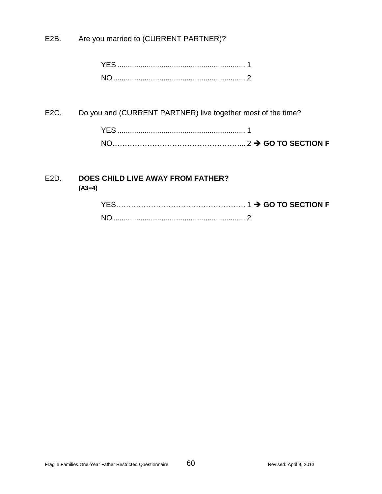E2B. Are you married to (CURRENT PARTNER)?

| NO. |  |
|-----|--|

E2C. Do you and (CURRENT PARTNER) live together most of the time?

| NO. |  |
|-----|--|

# E2D. **DOES CHILD LIVE AWAY FROM FATHER? (A3=4)**

| <b>YES</b>     |  |
|----------------|--|
| N <sub>O</sub> |  |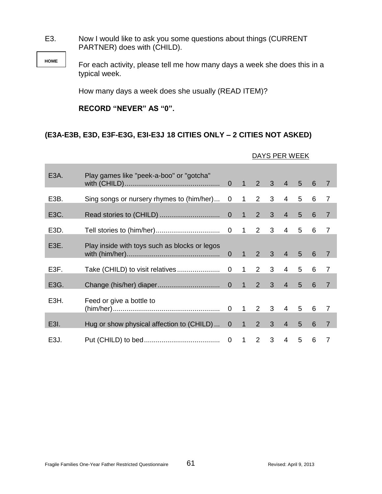E3. Now I would like to ask you some questions about things (CURRENT PARTNER) does with (CHILD).

> For each activity, please tell me how many days a week she does this in a typical week.

How many days a week does she usually (READ ITEM)?

## **RECORD "NEVER" AS "0".**

**HOME**

## **(E3A-E3B, E3D, E3F-E3G, E3I-E3J 18 CITIES ONLY – 2 CITIES NOT ASKED)**

| E <sub>3</sub> A. | Play games like "peek-a-boo" or "gotcha"       |  |             |                |                |                 | 6 | $\overline{7}$ |
|-------------------|------------------------------------------------|--|-------------|----------------|----------------|-----------------|---|----------------|
| E3B.              | Sing songs or nursery rhymes to (him/her) 0 1  |  | $2^{\circ}$ | 3 <sup>1</sup> | $\overline{4}$ | 5               | 6 | $\overline{7}$ |
| E3C.              |                                                |  | $2^{\circ}$ | $\mathbf{3}$   | $\overline{4}$ | 5               | 6 | $\overline{7}$ |
| E3D.              |                                                |  |             |                | $4 \quad$      | $5\quad 6$      |   | $\overline{7}$ |
| E3E.              | Play inside with toys such as blocks or legos  |  |             |                | 4 <sup>1</sup> | 5 <sup>5</sup>  | 6 | $\overline{7}$ |
| E3F.              |                                                |  |             | $2 \quad 3$    | $\overline{4}$ | $5\overline{)}$ | 6 | $\overline{7}$ |
| E3G.              |                                                |  | $2^{\circ}$ | 3 <sup>7</sup> | 4 <sup>1</sup> | 5 <sup>5</sup>  | 6 | $\overline{7}$ |
| E3H.              | Feed or give a bottle to                       |  |             |                |                |                 |   | 7              |
| E <sub>3</sub> I. | Hug or show physical affection to (CHILD)  0 1 |  | $2^{\circ}$ | 3 <sup>7</sup> | $\overline{4}$ | 5               | 6 | $\overline{7}$ |
| E <sub>3</sub> J. |                                                |  | 2           | 3              | $\overline{4}$ | 5               | 6 | 7              |

#### DAYS PER WEEK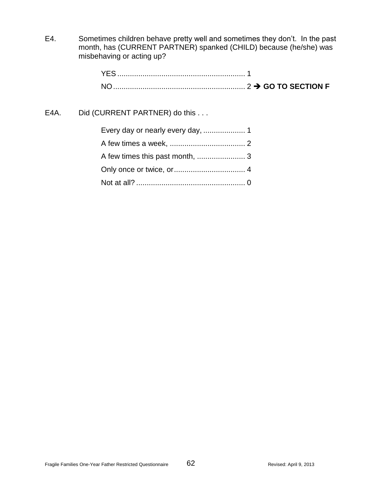E4. Sometimes children behave pretty well and sometimes they don't. In the past month, has (CURRENT PARTNER) spanked (CHILD) because (he/she) was misbehaving or acting up?

| <b>YES</b> |  |
|------------|--|
| NO.        |  |

# E4A. Did (CURRENT PARTNER) do this . . .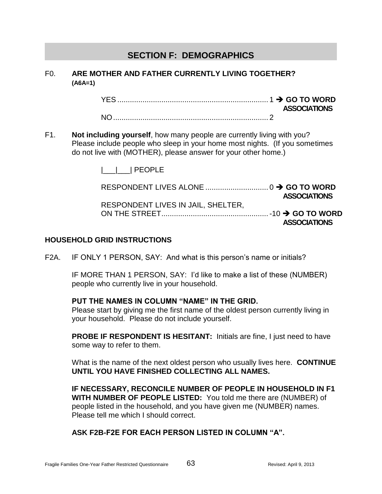# **SECTION F: DEMOGRAPHICS**

### F0. **ARE MOTHER AND FATHER CURRENTLY LIVING TOGETHER? (A6A=1)**

YES ........................................................................ 1 **GO TO WORD ASSOCIATIONS** NO.......................................................................... 2

F1. **Not including yourself**, how many people are currently living with you? Please include people who sleep in your home most nights. (If you sometimes do not live with (MOTHER), please answer for your other home.)

|\_\_\_|\_\_\_| PEOPLE

|                                    | <b>ASSOCIATIONS</b> |
|------------------------------------|---------------------|
| RESPONDENT LIVES IN JAIL, SHELTER, |                     |
|                                    |                     |
|                                    | <b>ASSOCIATIONS</b> |

### **HOUSEHOLD GRID INSTRUCTIONS**

F2A. IF ONLY 1 PERSON, SAY: And what is this person's name or initials?

IF MORE THAN 1 PERSON, SAY: I'd like to make a list of these (NUMBER) people who currently live in your household.

### **PUT THE NAMES IN COLUMN "NAME" IN THE GRID.**

Please start by giving me the first name of the oldest person currently living in your household. Please do not include yourself.

**PROBE IF RESPONDENT IS HESITANT:** Initials are fine, I just need to have some way to refer to them.

What is the name of the next oldest person who usually lives here. **CONTINUE UNTIL YOU HAVE FINISHED COLLECTING ALL NAMES.**

**IF NECESSARY, RECONCILE NUMBER OF PEOPLE IN HOUSEHOLD IN F1 WITH NUMBER OF PEOPLE LISTED:** You told me there are (NUMBER) of people listed in the household, and you have given me (NUMBER) names. Please tell me which I should correct.

**ASK F2B-F2E FOR EACH PERSON LISTED IN COLUMN "A".**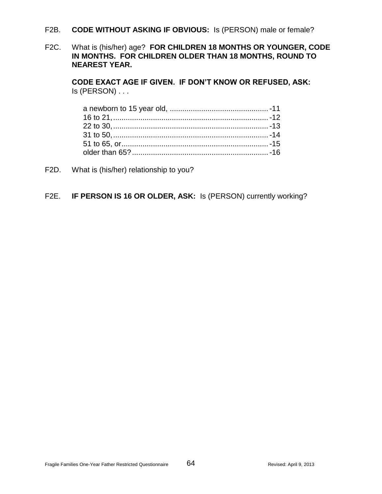- F2B. **CODE WITHOUT ASKING IF OBVIOUS:** Is (PERSON) male or female?
- F2C. What is (his/her) age? **FOR CHILDREN 18 MONTHS OR YOUNGER, CODE IN MONTHS. FOR CHILDREN OLDER THAN 18 MONTHS, ROUND TO NEAREST YEAR.**

**CODE EXACT AGE IF GIVEN. IF DON'T KNOW OR REFUSED, ASK:** Is (PERSON) . . .

F2D. What is (his/her) relationship to you?

## F2E. **IF PERSON IS 16 OR OLDER, ASK:** Is (PERSON) currently working?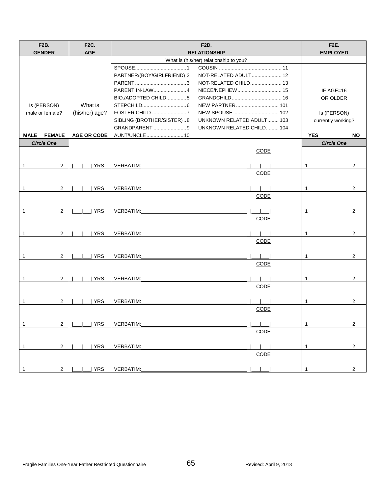| <b>F2B.</b><br><b>GENDER</b>   | <b>F2C.</b><br><b>AGE</b> | <b>F2D.</b><br><b>RELATIONSHIP</b> |                                        |                    | <b>F2E.</b><br><b>EMPLOYED</b> |
|--------------------------------|---------------------------|------------------------------------|----------------------------------------|--------------------|--------------------------------|
|                                |                           |                                    | What is (his/her) relationship to you? |                    |                                |
|                                |                           |                                    |                                        |                    |                                |
|                                |                           | PARTNER/(BOY/GIRLFRIEND) 2         | NOT-RELATED ADULT 12                   |                    |                                |
|                                |                           |                                    | NOT-RELATED CHILD 13                   |                    |                                |
|                                |                           | PARENT IN-LAW4                     |                                        |                    |                                |
|                                |                           |                                    |                                        | IF AGE=16          |                                |
|                                | What is                   | BIO./ADOPTED CHILD5                | NEW PARTNER 101                        | OR OLDER           |                                |
| Is (PERSON)                    |                           |                                    |                                        |                    |                                |
| male or female?                | (his/her) age?            | FOSTER CHILD 7                     | NEW SPOUSE  102                        | Is (PERSON)        |                                |
|                                |                           | SIBLING (BROTHER/SISTER)8          | <b>UNKNOWN RELATED ADULT 103</b>       | currently working? |                                |
|                                |                           | GRANDPARENT 9                      | UNKNOWN RELATED CHILD 104              |                    |                                |
| <b>FEMALE</b><br><b>MALE</b>   | <b>AGE OR CODE</b>        | AUNT/UNCLE  10                     |                                        | <b>YES</b>         | <b>NO</b>                      |
| <b>Circle One</b>              |                           |                                    |                                        | <b>Circle One</b>  |                                |
|                                |                           |                                    | <b>CODE</b>                            |                    |                                |
|                                |                           |                                    |                                        |                    |                                |
| 2<br>1                         | <b>YRS</b>                | <b>VERBATIM:</b>                   |                                        | $\mathbf{1}$       | $\overline{2}$                 |
|                                |                           |                                    | CODE                                   |                    |                                |
|                                |                           |                                    |                                        |                    |                                |
| $\mathbf{1}$<br>$\overline{2}$ | <b>YRS</b>                | VERBATIM:                          |                                        | $\mathbf{1}$       | $\overline{2}$                 |
|                                |                           |                                    | CODE                                   |                    |                                |
|                                |                           |                                    |                                        |                    |                                |
| $\overline{2}$<br>$\mathbf{1}$ | <b>YRS</b>                | VERBATIM:                          |                                        | $\mathbf{1}$       | $\overline{2}$                 |
|                                |                           |                                    | CODE                                   |                    |                                |
|                                |                           |                                    |                                        |                    |                                |
| $\overline{2}$<br>$\mathbf{1}$ | <b>YRS</b>                | VERBATIM:                          |                                        | $\mathbf{1}$       | $\overline{2}$                 |
|                                |                           |                                    | CODE                                   |                    |                                |
|                                |                           |                                    |                                        |                    |                                |
| $\overline{2}$<br>$\mathbf{1}$ | <b>YRS</b>                | <b>VERBATIM:</b>                   |                                        | $\mathbf{1}$       | 2                              |
|                                |                           |                                    | CODE                                   |                    |                                |
|                                |                           |                                    |                                        |                    |                                |
| $\overline{2}$<br>$\mathbf{1}$ | <b>YRS</b>                | VERBATIM:                          |                                        | $\mathbf{1}$       | $\overline{2}$                 |
|                                |                           |                                    | CODE                                   |                    |                                |
|                                |                           |                                    |                                        |                    |                                |
| $\mathbf{1}$<br>2              | <b>YRS</b>                | <b>VERBATIM:</b>                   |                                        | $\mathbf{1}$       | 2                              |
|                                |                           |                                    | CODE                                   |                    |                                |
|                                |                           |                                    |                                        |                    |                                |
|                                |                           |                                    |                                        |                    |                                |
| $\mathbf{1}$<br>$\overline{c}$ | <b>YRS</b>                | VERBATIM:                          |                                        | 1                  | $\overline{c}$                 |
|                                |                           |                                    | <b>CODE</b>                            |                    |                                |
|                                |                           |                                    |                                        |                    |                                |
| $\overline{2}$<br>1            | <b>YRS</b>                | VERBATIM:                          |                                        |                    | $\overline{2}$                 |
|                                |                           |                                    | CODE                                   |                    |                                |
|                                |                           |                                    |                                        |                    |                                |
| $\overline{2}$                 | YRS                       | VERBATIM:                          |                                        |                    | $\overline{2}$                 |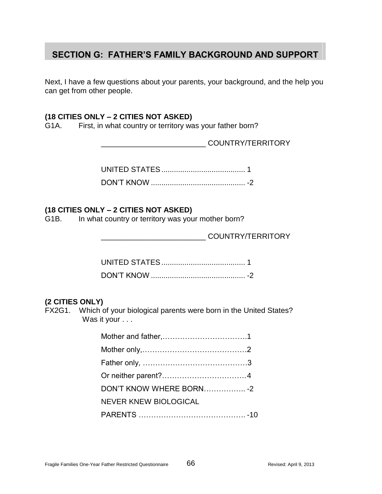# **SECTION G: FATHER'S FAMILY BACKGROUND AND SUPPORT**

Next, I have a few questions about your parents, your background, and the help you can get from other people.

### **(18 CITIES ONLY – 2 CITIES NOT ASKED)**

G1A. First, in what country or territory was your father born?

\_\_\_\_\_\_\_\_\_\_\_\_\_\_\_\_\_\_\_\_\_\_\_\_\_ COUNTRY/TERRITORY

## **(18 CITIES ONLY – 2 CITIES NOT ASKED)**

G1B. In what country or territory was your mother born?

\_\_\_\_\_\_\_\_\_\_\_\_\_\_\_\_\_\_\_\_\_\_\_\_\_ COUNTRY/TERRITORY

## **(2 CITIES ONLY)**

FX2G1. Which of your biological parents were born in the United States? Was it your . . .

| DON'T KNOW WHERE BORN -2     |  |
|------------------------------|--|
| <b>NEVER KNEW BIOLOGICAL</b> |  |
|                              |  |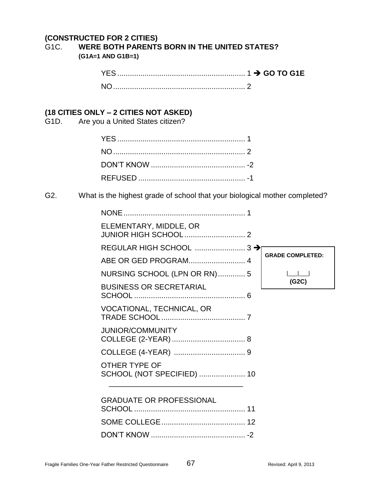# **(CONSTRUCTED FOR 2 CITIES)**

## G1C. **WERE BOTH PARENTS BORN IN THE UNITED STATES? (G1A=1 AND G1B=1)**

## **(18 CITIES ONLY – 2 CITIES NOT ASKED)**

G1D. Are you a United States citizen?

## G2. What is the highest grade of school that your biological mother completed?

| ELEMENTARY, MIDDLE, OR                      |                         |
|---------------------------------------------|-------------------------|
| REGULAR HIGH SCHOOL  3 →                    |                         |
| ABE OR GED PROGRAM 4                        | <b>GRADE COMPLETED:</b> |
| NURSING SCHOOL (LPN OR RN) 5                |                         |
| <b>BUSINESS OR SECRETARIAL</b>              | (G2C)                   |
| <b>VOCATIONAL, TECHNICAL, OR</b>            |                         |
| <b>JUNIOR/COMMUNITY</b>                     |                         |
|                                             |                         |
| OTHER TYPE OF<br>SCHOOL (NOT SPECIFIED)  10 |                         |
| <b>GRADUATE OR PROFESSIONAL</b>             |                         |
|                                             |                         |
|                                             |                         |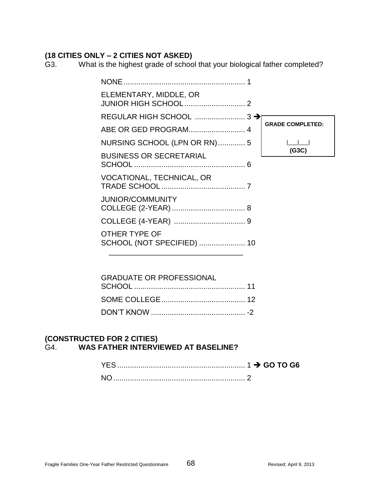# **(18 CITIES ONLY – 2 CITIES NOT ASKED)**

G3. What is the highest grade of school that your biological father completed?

| ELEMENTARY, MIDDLE, OR                      |                         |
|---------------------------------------------|-------------------------|
|                                             |                         |
|                                             | <b>GRADE COMPLETED:</b> |
| NURSING SCHOOL (LPN OR RN)  5               |                         |
| <b>BUSINESS OR SECRETARIAL</b>              | (G3C)                   |
| VOCATIONAL, TECHNICAL, OR                   |                         |
| <b>JUNIOR/COMMUNITY</b>                     |                         |
|                                             |                         |
| OTHER TYPE OF<br>SCHOOL (NOT SPECIFIED)  10 |                         |
| GRADUATE OR PROFESSIONAL                    |                         |

| <b>GRADUATE OR PROFESSIONAL</b> |  |
|---------------------------------|--|
|                                 |  |
|                                 |  |
|                                 |  |

## **(CONSTRUCTED FOR 2 CITIES)** G4. **WAS FATHER INTERVIEWED AT BASELINE?**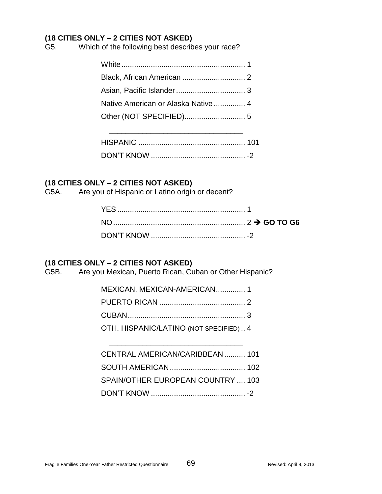## **(18 CITIES ONLY – 2 CITIES NOT ASKED)**

G5. Which of the following best describes your race?

| Native American or Alaska Native  4 |  |
|-------------------------------------|--|
|                                     |  |
|                                     |  |

\_\_\_\_\_\_\_\_\_\_\_\_\_\_\_\_\_\_\_\_\_\_\_\_\_\_\_\_\_\_\_\_

# **(18 CITIES ONLY – 2 CITIES NOT ASKED)**

G5A. Are you of Hispanic or Latino origin or decent?

# **(18 CITIES ONLY – 2 CITIES NOT ASKED)**

G5B. Are you Mexican, Puerto Rican, Cuban or Other Hispanic?

| MEXICAN, MEXICAN-AMERICAN 1            |  |
|----------------------------------------|--|
|                                        |  |
|                                        |  |
| OTH. HISPANIC/LATINO (NOT SPECIFIED) 4 |  |

\_\_\_\_\_\_\_\_\_\_\_\_\_\_\_\_\_\_\_\_\_\_\_\_\_\_\_\_\_\_\_\_

| CENTRAL AMERICAN/CARIBBEAN  101   |  |
|-----------------------------------|--|
|                                   |  |
| SPAIN/OTHER EUROPEAN COUNTRY  103 |  |
|                                   |  |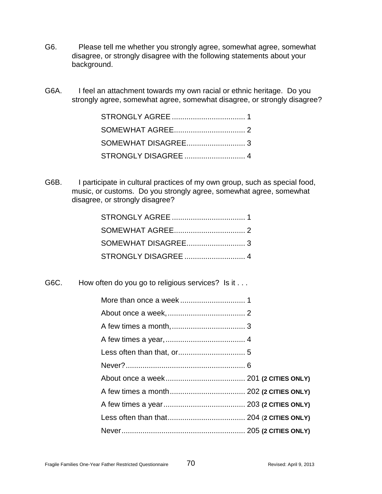- G6. Please tell me whether you strongly agree, somewhat agree, somewhat disagree, or strongly disagree with the following statements about your background.
- G6A. I feel an attachment towards my own racial or ethnic heritage. Do you strongly agree, somewhat agree, somewhat disagree, or strongly disagree?

G6B. I participate in cultural practices of my own group, such as special food, music, or customs. Do you strongly agree, somewhat agree, somewhat disagree, or strongly disagree?

G6C. How often do you go to religious services? Is it . . .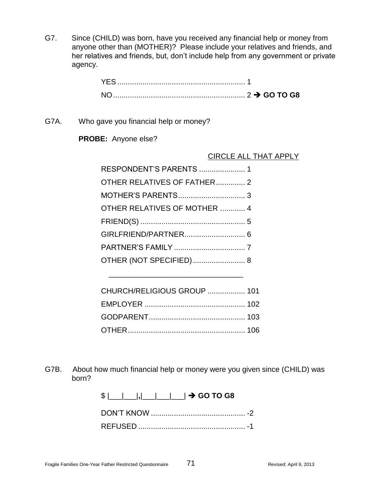G7. Since (CHILD) was born, have you received any financial help or money from anyone other than (MOTHER)? Please include your relatives and friends, and her relatives and friends, but, don't include help from any government or private agency.

G7A. Who gave you financial help or money?

**PROBE:** Anyone else?

#### CIRCLE ALL THAT APPLY

| RESPONDENT'S PARENTS  1      |  |
|------------------------------|--|
| OTHER RELATIVES OF FATHER 2  |  |
|                              |  |
| OTHER RELATIVES OF MOTHER  4 |  |
|                              |  |
|                              |  |
|                              |  |
| OTHER (NOT SPECIFIED) 8      |  |
|                              |  |

| CHURCH/RELIGIOUS GROUP  101 |  |
|-----------------------------|--|
|                             |  |
|                             |  |
|                             |  |

\_\_\_\_\_\_\_\_\_\_\_\_\_\_\_\_\_\_\_\_\_\_\_\_\_\_\_\_\_\_\_\_

G7B. About how much financial help or money were you given since (CHILD) was born?

\$ |\_\_\_|\_\_\_|**,**|\_\_\_|\_\_\_|\_\_\_| **GO TO G8**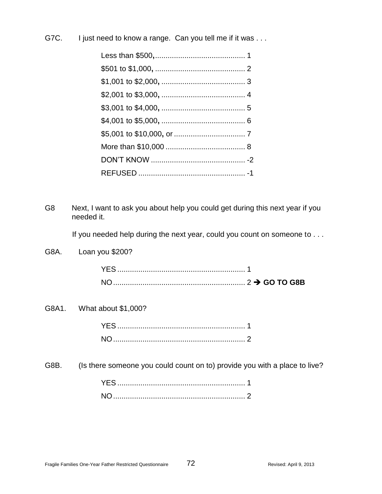G7C. I just need to know a range. Can you tell me if it was . . .

G8 Next, I want to ask you about help you could get during this next year if you needed it.

If you needed help during the next year, could you count on someone to . . .

G8A. Loan you \$200?

YES ............................................................. 1 NO............................................................... 2 **GO TO G8B**

G8A1. What about \$1,000?

G8B. (Is there someone you could count on to) provide you with a place to live?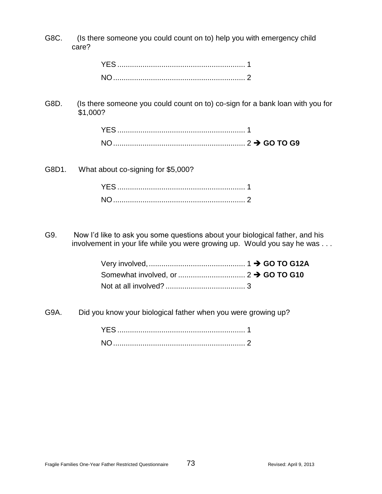G8C. (Is there someone you could count on to) help you with emergency child care?

G8D. (Is there someone you could count on to) co-sign for a bank loan with you for \$1,000?

G8D1. What about co-signing for \$5,000?

G9. Now I'd like to ask you some questions about your biological father, and his involvement in your life while you were growing up. Would you say he was . . .

G9A. Did you know your biological father when you were growing up?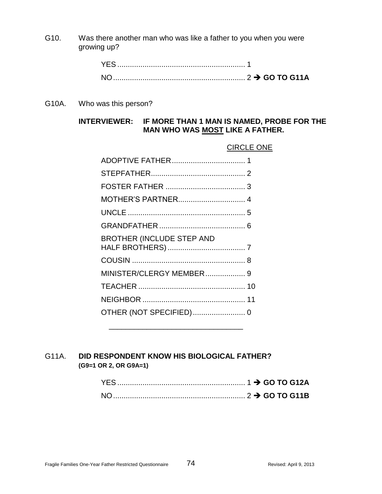G10. Was there another man who was like a father to you when you were growing up?

| <b>NO</b> |  |  |
|-----------|--|--|

G10A. Who was this person?

## **INTERVIEWER: IF MORE THAN 1 MAN IS NAMED, PROBE FOR THE MAN WHO WAS MOST LIKE A FATHER.**

#### CIRCLE ONE

| MOTHER'S PARTNER 4               |  |
|----------------------------------|--|
|                                  |  |
|                                  |  |
| <b>BROTHER (INCLUDE STEP AND</b> |  |
|                                  |  |
| MINISTER/CLERGY MEMBER 9         |  |
|                                  |  |
|                                  |  |
|                                  |  |
|                                  |  |

\_\_\_\_\_\_\_\_\_\_\_\_\_\_\_\_\_\_\_\_\_\_\_\_\_\_\_\_\_\_\_\_

### G11A. **DID RESPONDENT KNOW HIS BIOLOGICAL FATHER? (G9=1 OR 2, OR G9A=1)**

| <b>NO</b> |  |  |
|-----------|--|--|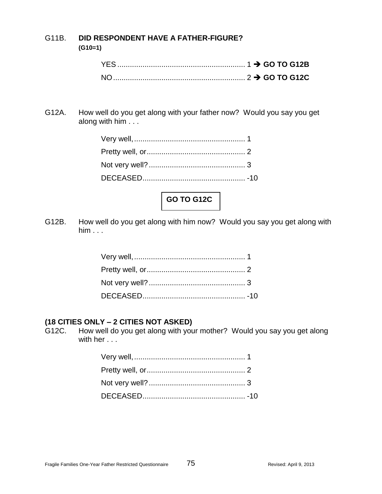### G11B. **DID RESPONDENT HAVE A FATHER-FIGURE? (G10=1)**

G12A. How well do you get along with your father now? Would you say you get along with him . . .



G12B. How well do you get along with him now? Would you say you get along with him . . .

### **(18 CITIES ONLY – 2 CITIES NOT ASKED)**

G12C. How well do you get along with your mother? Would you say you get along with her . . .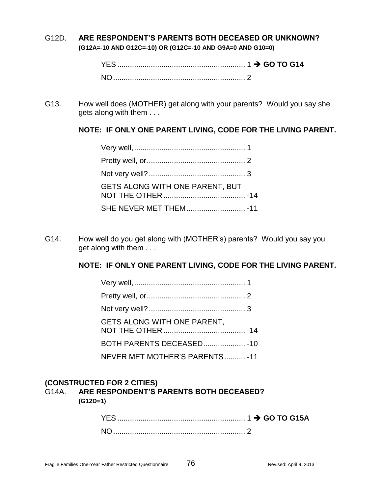#### G12D. **ARE RESPONDENT'S PARENTS BOTH DECEASED OR UNKNOWN? (G12A=-10 AND G12C=-10) OR (G12C=-10 AND G9A=0 AND G10=0)**

| <b>NO</b> |  |
|-----------|--|

G13. How well does (MOTHER) get along with your parents? Would you say she gets along with them . . .

### **NOTE: IF ONLY ONE PARENT LIVING, CODE FOR THE LIVING PARENT.**

| GETS ALONG WITH ONE PARENT. BUT |  |
|---------------------------------|--|
|                                 |  |

G14. How well do you get along with (MOTHER's) parents? Would you say you get along with them . . .

## **NOTE: IF ONLY ONE PARENT LIVING, CODE FOR THE LIVING PARENT.**

| GETS ALONG WITH ONE PARENT,    |  |
|--------------------------------|--|
| BOTH PARENTS DECEASED - 10     |  |
| NEVER MET MOTHER'S PARENTS -11 |  |

#### **(CONSTRUCTED FOR 2 CITIES)**

G14A. **ARE RESPONDENT'S PARENTS BOTH DECEASED? (G12D=1)**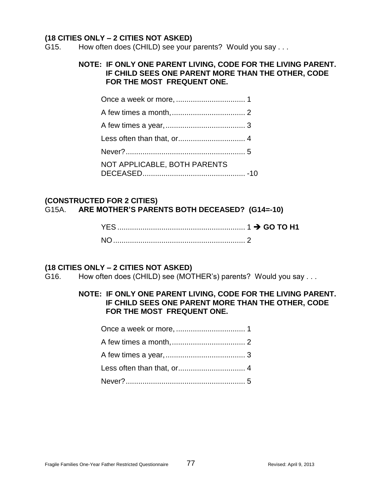#### **(18 CITIES ONLY – 2 CITIES NOT ASKED)**

G15. How often does (CHILD) see your parents? Would you say . . .

#### **NOTE: IF ONLY ONE PARENT LIVING, CODE FOR THE LIVING PARENT. IF CHILD SEES ONE PARENT MORE THAN THE OTHER, CODE FOR THE MOST FREQUENT ONE.**

| NOT APPLICABLE, BOTH PARENTS |  |
|------------------------------|--|

#### **(CONSTRUCTED FOR 2 CITIES)** G15A. **ARE MOTHER'S PARENTS BOTH DECEASED? (G14=-10)**

| <b>YES</b> |  |  |
|------------|--|--|
| <b>NO</b>  |  |  |

#### **(18 CITIES ONLY – 2 CITIES NOT ASKED)**

G16. How often does (CHILD) see (MOTHER's) parents? Would you say . . .

#### **NOTE: IF ONLY ONE PARENT LIVING, CODE FOR THE LIVING PARENT. IF CHILD SEES ONE PARENT MORE THAN THE OTHER, CODE FOR THE MOST FREQUENT ONE.**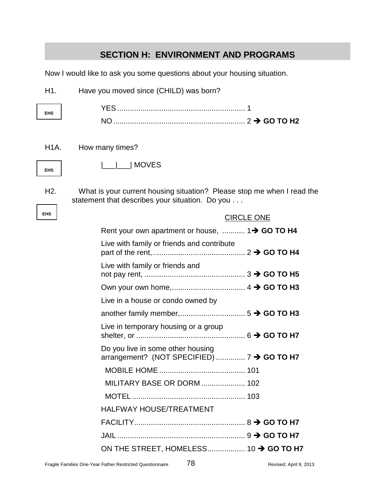|                   | <b>SECTION H: ENVIRONMENT AND PROGRAMS</b>                                                                                |                   |
|-------------------|---------------------------------------------------------------------------------------------------------------------------|-------------------|
|                   | Now I would like to ask you some questions about your housing situation.                                                  |                   |
| H1.               | Have you moved since (CHILD) was born?                                                                                    |                   |
|                   |                                                                                                                           |                   |
| <b>EHS</b>        |                                                                                                                           |                   |
|                   |                                                                                                                           |                   |
| H <sub>1</sub> A. | How many times?                                                                                                           |                   |
| <b>EHS</b>        | MOVES                                                                                                                     |                   |
|                   |                                                                                                                           |                   |
| H <sub>2</sub> .  | What is your current housing situation? Please stop me when I read the<br>statement that describes your situation. Do you |                   |
| <b>EHS</b>        |                                                                                                                           | <b>CIRCLE ONE</b> |
|                   | Rent your own apartment or house,  1→ GO TO H4                                                                            |                   |
|                   | Live with family or friends and contribute                                                                                |                   |
|                   | Live with family or friends and                                                                                           |                   |
|                   |                                                                                                                           |                   |
|                   | Live in a house or condo owned by                                                                                         |                   |
|                   |                                                                                                                           |                   |
|                   | Live in temporary housing or a group                                                                                      |                   |
|                   | Do you live in some other housing<br>arrangement? (NOT SPECIFIED)  7 → GO TO H7                                           |                   |
|                   |                                                                                                                           |                   |
|                   | <b>MILITARY BASE OR DORM  102</b>                                                                                         |                   |
|                   |                                                                                                                           |                   |
|                   | <b>HALFWAY HOUSE/TREATMENT</b>                                                                                            |                   |
|                   |                                                                                                                           |                   |
|                   |                                                                                                                           |                   |
|                   | ON THE STREET, HOMELESS 10 → GO TO H7                                                                                     |                   |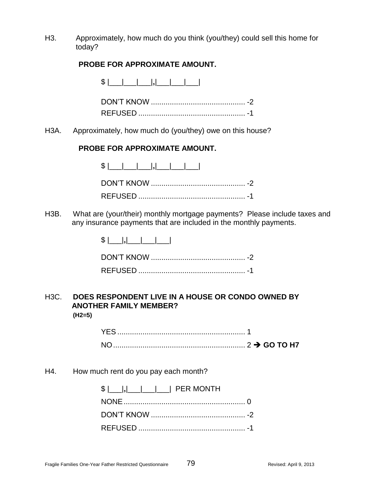H3. Approximately, how much do you think (you/they) could sell this home for today?

#### **PROBE FOR APPROXIMATE AMOUNT.**

\$ |\_\_\_|\_\_\_|\_\_\_|**,**|\_\_\_|\_\_\_|\_\_\_|

DON'T KNOW ............................................. -2 REFUSED ................................................... -1

H3A. Approximately, how much do (you/they) owe on this house?

#### **PROBE FOR APPROXIMATE AMOUNT.**

H3B. What are (your/their) monthly mortgage payments? Please include taxes and any insurance payments that are included in the monthly payments.

### H3C. **DOES RESPONDENT LIVE IN A HOUSE OR CONDO OWNED BY ANOTHER FAMILY MEMBER? (H2=5)**

YES ............................................................. 1 NO............................................................... 2 **GO TO H7**

H4. How much rent do you pay each month?

| $ S $    ,                         PER MONTH |  |
|----------------------------------------------|--|
|                                              |  |
|                                              |  |
|                                              |  |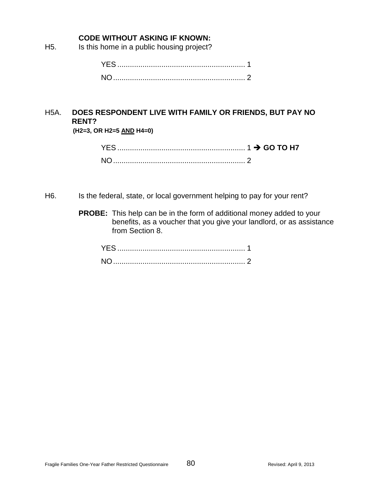### **CODE WITHOUT ASKING IF KNOWN:**

H5. Is this home in a public housing project?

# H5A. **DOES RESPONDENT LIVE WITH FAMILY OR FRIENDS, BUT PAY NO RENT?**

**(H2=3, OR H2=5 AND H4=0)**

| <b>YES</b>     |  |
|----------------|--|
| N <sub>C</sub> |  |

- H6. Is the federal, state, or local government helping to pay for your rent?
	- **PROBE:** This help can be in the form of additional money added to your benefits, as a voucher that you give your landlord, or as assistance from Section 8.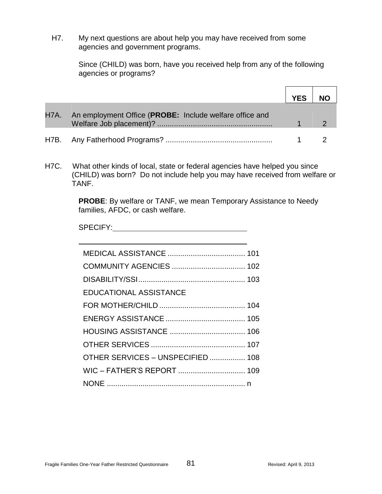H7. My next questions are about help you may have received from some agencies and government programs.

> Since (CHILD) was born, have you received help from any of the following agencies or programs?

|                                                              | <b>YES</b> |  |
|--------------------------------------------------------------|------------|--|
| H7A. An employment Office (PROBE: Include welfare office and |            |  |
|                                                              |            |  |

H7C. What other kinds of local, state or federal agencies have helped you since (CHILD) was born? Do not include help you may have received from welfare or TANF.

> **PROBE**: By welfare or TANF, we mean Temporary Assistance to Needy families, AFDC, or cash welfare.

SPECIFY:

| <b>EDUCATIONAL ASSISTANCE</b>     |  |
|-----------------------------------|--|
|                                   |  |
|                                   |  |
|                                   |  |
|                                   |  |
| OTHER SERVICES - UNSPECIFIED  108 |  |
|                                   |  |
|                                   |  |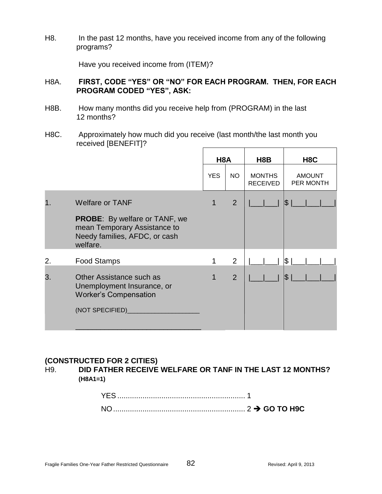H8. In the past 12 months, have you received income from any of the following programs?

Have you received income from (ITEM)?

## H8A. **FIRST, CODE "YES" OR "NO" FOR EACH PROGRAM. THEN, FOR EACH PROGRAM CODED "YES", ASK:**

- H8B. How many months did you receive help from (PROGRAM) in the last 12 months?
- H8C. Approximately how much did you receive (last month/the last month you received [BENEFIT]?

|    |                                                                                                                                 | H <sub>8</sub> A |                | H <sub>8</sub> B                 | H <sub>8</sub> C           |
|----|---------------------------------------------------------------------------------------------------------------------------------|------------------|----------------|----------------------------------|----------------------------|
|    |                                                                                                                                 | <b>YES</b>       | <b>NO</b>      | <b>MONTHS</b><br><b>RECEIVED</b> | <b>AMOUNT</b><br>PER MONTH |
|    | <b>Welfare or TANF</b><br><b>PROBE:</b> By welfare or TANF, we<br>mean Temporary Assistance to<br>Needy families, AFDC, or cash | 1                | $\overline{2}$ |                                  | S                          |
| 2. | welfare.<br><b>Food Stamps</b>                                                                                                  |                  | 2              |                                  | \$                         |
| 3. | Other Assistance such as<br>Unemployment Insurance, or<br><b>Worker's Compensation</b><br>(NOT SPECIFIED)                       |                  | $\overline{2}$ |                                  | \$                         |

#### **(CONSTRUCTED FOR 2 CITIES)**

H9. **DID FATHER RECEIVE WELFARE OR TANF IN THE LAST 12 MONTHS? (H8A1=1)**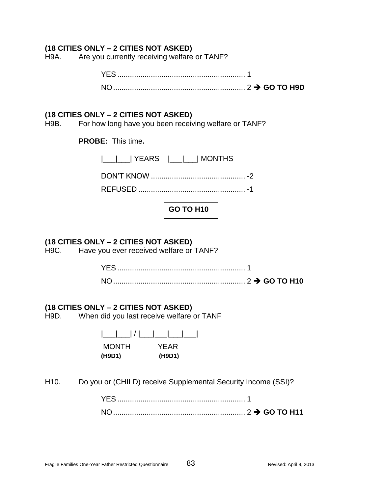### **(18 CITIES ONLY – 2 CITIES NOT ASKED)**

H9A. Are you currently receiving welfare or TANF?

#### **(18 CITIES ONLY – 2 CITIES NOT ASKED)**

H9B. For how long have you been receiving welfare or TANF?

**PROBE:** This time**.**

| $ \_\_\_\_\_\ $ YEARS $ \_\_\_\_\ $ MONTHS |
|--------------------------------------------|
|                                            |
|                                            |

**GO TO H10**

## **(18 CITIES ONLY – 2 CITIES NOT ASKED)**

H9C. Have you ever received welfare or TANF?

YES ............................................................. 1 NO............................................................... 2 **GO TO H10**

#### **(18 CITIES ONLY – 2 CITIES NOT ASKED)**

H9D. When did you last receive welfare or TANF

| $\lfloor \underline{\qquad} \rfloor / \lfloor$ |        |
|------------------------------------------------|--------|
| <b>MONTH</b>                                   | YFAR   |
| (H9D1)                                         | (H9D1) |

H10. Do you or (CHILD) receive Supplemental Security Income (SSI)?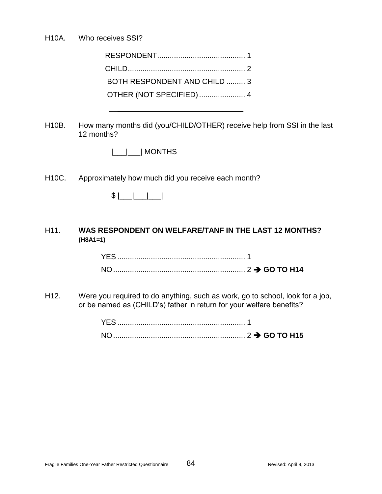H10A. Who receives SSI?

| BOTH RESPONDENT AND CHILD  3 |  |
|------------------------------|--|
| OTHER (NOT SPECIFIED)  4     |  |

 $\overline{\phantom{a}}$  , where the contract of the contract of the contract of the contract of the contract of the contract of the contract of the contract of the contract of the contract of the contract of the contract of the contr

H10B. How many months did (you/CHILD/OTHER) receive help from SSI in the last 12 months?

|  | I MONTHS |
|--|----------|
|--|----------|

H10C. Approximately how much did you receive each month?

\$ |\_\_\_|\_\_\_|\_\_\_|

## H11. **WAS RESPONDENT ON WELFARE/TANF IN THE LAST 12 MONTHS? (H8A1=1)**

H12. Were you required to do anything, such as work, go to school, look for a job, or be named as (CHILD's) father in return for your welfare benefits?

| NO <sub>1</sub> |  |
|-----------------|--|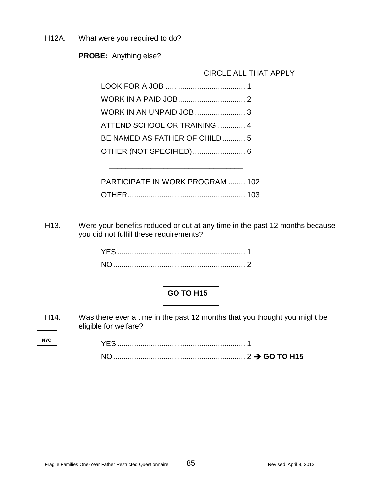H12A. What were you required to do?

**PROBE:** Anything else?

CIRCLE ALL THAT APPLY

| ATTEND SCHOOL OR TRAINING  4            |  |
|-----------------------------------------|--|
| BE NAMED AS FATHER OF CHILD 5           |  |
| OTHER (NOT SPECIFIED) 6                 |  |
|                                         |  |
| <b>PARTICIPATE IN WORK PROGRAM  102</b> |  |
|                                         |  |

H13. Were your benefits reduced or cut at any time in the past 12 months because you did not fulfill these requirements?

H14. Was there ever a time in the past 12 months that you thought you might be eligible for welfare?

**NYC**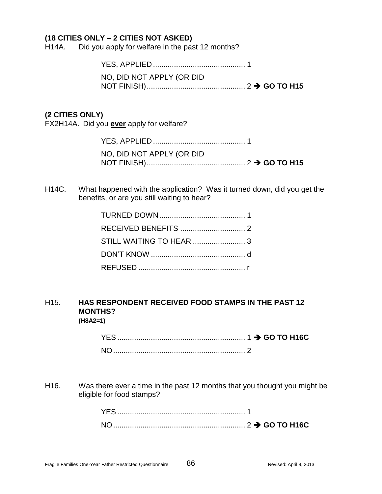### **(18 CITIES ONLY – 2 CITIES NOT ASKED)**

H14A. Did you apply for welfare in the past 12 months?

YES, APPLIED ............................................ 1

NO, DID NOT APPLY (OR DID NOT FINISH)............................................... 2 **GO TO H15**

### **(2 CITIES ONLY)**

FX2H14A. Did you **ever** apply for welfare?

| NO, DID NOT APPLY (OR DID |
|---------------------------|
|                           |

H14C. What happened with the application? Was it turned down, did you get the benefits, or are you still waiting to hear?

#### H15. **HAS RESPONDENT RECEIVED FOOD STAMPS IN THE PAST 12 MONTHS? (H8A2=1)**

| NO <sub>2</sub> |  |
|-----------------|--|

H16. Was there ever a time in the past 12 months that you thought you might be eligible for food stamps?

| <b>YES</b> |  |
|------------|--|
| <b>NO</b>  |  |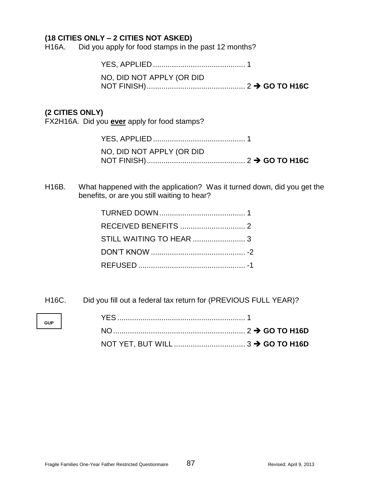### **(18 CITIES ONLY – 2 CITIES NOT ASKED)**

H16A. Did you apply for food stamps in the past 12 months?

YES, APPLIED ............................................ 1

NO, DID NOT APPLY (OR DID NOT FINISH)............................................... 2 **GO TO H16C**

### **(2 CITIES ONLY)**

FX2H16A. Did you **ever** apply for food stamps?

| NO, DID NOT APPLY (OR DID |
|---------------------------|
|                           |

H16B. What happened with the application? Was it turned down, did you get the benefits, or are you still waiting to hear?

H16C. Did you fill out a federal tax return for (PREVIOUS FULL YEAR)?

| <b>GUP</b> |  |  |
|------------|--|--|
|            |  |  |
|            |  |  |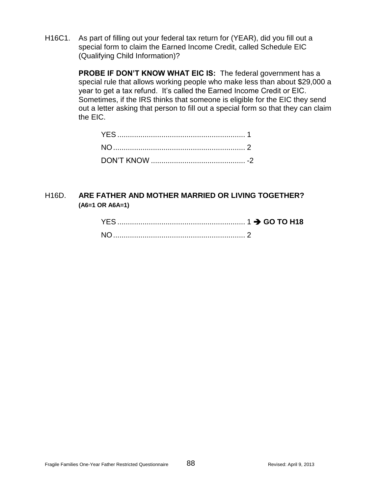H16C1. As part of filling out your federal tax return for (YEAR), did you fill out a special form to claim the Earned Income Credit, called Schedule EIC (Qualifying Child Information)?

> **PROBE IF DON'T KNOW WHAT EIC IS:** The federal government has a special rule that allows working people who make less than about \$29,000 a year to get a tax refund. It's called the Earned Income Credit or EIC. Sometimes, if the IRS thinks that someone is eligible for the EIC they send out a letter asking that person to fill out a special form so that they can claim the EIC.

## H16D. **ARE FATHER AND MOTHER MARRIED OR LIVING TOGETHER? (A6=1 OR A6A=1)**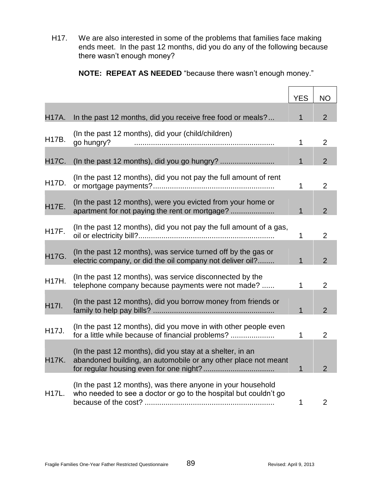H17. We are also interested in some of the problems that families face making ends meet. In the past 12 months, did you do any of the following because there wasn't enough money?

**NOTE: REPEAT AS NEEDED** "because there wasn't enough money."

|              |                                                                                                                                 | <b>YES</b>   | <b>NO</b>      |
|--------------|---------------------------------------------------------------------------------------------------------------------------------|--------------|----------------|
| <b>H17A.</b> | In the past 12 months, did you receive free food or meals?                                                                      | 1            | $\overline{2}$ |
| H17B.        | (In the past 12 months), did your (child/children)<br>go hungry?                                                                | $\mathbf{1}$ | $\overline{2}$ |
| H17C.        |                                                                                                                                 | $\mathbf{1}$ | $\overline{2}$ |
| H17D.        | (In the past 12 months), did you not pay the full amount of rent                                                                | 1            | $\overline{2}$ |
| <b>H17E.</b> | (In the past 12 months), were you evicted from your home or<br>apartment for not paying the rent or mortgage?                   | $\mathbf{1}$ | $\overline{2}$ |
| <b>H17F.</b> | (In the past 12 months), did you not pay the full amount of a gas,                                                              | $\mathbf 1$  | $\overline{2}$ |
| H17G.        | (In the past 12 months), was service turned off by the gas or<br>electric company, or did the oil company not deliver oil?      | $\mathbf{1}$ | $\overline{2}$ |
| <b>H17H.</b> | (In the past 12 months), was service disconnected by the<br>telephone company because payments were not made?                   | 1            | $\overline{2}$ |
| H17I.        | (In the past 12 months), did you borrow money from friends or                                                                   | $\mathbf{1}$ | $\overline{2}$ |
| H17J.        | (In the past 12 months), did you move in with other people even<br>for a little while because of financial problems?            | 1            | 2              |
| <b>H17K.</b> | (In the past 12 months), did you stay at a shelter, in an<br>abandoned building, an automobile or any other place not meant     | $\mathbf{1}$ | $\overline{2}$ |
| H17L.        | (In the past 12 months), was there anyone in your household<br>who needed to see a doctor or go to the hospital but couldn't go | 1            | 2              |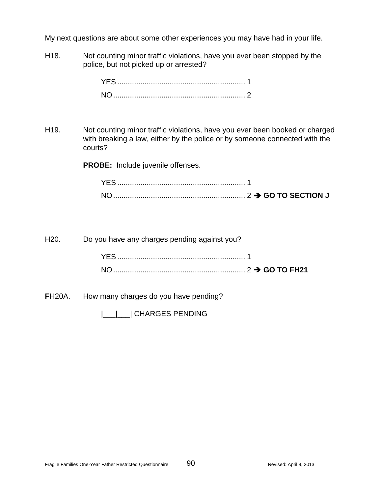My next questions are about some other experiences you may have had in your life.

H18. Not counting minor traffic violations, have you ever been stopped by the police, but not picked up or arrested?

H19. Not counting minor traffic violations, have you ever been booked or charged with breaking a law, either by the police or by someone connected with the courts?

**PROBE:** Include juvenile offenses.

| YES. |  |
|------|--|
| N()  |  |

| Do you have any charges pending against you? | H20. The set of the set of the set of the set of the set of the set of the set of the set of the set of the se |
|----------------------------------------------|----------------------------------------------------------------------------------------------------------------|
|                                              |                                                                                                                |
|                                              |                                                                                                                |
|                                              |                                                                                                                |

**F**H20A. How many charges do you have pending?

|\_\_\_|\_\_\_| CHARGES PENDING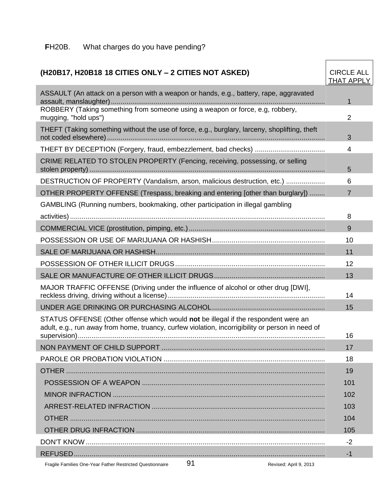#### **F**H20B. What charges do you have pending?

## **(H20B17, H20B18 18 CITIES ONLY – 2 CITIES NOT ASKED)** CIRCLE ALL

Fragile Families One-Year Father Restricted Questionnaire 91 Revised: April 9, 2013 THAT APPLY ASSAULT (An attack on a person with a weapon or hands, e.g., battery, rape, aggravated assault, manslaughter).............................................................................................................. 1 ROBBERY (Taking something from someone using a weapon or force, e.g, robbery, mugging, "hold ups") 2 THEFT (Taking something without the use of force, e.g., burglary, larceny, shoplifting, theft not coded elsewhere)................................................................................................................ 3 THEFT BY DECEPTION (Forgery, fraud, embezzlement, bad checks) .................................... 4 CRIME RELATED TO STOLEN PROPERTY (Fencing, receiving, possessing, or selling stolen property) ......................................................................................................................... 5 DESTRUCTION OF PROPERTY (Vandalism, arson, malicious destruction, etc.) .................... 6 OTHER PROPERTY OFFENSE (Trespass, breaking and entering [other than burglary]) ........ 7 GAMBLING (Running numbers, bookmaking, other participation in illegal gambling activities)................................................................................................................................... 8 COMMERCIAL VICE (prostitution, pimping, etc.)...................................................................... 9 POSSESSION OR USE OF MARIJUANA OR HASHISH.......................................................... 10 SALE OF MARIJUANA OR HASHISH....................................................................................... 11 POSSESSION OF OTHER ILLICIT DRUGS............................................................................. 12 SALE OR MANUFACTURE OF OTHER ILLICIT DRUGS......................................................... 13 MAJOR TRAFFIC OFFENSE (Driving under the influence of alcohol or other drug [DWI], reckless driving, driving without a license)................................................................................. 14 UNDER AGE DRINKING OR PURCHASING ALCOHOL.......................................................... 15 STATUS OFFENSE (Other offense which would **not** be illegal if the respondent were an adult, e.g., run away from home, truancy, curfew violation, incorrigibility or person in need of supervision)............................................................................................................................... 16 NON PAYMENT OF CHILD SUPPORT .................................................................................... 17 PAROLE OR PROBATION VIOLATION ................................................................................... 18 OTHER ..................................................................................................................................... 19 POSSESSION OF A WEAPON .............................................................................................. 101 MINOR INFRACTION ............................................................................................................. 102 ARREST-RELATED INFRACTION ......................................................................................... 103 OTHER ................................................................................................................................... 104 OTHER DRUG INFRACTION ................................................................................................. 105 DON'T KNOW........................................................................................................................... -2 REFUSED................................................................................................................................. -1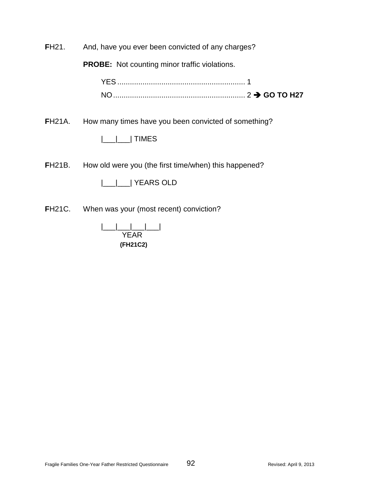**F**H21. And, have you ever been convicted of any charges?

**PROBE:** Not counting minor traffic violations.

| <b>NO</b> |  |
|-----------|--|

**F**H21A. How many times have you been convicted of something?

|\_\_\_|\_\_\_| TIMES

**FH21B.** How old were you (the first time/when) this happened?

|\_\_\_|\_\_\_| YEARS OLD

**FH21C.** When was your (most recent) conviction?

|\_\_\_|\_\_\_|\_\_\_|\_\_\_| YEAR **(FH21C2)**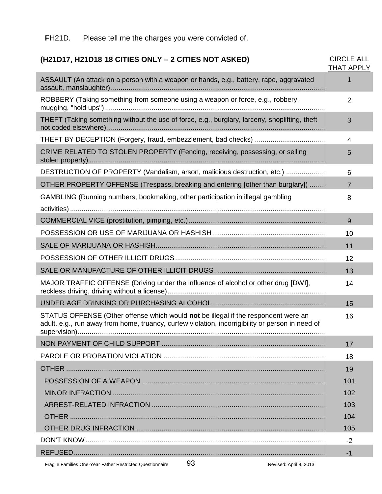#### **F**H21D. Please tell me the charges you were convicted of.

## Fragile Families One-Year Father Restricted Questionnaire 93 Revised: April 9, 2013 **(H21D17, H21D18 18 CITIES ONLY – 2 CITIES NOT ASKED)** CIRCLE ALL THAT APPLY ASSAULT (An attack on a person with a weapon or hands, e.g., battery, rape, aggravated assault, manslaughter).............................................................................................................. 1 ROBBERY (Taking something from someone using a weapon or force, e.g., robbery, mugging, "hold ups")................................................................................................................. 2 THEFT (Taking something without the use of force, e.g., burglary, larceny, shoplifting, theft not coded elsewhere)................................................................................................................ 3 THEFT BY DECEPTION (Forgery, fraud, embezzlement, bad checks) .................................... 4 CRIME RELATED TO STOLEN PROPERTY (Fencing, receiving, possessing, or selling stolen property) ......................................................................................................................... 5 DESTRUCTION OF PROPERTY (Vandalism, arson, malicious destruction, etc.) .................... 6 OTHER PROPERTY OFFENSE (Trespass, breaking and entering [other than burglary]) ........ 7 GAMBLING (Running numbers, bookmaking, other participation in illegal gambling activities)................................................................................................................................... 8 COMMERCIAL VICE (prostitution, pimping, etc.)...................................................................... 9 POSSESSION OR USE OF MARIJUANA OR HASHISH.......................................................... 10 SALE OF MARIJUANA OR HASHISH....................................................................................... 11 POSSESSION OF OTHER ILLICIT DRUGS............................................................................. 12 SALE OR MANUFACTURE OF OTHER ILLICIT DRUGS......................................................... 13 MAJOR TRAFFIC OFFENSE (Driving under the influence of alcohol or other drug [DWI], reckless driving, driving without a license)................................................................................. 14 UNDER AGE DRINKING OR PURCHASING ALCOHOL.......................................................... 15 STATUS OFFENSE (Other offense which would **not** be illegal if the respondent were an adult, e.g., run away from home, truancy, curfew violation, incorrigibility or person in need of supervision)............................................................................................................................... 16 NON PAYMENT OF CHILD SUPPORT .................................................................................... 17 PAROLE OR PROBATION VIOLATION ................................................................................... 18 OTHER ..................................................................................................................................... 19 POSSESSION OF A WEAPON .............................................................................................. 101 MINOR INFRACTION ............................................................................................................. 102 ARREST-RELATED INFRACTION ......................................................................................... 103 OTHER ................................................................................................................................... 104 OTHER DRUG INFRACTION ................................................................................................. 105 DON'T KNOW........................................................................................................................... -2 REFUSED................................................................................................................................. -1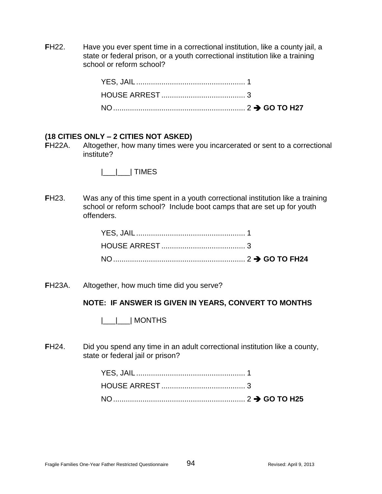**FH22.** Have you ever spent time in a correctional institution, like a county jail, a state or federal prison, or a youth correctional institution like a training school or reform school?

#### **(18 CITIES ONLY – 2 CITIES NOT ASKED)**

**F**H22A. Altogether, how many times were you incarcerated or sent to a correctional institute?

|\_\_\_|\_\_\_| TIMES

**FH23.** Was any of this time spent in a youth correctional institution like a training school or reform school? Include boot camps that are set up for youth offenders.

**F**H23A. Altogether, how much time did you serve?

#### **NOTE: IF ANSWER IS GIVEN IN YEARS, CONVERT TO MONTHS**

|\_\_\_|\_\_\_| MONTHS

**F**H24. Did you spend any time in an adult correctional institution like a county, state or federal jail or prison?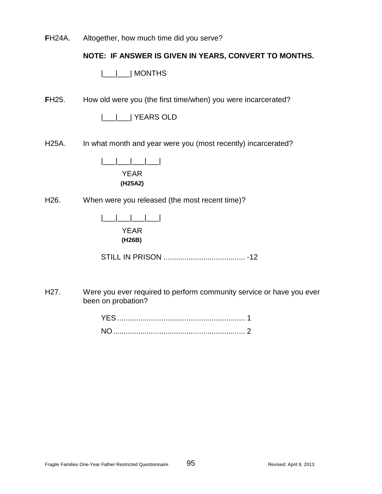**F**H24A. Altogether, how much time did you serve?

## **NOTE: IF ANSWER IS GIVEN IN YEARS, CONVERT TO MONTHS.**

|\_\_\_|\_\_\_| MONTHS

**FH25.** How old were you (the first time/when) you were incarcerated?

|\_\_\_|\_\_\_| YEARS OLD

H25A. In what month and year were you (most recently) incarcerated?

|\_\_\_|\_\_\_|\_\_\_|\_\_\_| YEAR **(H25A2)**

H26. When were you released (the most recent time)?

| <b>YEAR</b> |
|-------------|
| (H26B)      |

STILL IN PRISON ....................................... -12

H27. Were you ever required to perform community service or have you ever been on probation?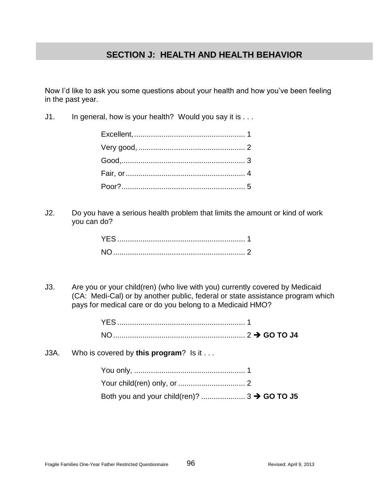# **SECTION J: HEALTH AND HEALTH BEHAVIOR**

Now I'd like to ask you some questions about your health and how you've been feeling in the past year.

J1. In general, how is your health? Would you say it is ...

J2. Do you have a serious health problem that limits the amount or kind of work you can do?

J3. Are you or your child(ren) (who live with you) currently covered by Medicaid (CA: Medi-Cal) or by another public, federal or state assistance program which pays for medical care or do you belong to a Medicaid HMO?

| J3A. Who is covered by this program? Is it |
|--------------------------------------------|
|                                            |
|                                            |

| $\sim$ $\sim$ $\sim$ $\sim$ |                                                        |
|-----------------------------|--------------------------------------------------------|
|                             | Both you and your child(ren)? $3 \rightarrow$ GO TO J5 |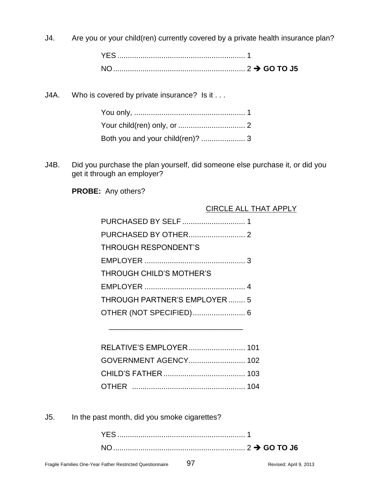J4. Are you or your child(ren) currently covered by a private health insurance plan?

J4A. Who is covered by private insurance? Is it . . .

J4B. Did you purchase the plan yourself, did someone else purchase it, or did you get it through an employer?

**PROBE:** Any others?

## CIRCLE ALL THAT APPLY

| <b>THROUGH RESPONDENT'S</b>  |
|------------------------------|
|                              |
| THROUGH CHILD'S MOTHER'S     |
|                              |
| THROUGH PARTNER'S EMPLOYER 5 |
|                              |
|                              |

| GOVERNMENT AGENCY 102 |  |
|-----------------------|--|
|                       |  |
|                       |  |

\_\_\_\_\_\_\_\_\_\_\_\_\_\_\_\_\_\_\_\_\_\_\_\_\_\_\_\_\_\_\_\_

J5. In the past month, did you smoke cigarettes?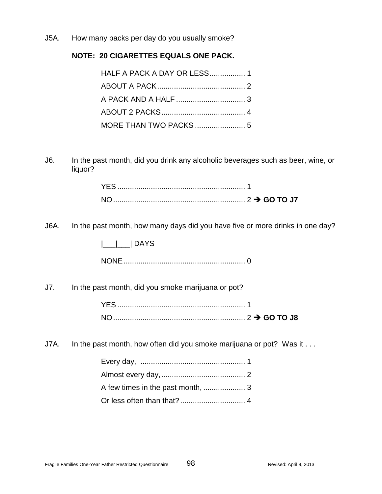J5A. How many packs per day do you usually smoke?

## **NOTE: 20 CIGARETTES EQUALS ONE PACK.**

J6. In the past month, did you drink any alcoholic beverages such as beer, wine, or liquor?

| YES. |  |
|------|--|
| NO.  |  |

J6A. In the past month, how many days did you have five or more drinks in one day?

|\_\_\_|\_\_\_| DAYS

NONE.......................................................... 0

J7. In the past month, did you smoke marijuana or pot?

| NC<br>$\ldots$ 2 $\rightarrow$ GO TO J8 |  |
|-----------------------------------------|--|

J7A. In the past month, how often did you smoke marijuana or pot? Was it . . .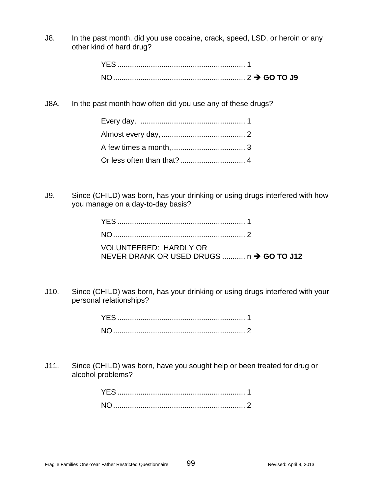J8. In the past month, did you use cocaine, crack, speed, LSD, or heroin or any other kind of hard drug?

J8A. In the past month how often did you use any of these drugs?

J9. Since (CHILD) was born, has your drinking or using drugs interfered with how you manage on a day-to-day basis?

| <b>VOLUNTEERED: HARDLY OR</b>            |  |
|------------------------------------------|--|
| NEVER DRANK OR USED DRUGS  n → GO TO J12 |  |

J10. Since (CHILD) was born, has your drinking or using drugs interfered with your personal relationships?

J11. Since (CHILD) was born, have you sought help or been treated for drug or alcohol problems?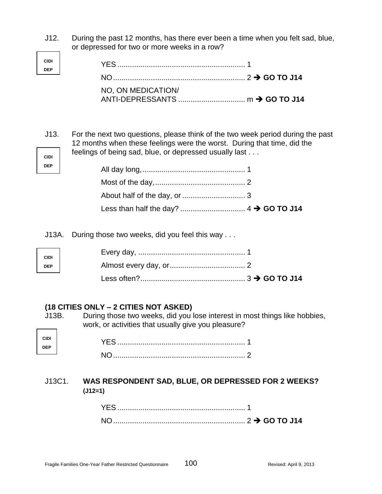J12. During the past 12 months, has there ever been a time when you felt sad, blue, or depressed for two or more weeks in a row?

| NO, ON MEDICATION/ |  |
|--------------------|--|
|                    |  |

**CIDI** J13. For the next two questions, please think of the two week period during the past 12 months when these feelings were the worst. During that time, did the feelings of being sad, blue, or depressed usually last . . .

J13A. During those two weeks, did you feel this way . . .

#### **(18 CITIES ONLY – 2 CITIES NOT ASKED)**

**CIDI DEP**

**DEP**

**CIDI DEP**

**CIDI DEP**

J13B. During those two weeks, did you lose interest in most things like hobbies, work, or activities that usually give you pleasure?

## J13C1. **WAS RESPONDENT SAD, BLUE, OR DEPRESSED FOR 2 WEEKS? (J12=1)**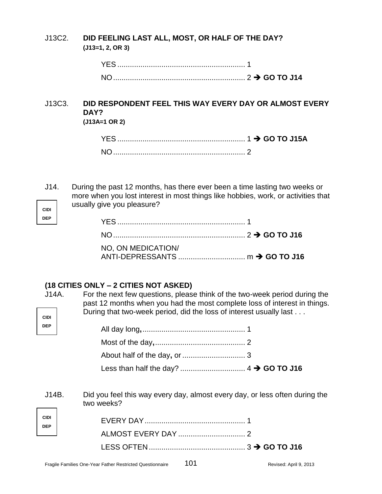## J13C2. **DID FEELING LAST ALL, MOST, OR HALF OF THE DAY? (J13=1, 2, OR 3)**

| ↑ GO TO J14 CONTRACT NAMED IN THE UNIT OF THE UPPER PROPERTY OF THE UPPER PROPERTY. |  |
|-------------------------------------------------------------------------------------|--|

## J13C3. **DID RESPONDENT FEEL THIS WAY EVERY DAY OR ALMOST EVERY DAY? (J13A=1 OR 2)**

**CIDI** J14. During the past 12 months, has there ever been a time lasting two weeks or more when you lost interest in most things like hobbies, work, or activities that usually give you pleasure?

| NO, ON MEDICATION/ |  |
|--------------------|--|

## **(18 CITIES ONLY – 2 CITIES NOT ASKED)**

**DEP**

| J14A.<br><b>CIDI</b> | For the next few questions, please think of the two-week period during the<br>past 12 months when you had the most complete loss of interest in things.<br>During that two-week period, did the loss of interest usually last |
|----------------------|-------------------------------------------------------------------------------------------------------------------------------------------------------------------------------------------------------------------------------|
| <b>DEP</b>           |                                                                                                                                                                                                                               |
|                      |                                                                                                                                                                                                                               |
|                      |                                                                                                                                                                                                                               |
|                      |                                                                                                                                                                                                                               |
| J14B.                | Did you feel this way every day, almost every day, or less often during the<br>two weeks?                                                                                                                                     |
| <b>CIDI</b>          |                                                                                                                                                                                                                               |
| <b>DEP</b>           |                                                                                                                                                                                                                               |
|                      |                                                                                                                                                                                                                               |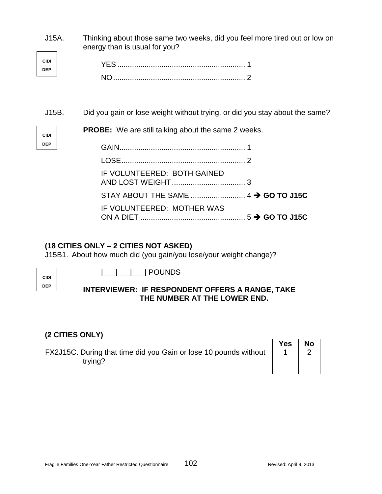| J15A.<br><b>CIDI</b><br><b>DEP</b> | Thinking about those same two weeks, did you feel more tired out or low on<br>energy than is usual for you?                               |
|------------------------------------|-------------------------------------------------------------------------------------------------------------------------------------------|
| J15B.<br><b>CIDI</b><br><b>DEP</b> | Did you gain or lose weight without trying, or did you stay about the same?<br><b>PROBE:</b> We are still talking about the same 2 weeks. |
|                                    | IF VOLUNTEERED: BOTH GAINED<br>IF VOLUNTEERED: MOTHER WAS                                                                                 |

# **(18 CITIES ONLY – 2 CITIES NOT ASKED)**

J15B1. About how much did (you gain/you lose/your weight change)?

**CIDI DEP** |\_\_\_|\_\_\_|\_\_\_| POUNDS

## **INTERVIEWER: IF RESPONDENT OFFERS A RANGE, TAKE THE NUMBER AT THE LOWER END.**

# **(2 CITIES ONLY)**

FX2J15C. During that time did you Gain or lose 10 pounds without trying?

| <b>Yes</b> | <b>No</b> |
|------------|-----------|
|            |           |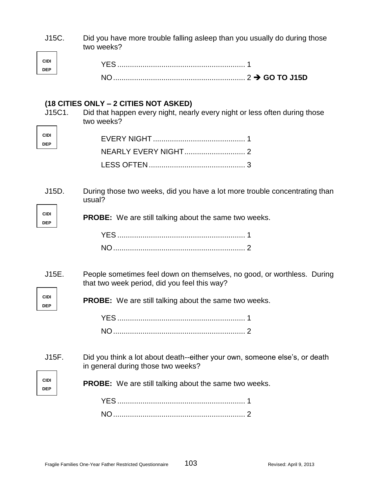| J15C.                              | Did you have more trouble falling asleep than you usually do during those<br>two weeks?                                           |
|------------------------------------|-----------------------------------------------------------------------------------------------------------------------------------|
| <b>CIDI</b><br><b>DEP</b>          |                                                                                                                                   |
|                                    |                                                                                                                                   |
| J15C1.                             | (18 CITIES ONLY – 2 CITIES NOT ASKED)<br>Did that happen every night, nearly every night or less often during those<br>two weeks? |
| <b>CIDI</b><br><b>DEP</b>          |                                                                                                                                   |
|                                    |                                                                                                                                   |
|                                    |                                                                                                                                   |
| J15D.<br><b>CIDI</b><br><b>DEP</b> | During those two weeks, did you have a lot more trouble concentrating than<br>usual?                                              |
|                                    | <b>PROBE:</b> We are still talking about the same two weeks.                                                                      |
|                                    |                                                                                                                                   |
|                                    |                                                                                                                                   |
| J15E.<br><b>CIDI</b><br><b>DEP</b> | People sometimes feel down on themselves, no good, or worthless. During<br>that two week period, did you feel this way?           |
|                                    | <b>PROBE:</b> We are still talking about the same two weeks.                                                                      |
|                                    |                                                                                                                                   |
|                                    |                                                                                                                                   |
| J15F.<br><b>CIDI</b><br><b>DEP</b> | Did you think a lot about death--either your own, someone else's, or death<br>in general during those two weeks?                  |
|                                    | <b>PROBE:</b> We are still talking about the same two weeks.                                                                      |
|                                    |                                                                                                                                   |
|                                    |                                                                                                                                   |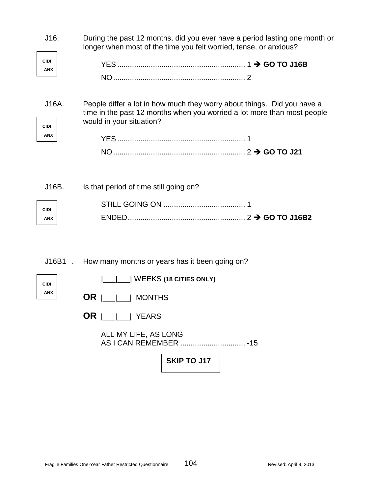| During the past 12 months, did you ever have a period lasting one month or<br>longer when most of the time you felt worried, tense, or anxious?                                |
|--------------------------------------------------------------------------------------------------------------------------------------------------------------------------------|
| People differ a lot in how much they worry about things. Did you have a<br>time in the past 12 months when you worried a lot more than most people<br>would in your situation? |
| Is that period of time still going on?                                                                                                                                         |
| How many months or years has it been going on?<br>$\Box$ WEEKS (18 CITIES ONLY)<br>OR.<br>    MONTHS<br>$OR \mid \mid \cdot \mid$ YEARS<br>ALL MY LIFE, AS LONG                |
|                                                                                                                                                                                |

**SKIP TO J17**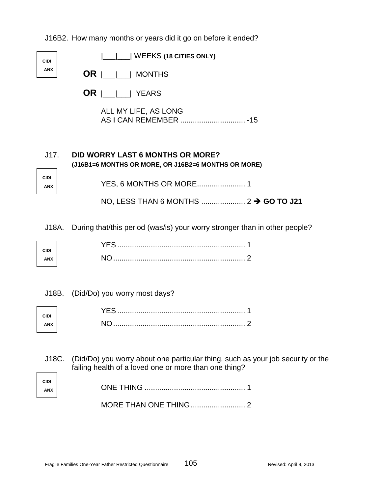J16B2. How many months or years did it go on before it ended?

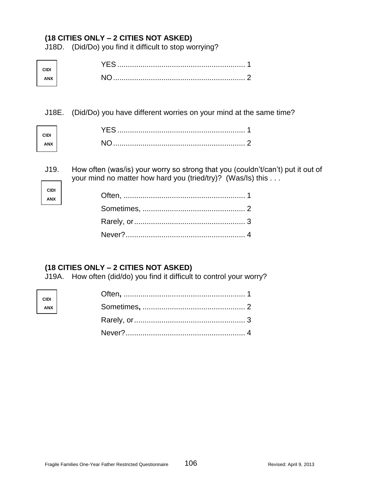J18D. (Did/Do) you find it difficult to stop worrying?

J18E. (Did/Do) you have different worries on your mind at the same time?

| CID |  |
|-----|--|
|     |  |

J19. How often (was/is) your worry so strong that you (couldn't/can't) put it out of your mind no matter how hard you (tried/try)? (Was/Is) this . . .

| CIDI |  |
|------|--|
| ANX  |  |

# **(18 CITIES ONLY – 2 CITIES NOT ASKED)**

J19A. How often (did/do) you find it difficult to control your worry?

| CIDI<br>ANX |  |
|-------------|--|
|             |  |
|             |  |
|             |  |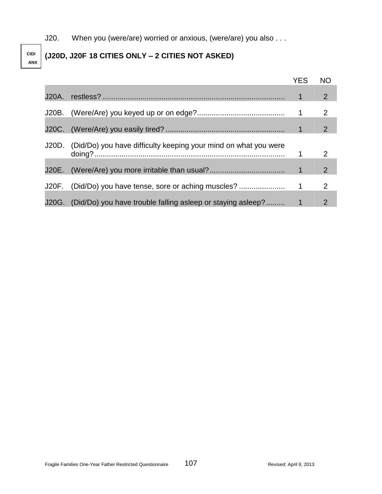J20. When you (were/are) worried or anxious, (were/are) you also . . .

# **(J20D, J20F 18 CITIES ONLY – 2 CITIES NOT ASKED)**

**CIDI ANX**

|       |                                                                       | <b>YES</b> | <b>NO</b>             |
|-------|-----------------------------------------------------------------------|------------|-----------------------|
| J20A. |                                                                       | 1          | 2 <sup>1</sup>        |
|       |                                                                       |            | 2                     |
|       |                                                                       |            | 2 <sup>1</sup>        |
|       | J20D. (Did/Do) you have difficulty keeping your mind on what you were |            | 2                     |
| J20E. |                                                                       |            | $\mathbf{2}^{\prime}$ |
| J20F. |                                                                       |            | 2                     |
|       | J20G. (Did/Do) you have trouble falling asleep or staying asleep?     |            | 2                     |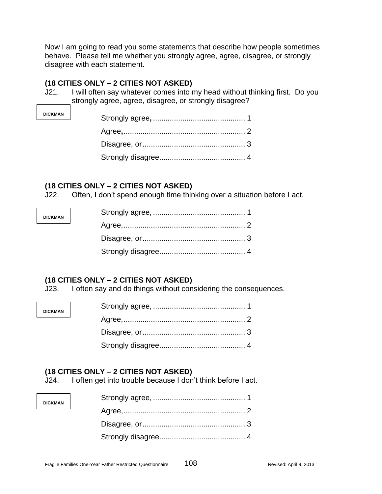Now I am going to read you some statements that describe how people sometimes behave. Please tell me whether you strongly agree, agree, disagree, or strongly disagree with each statement.

#### **(18 CITIES ONLY – 2 CITIES NOT ASKED)**

**DICKMAN**

**DICKMAN**

**DICKMAN**

**DICKMAN**

J21. I will often say whatever comes into my head without thinking first. Do you strongly agree, agree, disagree, or strongly disagree?

### **(18 CITIES ONLY – 2 CITIES NOT ASKED)**

J22. Often, I don't spend enough time thinking over a situation before I act.

# **(18 CITIES ONLY – 2 CITIES NOT ASKED)**

J23. I often say and do things without considering the consequences.

# **(18 CITIES ONLY – 2 CITIES NOT ASKED)**

J24. I often get into trouble because I don't think before I act.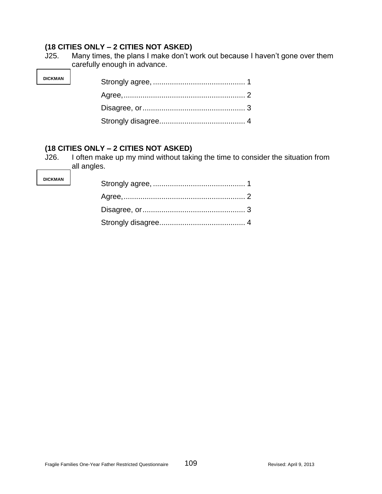**DICKMAN**

J25. Many times, the plans I make don't work out because I haven't gone over them carefully enough in advance.

# **(18 CITIES ONLY – 2 CITIES NOT ASKED)**

J26. I often make up my mind without taking the time to consider the situation from all angles.

| <b>DICKMAN</b> |  |
|----------------|--|
|                |  |
|                |  |
|                |  |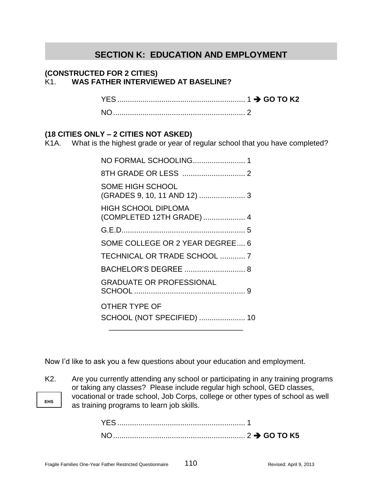# **SECTION K: EDUCATION AND EMPLOYMENT**

#### **(CONSTRUCTED FOR 2 CITIES)** K1. **WAS FATHER INTERVIEWED AT BASELINE?**

YES ............................................................. 1 **GO TO K2**

NO............................................................... 2

# **(18 CITIES ONLY – 2 CITIES NOT ASKED)**

K1A. What is the highest grade or year of regular school that you have completed?

| NO FORMAL SCHOOLING 1                                   |
|---------------------------------------------------------|
|                                                         |
| <b>SOME HIGH SCHOOL</b><br>(GRADES 9, 10, 11 AND 12)  3 |
| <b>HIGH SCHOOL DIPLOMA</b><br>(COMPLETED 12TH GRADE)  4 |
|                                                         |
| SOME COLLEGE OR 2 YEAR DEGREE 6                         |
| TECHNICAL OR TRADE SCHOOL  7                            |
|                                                         |
| <b>GRADUATE OR PROFESSIONAL</b>                         |
| OTHER TYPE OF<br>SCHOOL (NOT SPECIFIED)  10             |
|                                                         |

Now I'd like to ask you a few questions about your education and employment.

**EHS**

K2. Are you currently attending any school or participating in any training programs or taking any classes? Please include regular high school, GED classes, vocational or trade school, Job Corps, college or other types of school as well as training programs to learn job skills.

> YES ............................................................. 1 NO............................................................... 2 **GO TO K5**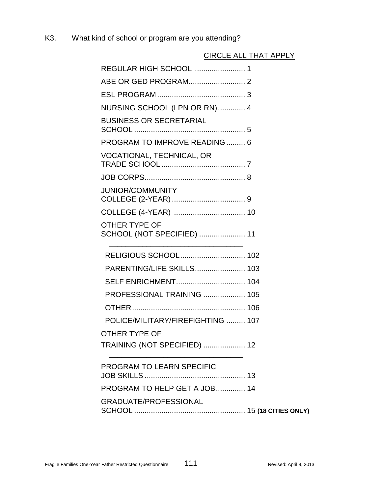K3. What kind of school or program are you attending?

# CIRCLE ALL THAT APPLY

| NURSING SCHOOL (LPN OR RN)  4               |  |
|---------------------------------------------|--|
| <b>BUSINESS OR SECRETARIAL</b>              |  |
| PROGRAM TO IMPROVE READING 6                |  |
| VOCATIONAL, TECHNICAL, OR                   |  |
|                                             |  |
| <b>JUNIOR/COMMUNITY</b>                     |  |
|                                             |  |
| OTHER TYPE OF<br>SCHOOL (NOT SPECIFIED)  11 |  |
| RELIGIOUS SCHOOL 102                        |  |
|                                             |  |
| SELF ENRICHMENT 104                         |  |
| PROFESSIONAL TRAINING  105                  |  |
|                                             |  |
| POLICE/MILITARY/FIREFIGHTING  107           |  |
| OTHER TYPE OF                               |  |
| TRAINING (NOT SPECIFIED)  12                |  |
| PROGRAM TO LEARN SPECIFIC                   |  |
| PROGRAM TO HELP GET A JOB 14                |  |
| GRADUATE/PROFESSIONAL                       |  |
|                                             |  |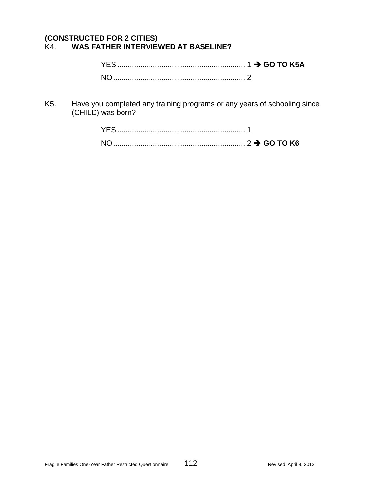#### **(CONSTRUCTED FOR 2 CITIES)** WAS FATHER INTERVIEWED AT BASELINE?

| NO. |  |
|-----|--|

K5. Have you completed any training programs or any years of schooling since (CHILD) was born?

| ΝO |  |
|----|--|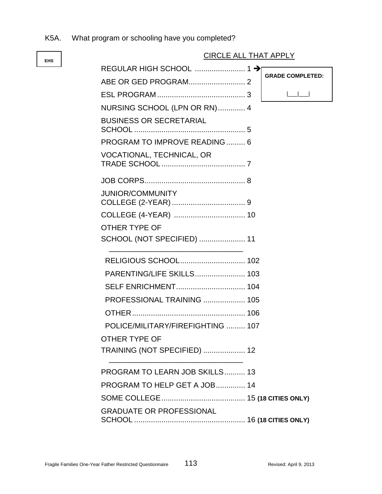K5A. What program or schooling have you completed?

# CIRCLE ALL THAT APPLY

|                                   | <b>GRADE COMPLETED:</b> |
|-----------------------------------|-------------------------|
|                                   |                         |
| NURSING SCHOOL (LPN OR RN) 4      |                         |
| <b>BUSINESS OR SECRETARIAL</b>    |                         |
| PROGRAM TO IMPROVE READING  6     |                         |
| <b>VOCATIONAL, TECHNICAL, OR</b>  |                         |
|                                   |                         |
| <b>JUNIOR/COMMUNITY</b>           |                         |
|                                   |                         |
| <b>OTHER TYPE OF</b>              |                         |
| SCHOOL (NOT SPECIFIED)  11        |                         |
|                                   |                         |
| PARENTING/LIFE SKILLS 103         |                         |
|                                   |                         |
| PROFESSIONAL TRAINING  105        |                         |
|                                   |                         |
| POLICE/MILITARY/FIREFIGHTING  107 |                         |
| OTHER TYPE OF                     |                         |
| TRAINING (NOT SPECIFIED)  12      |                         |
| PROGRAM TO LEARN JOB SKILLS 13    |                         |
| PROGRAM TO HELP GET A JOB 14      |                         |
|                                   |                         |
| <b>GRADUATE OR PROFESSIONAL</b>   |                         |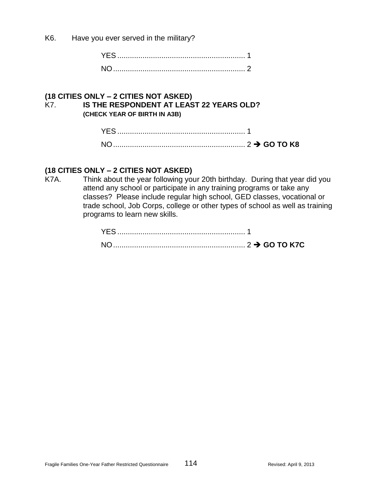K6. Have you ever served in the military?

#### **(18 CITIES ONLY – 2 CITIES NOT ASKED)** K7. **IS THE RESPONDENT AT LEAST 22 YEARS OLD? (CHECK YEAR OF BIRTH IN A3B)**

# **(18 CITIES ONLY – 2 CITIES NOT ASKED)**

K7A. Think about the year following your 20th birthday. During that year did you attend any school or participate in any training programs or take any classes? Please include regular high school, GED classes, vocational or trade school, Job Corps, college or other types of school as well as training programs to learn new skills.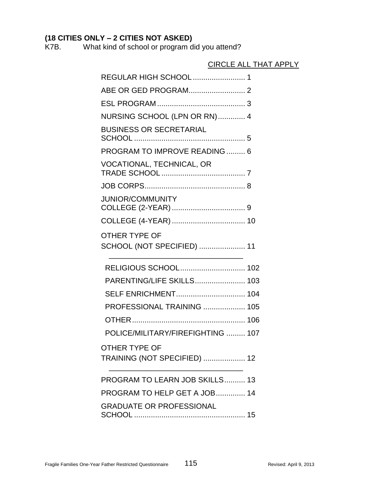K7B. What kind of school or program did you attend?

# CIRCLE ALL THAT APPLY REGULAR HIGH SCHOOL ......................... 1 ABE OR GED PROGRAM........................... 2 ESL PROGRAM .......................................... 3 NURSING SCHOOL (LPN OR RN)............. 4 BUSINESS OR SECRETARIAL SCHOOL ..................................................... 5 PROGRAM TO IMPROVE READING ......... 6 VOCATIONAL, TECHNICAL, OR TRADE SCHOOL ........................................ 7 JOB CORPS................................................ 8 JUNIOR/COMMUNITY COLLEGE (2-YEAR) ................................... 9 COLLEGE (4-YEAR) ................................... 10 OTHER TYPE OF SCHOOL (NOT SPECIFIED) ...................... 11 \_\_\_\_\_\_\_\_\_\_\_\_\_\_\_\_\_\_\_\_\_\_\_\_\_\_\_\_\_\_\_\_ RELIGIOUS SCHOOL............................... 102 PARENTING/LIFE SKILLS........................ 103 SELF ENRICHMENT................................. 104 PROFESSIONAL TRAINING .................... 105 OTHER...................................................... 106 POLICE/MILITARY/FIREFIGHTING ......... 107 OTHER TYPE OF TRAINING (NOT SPECIFIED) .................... 12 \_\_\_\_\_\_\_\_\_\_\_\_\_\_\_\_\_\_\_\_\_\_\_\_\_\_\_\_\_\_\_\_ PROGRAM TO LEARN JOB SKILLS.......... 13 PROGRAM TO HELP GET A JOB.............. 14

GRADUATE OR PROFESSIONAL SCHOOL ..................................................... 15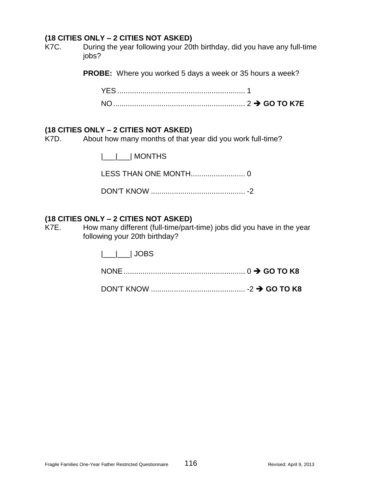K7C. During the year following your 20th birthday, did you have any full-time jobs?

**PROBE:** Where you worked 5 days a week or 35 hours a week?

#### **(18 CITIES ONLY – 2 CITIES NOT ASKED)**

K7D. About how many months of that year did you work full-time?

|\_\_\_|\_\_\_| MONTHS

LESS THAN ONE MONTH.......................... 0

DON'T KNOW ............................................. -2

### **(18 CITIES ONLY – 2 CITIES NOT ASKED)**

K7E. How many different (full-time/part-time) jobs did you have in the year following your 20th birthday?

|\_\_\_|\_\_\_| JOBS

|--|--|--|--|--|

|--|--|--|--|--|--|--|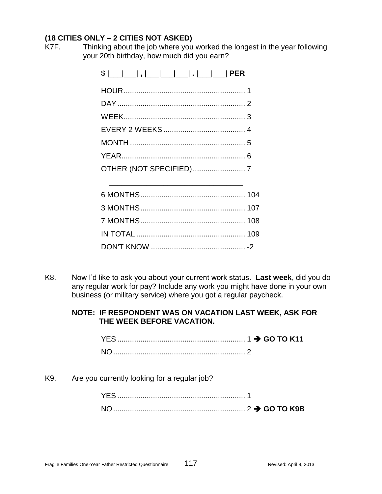K7F. Thinking about the job where you worked the longest in the year following your 20th birthday, how much did you earn?

| $\frac{1}{2}$ $\frac{1}{2}$ $\frac{1}{2}$ $\frac{1}{2}$ $\frac{1}{2}$ $\frac{1}{2}$ $\frac{1}{2}$ $\frac{1}{2}$ $\frac{1}{2}$ $\frac{1}{2}$ $\frac{1}{2}$ $\frac{1}{2}$ $\frac{1}{2}$ $\frac{1}{2}$ $\frac{1}{2}$ $\frac{1}{2}$ $\frac{1}{2}$ $\frac{1}{2}$ $\frac{1}{2}$ $\frac{1}{2}$ $\frac{1}{2}$ $\frac{1}{2}$ |
|---------------------------------------------------------------------------------------------------------------------------------------------------------------------------------------------------------------------------------------------------------------------------------------------------------------------|
|                                                                                                                                                                                                                                                                                                                     |
|                                                                                                                                                                                                                                                                                                                     |
|                                                                                                                                                                                                                                                                                                                     |
|                                                                                                                                                                                                                                                                                                                     |
|                                                                                                                                                                                                                                                                                                                     |
|                                                                                                                                                                                                                                                                                                                     |
|                                                                                                                                                                                                                                                                                                                     |

\_\_\_\_\_\_\_\_\_\_\_\_\_\_\_\_\_\_\_\_\_\_\_\_\_\_\_\_\_\_\_\_

K8. Now I'd like to ask you about your current work status. **Last week**, did you do any regular work for pay? Include any work you might have done in your own business (or military service) where you got a regular paycheck.

# **NOTE: IF RESPONDENT WAS ON VACATION LAST WEEK, ASK FOR THE WEEK BEFORE VACATION.**

| <b>NO</b> |  |
|-----------|--|

K9. Are you currently looking for a regular job?

| <b>YES</b> |  |  |
|------------|--|--|
| $N \cap$   |  |  |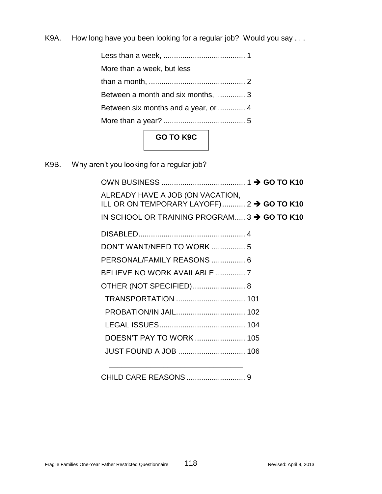K9A. How long have you been looking for a regular job? Would you say ...

Less than a week, ....................................... 1 More than a week, but less than a month, .............................................. 2 Between a month and six months, ............. 3 Between six months and a year, or ............. 4 More than a year? ....................................... 5 **GO TO K9C**

K9B. Why aren't you looking for a regular job?

| ALREADY HAVE A JOB (ON VACATION,<br>ILL OR ON TEMPORARY LAYOFF) 2 → GO TO K10 |  |  |
|-------------------------------------------------------------------------------|--|--|
| IN SCHOOL OR TRAINING PROGRAM 3 $\rightarrow$ GO TO K10                       |  |  |
|                                                                               |  |  |
| DON'T WANT/NEED TO WORK  5                                                    |  |  |
| PERSONAL/FAMILY REASONS  6                                                    |  |  |
| BELIEVE NO WORK AVAILABLE  7                                                  |  |  |
| OTHER (NOT SPECIFIED) 8                                                       |  |  |
|                                                                               |  |  |
|                                                                               |  |  |
|                                                                               |  |  |
| DOESN'T PAY TO WORK  105                                                      |  |  |
| <b>JUST FOUND A JOB  106</b>                                                  |  |  |
|                                                                               |  |  |

\_\_\_\_\_\_\_\_\_\_\_\_\_\_\_\_\_\_\_\_\_\_\_\_\_\_\_\_\_\_\_\_ CHILD CARE REASONS ............................ 9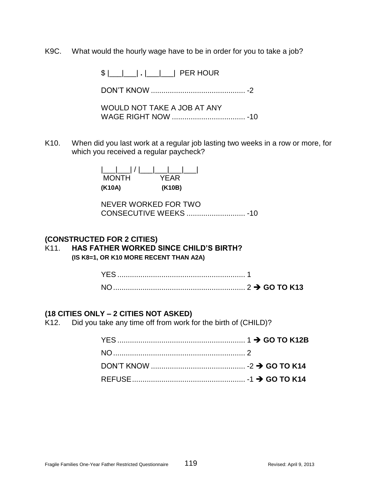K9C. What would the hourly wage have to be in order for you to take a job?

\$ |\_\_\_|\_\_\_| **.** |\_\_\_|\_\_\_| PER HOUR

DON'T KNOW ............................................. -2

WOULD NOT TAKE A JOB AT ANY WAGE RIGHT NOW ................................... -10

K10. When did you last work at a regular job lasting two weeks in a row or more, for which you received a regular paycheck?

> |\_\_\_|\_\_\_| / |\_\_\_|\_\_\_|\_\_\_|\_\_\_| MONTH YEAR **(K10A) (K10B)**

NEVER WORKED FOR TWO CONSECUTIVE WEEKS ............................ -10

#### **(CONSTRUCTED FOR 2 CITIES)**

# K11. **HAS FATHER WORKED SINCE CHILD'S BIRTH?**

**(IS K8=1, OR K10 MORE RECENT THAN A2A)**

#### **(18 CITIES ONLY – 2 CITIES NOT ASKED)**

K12. Did you take any time off from work for the birth of (CHILD)?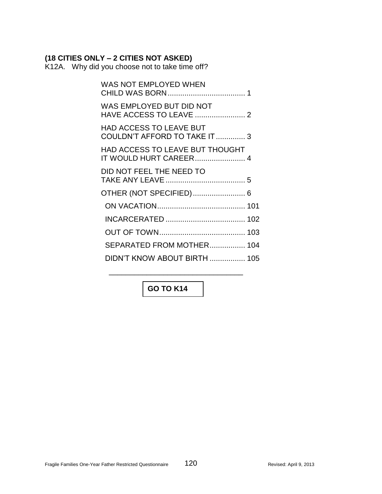K12A. Why did you choose not to take time off?

| WAS NOT EMPLOYED WHEN                                            |  |
|------------------------------------------------------------------|--|
| WAS EMPLOYED BUT DID NOT<br>HAVE ACCESS TO LEAVE  2              |  |
| <b>HAD ACCESS TO LEAVE BUT</b><br>COULDN'T AFFORD TO TAKE IT  3  |  |
| <b>HAD ACCESS TO LEAVE BUT THOUGHT</b><br>IT WOULD HURT CAREER 4 |  |
| DID NOT FEEL THE NEED TO                                         |  |
| OTHER (NOT SPECIFIED) 6                                          |  |
|                                                                  |  |
|                                                                  |  |
|                                                                  |  |
| SEPARATED FROM MOTHER 104                                        |  |
| DIDN'T KNOW ABOUT BIRTH  105                                     |  |

# **GO TO K14**

\_\_\_\_\_\_\_\_\_\_\_\_\_\_\_\_\_\_\_\_\_\_\_\_\_\_\_\_\_\_\_\_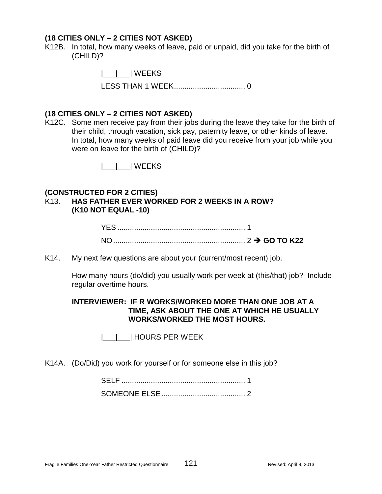K12B. In total, how many weeks of leave, paid or unpaid, did you take for the birth of (CHILD)?

> |\_\_\_|\_\_\_| WEEKS LESS THAN 1 WEEK.................................. 0

#### **(18 CITIES ONLY – 2 CITIES NOT ASKED)**

K12C. Some men receive pay from their jobs during the leave they take for the birth of their child, through vacation, sick pay, paternity leave, or other kinds of leave. In total, how many weeks of paid leave did you receive from your job while you were on leave for the birth of (CHILD)?

|\_\_\_|\_\_\_| WEEKS

#### **(CONSTRUCTED FOR 2 CITIES)**

### K13. **HAS FATHER EVER WORKED FOR 2 WEEKS IN A ROW? (K10 NOT EQUAL -10)**

K14. My next few questions are about your (current/most recent) job.

How many hours (do/did) you usually work per week at (this/that) job? Include regular overtime hours.

#### **INTERVIEWER: IF R WORKS/WORKED MORE THAN ONE JOB AT A TIME, ASK ABOUT THE ONE AT WHICH HE USUALLY WORKS/WORKED THE MOST HOURS.**

|\_\_\_|\_\_\_| HOURS PER WEEK

K14A. (Do/Did) you work for yourself or for someone else in this job?

| <b>SELE</b> |  |
|-------------|--|
|             |  |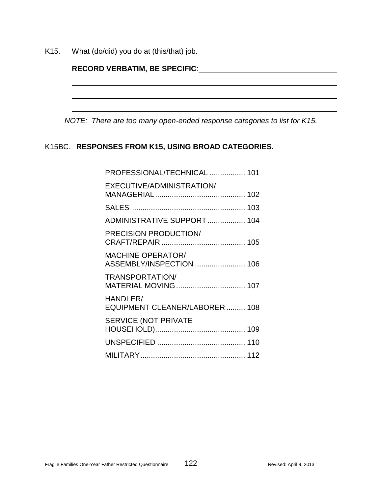K15. What (do/did) you do at (this/that) job.

| <b>RECORD VERBATIM, BE SPECIFIC:</b> |
|--------------------------------------|
|--------------------------------------|

*NOTE: There are too many open-ended response categories to list for K15.*

# K15BC. **RESPONSES FROM K15, USING BROAD CATEGORIES.**

| PROFESSIONAL/TECHNICAL  101                          |
|------------------------------------------------------|
| EXECUTIVE/ADMINISTRATION/                            |
|                                                      |
| ADMINISTRATIVE SUPPORT 104                           |
| <b>PRECISION PRODUCTION/</b>                         |
| <b>MACHINE OPERATOR/</b><br>ASSEMBLY/INSPECTION  106 |
| TRANSPORTATION/                                      |
| HANDLER/<br>EQUIPMENT CLEANER/LABORER 108            |
| <b>SERVICE (NOT PRIVATE</b>                          |
|                                                      |
|                                                      |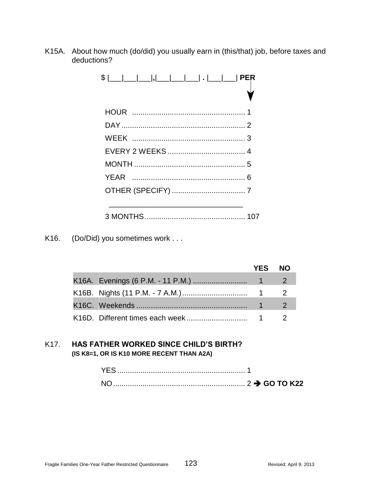K15A. About how much (do/did) you usually earn in (this/that) job, before taxes and deductions?

K16. (Do/Did) you sometimes work . . .

|  | <b>YES</b> | <b>NO</b> |
|--|------------|-----------|
|  |            |           |
|  |            |           |
|  |            |           |
|  |            |           |

# K17. **HAS FATHER WORKED SINCE CHILD'S BIRTH? (IS K8=1, OR IS K10 MORE RECENT THAN A2A)**

| NΟ |  |
|----|--|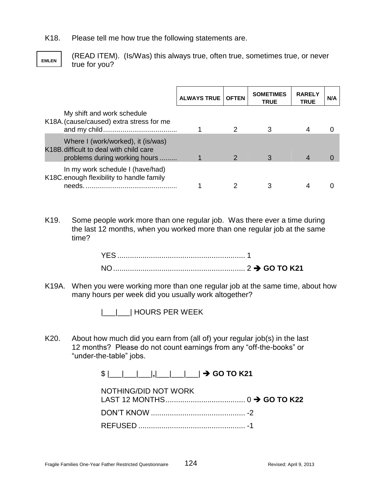K18. Please tell me how true the following statements are.



(READ ITEM). (Is/Was) this always true, often true, sometimes true, or never true for you?

|                                                                                                               | <b>ALWAYS TRUE</b> | <b>OFTEN</b> | <b>SOMETIMES</b><br><b>TRUE</b> | <b>RARELY</b><br><b>TRUE</b> | N/A |
|---------------------------------------------------------------------------------------------------------------|--------------------|--------------|---------------------------------|------------------------------|-----|
| My shift and work schedule<br>K18A. (cause/caused) extra stress for me                                        |                    |              |                                 |                              |     |
| Where I (work/worked), it (is/was)<br>K18B difficult to deal with child care<br>problems during working hours |                    |              |                                 |                              |     |
| In my work schedule I (have/had)<br>K18C.enough flexibility to handle family<br>needs.                        |                    |              |                                 |                              |     |

K19. Some people work more than one regular job. Was there ever a time during the last 12 months, when you worked more than one regular job at the same time?

K19A. When you were working more than one regular job at the same time, about how many hours per week did you usually work altogether?

|\_\_\_|\_\_\_| HOURS PER WEEK

K20. About how much did you earn from (all of) your regular job(s) in the last 12 months? Please do not count earnings from any "off-the-books" or "under-the-table" jobs.

|  |  |  |  |  |  |  |  |  |  |  | $\rightarrow$ GO TO K21 |
|--|--|--|--|--|--|--|--|--|--|--|-------------------------|
|--|--|--|--|--|--|--|--|--|--|--|-------------------------|

| NOTHING/DID NOT WORK |  |
|----------------------|--|
|                      |  |
|                      |  |
|                      |  |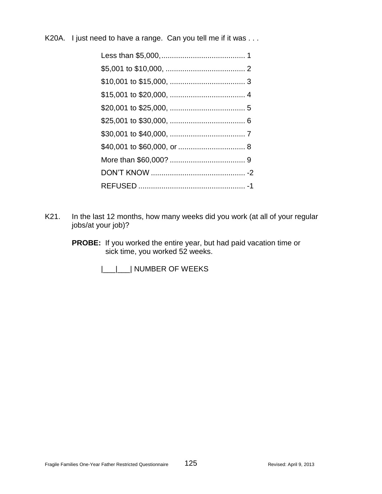K20A. I just need to have a range. Can you tell me if it was . . .

- K21. In the last 12 months, how many weeks did you work (at all of your regular jobs/at your job)?
	- **PROBE:** If you worked the entire year, but had paid vacation time or sick time, you worked 52 weeks.

|\_\_|\_\_| NUMBER OF WEEKS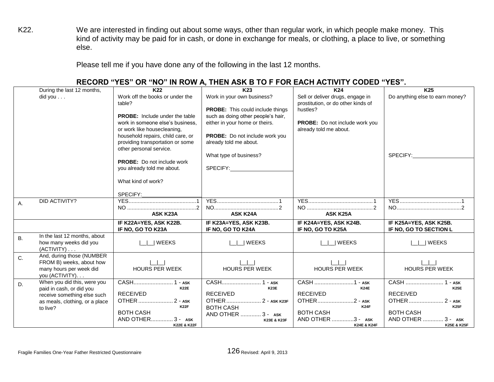K22. We are interested in finding out about some ways, other than regular work, in which people make money. This kind of activity may be paid for in cash, or done in exchange for meals, or clothing, a place to live, or something else.

Please tell me if you have done any of the following in the last 12 months.

|           |                                                         |                                       | .                                       |                                    |                                 |
|-----------|---------------------------------------------------------|---------------------------------------|-----------------------------------------|------------------------------------|---------------------------------|
|           | During the last 12 months,                              | K22                                   | K <sub>23</sub>                         | K24                                | K <sub>25</sub>                 |
|           | did you                                                 | Work off the books or under the       | Work in your own business?              | Sell or deliver drugs, engage in   | Do anything else to earn money? |
|           |                                                         | table?                                |                                         | prostitution, or do other kinds of |                                 |
|           |                                                         |                                       | <b>PROBE:</b> This could include things | hustles?                           |                                 |
|           |                                                         | <b>PROBE:</b> Include under the table | such as doing other people's hair,      |                                    |                                 |
|           |                                                         | work in someone else's business.      | either in your home or theirs.          | PROBE: Do not include work you     |                                 |
|           |                                                         | or work like housecleaning,           |                                         | already told me about.             |                                 |
|           |                                                         | household repairs, child care, or     | PROBE: Do not include work you          |                                    |                                 |
|           |                                                         | providing transportation or some      | already told me about.                  |                                    |                                 |
|           |                                                         | other personal service.               |                                         |                                    |                                 |
|           |                                                         | <b>PROBE:</b> Do not include work     | What type of business?                  |                                    | SPECIFY:                        |
|           |                                                         |                                       | SPECIFY: SPECIFY:                       |                                    |                                 |
|           |                                                         | you already told me about.            |                                         |                                    |                                 |
|           |                                                         | What kind of work?                    |                                         |                                    |                                 |
|           |                                                         |                                       |                                         |                                    |                                 |
|           |                                                         | SPECIFY:                              |                                         |                                    |                                 |
| Α.        | DID ACTIVITY?                                           |                                       |                                         |                                    |                                 |
|           |                                                         |                                       |                                         |                                    |                                 |
|           |                                                         | ASK K23A                              | <b>ASK K24A</b>                         | <b>ASK K25A</b>                    |                                 |
|           |                                                         | IF K22A=YES, ASK K22B.                | IF K23A=YES, ASK K23B.                  | IF K24A=YES, ASK K24B.             | IF K25A=YES, ASK K25B.          |
|           |                                                         | IF NO, GO TO K23A                     | IF NO, GO TO K24A                       | IF NO, GO TO K25A                  | IF NO, GO TO SECTION L          |
| <b>B.</b> | In the last 12 months, about                            |                                       |                                         |                                    |                                 |
|           | how many weeks did you                                  | WEEKS                                 | WEEKS                                   | <b>WEEKS</b>                       | WEEKS                           |
|           | (ACTIVITY)                                              |                                       |                                         |                                    |                                 |
| C.        | And, during those (NUMBER                               |                                       |                                         |                                    |                                 |
|           | FROM B) weeks, about how                                |                                       |                                         |                                    |                                 |
|           | many hours per week did                                 | <b>HOURS PER WEEK</b>                 | <b>HOURS PER WEEK</b>                   | HOURS PER WEEK                     | <b>HOURS PER WEEK</b>           |
|           | you (ACTIVITY).                                         |                                       |                                         |                                    |                                 |
| D.        | When you did this, were you<br>paid in cash, or did you | CASH 1 - ASK<br><b>K22E</b>           | CASH 1 - ASK<br><b>K23E</b>             | CASH 1 - ASK<br><b>K24E</b>        | CASH  1 - ASK<br><b>K25E</b>    |
|           | receive something else such                             | <b>RECEIVED</b>                       | <b>RECEIVED</b>                         | <b>RECEIVED</b>                    | <b>RECEIVED</b>                 |
|           | as meals, clothing, or a place                          | OTHER  2 - ASK                        | OTHER  2 - ASK K23F                     | ОТНЕR2 - ASK                       | OTHER  2 - ASK                  |
|           | to live?                                                | <b>K22F</b>                           | <b>BOTH CASH</b>                        | <b>K24F</b>                        | <b>K25F</b>                     |
|           |                                                         | <b>BOTH CASH</b>                      | AND OTHER  3 - ASK                      | <b>BOTH CASH</b>                   | <b>BOTH CASH</b>                |
|           |                                                         | AND OTHER  3 - ASK                    | K23E & K23F                             | AND OTHER 3 - ASK                  | AND OTHER  3 - ASK              |
|           |                                                         | K22E & K22F                           |                                         | K24E & K24F                        | K25E & K25F                     |

#### **RECORD "YES" OR "NO" IN ROW A, THEN ASK B TO F FOR EACH ACTIVITY CODED "YES".**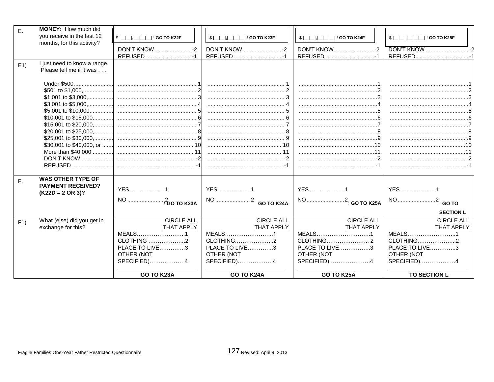| Ε. | MONEY: How much did                                      |                                         |                                       |                                         |                                |
|----|----------------------------------------------------------|-----------------------------------------|---------------------------------------|-----------------------------------------|--------------------------------|
|    | you receive in the last 12<br>months, for this activity? | \$                           GO TO K22F | $$ \Box \Box$  ,  $\Box$   GO TO K23F | $$$ $\Box$ , $\Box$ $\Box$ : GO TO K24F | \$  _ _ , __ _ _  ! GO TO K25F |
|    |                                                          | DON'T KNOW -2                           | DON'T KNOW 2                          | DON'T KNOW -2                           |                                |
|    |                                                          | REFUSED 1                               |                                       |                                         |                                |
| E1 | I just need to know a range.<br>Please tell me if it was |                                         |                                       |                                         |                                |
|    |                                                          |                                         |                                       |                                         |                                |
|    |                                                          |                                         |                                       |                                         |                                |
|    |                                                          |                                         |                                       |                                         |                                |
|    |                                                          |                                         |                                       |                                         |                                |
|    |                                                          |                                         |                                       |                                         |                                |
|    |                                                          |                                         |                                       |                                         |                                |
|    |                                                          |                                         |                                       |                                         |                                |
|    |                                                          |                                         |                                       |                                         |                                |
|    |                                                          |                                         |                                       |                                         |                                |
|    |                                                          |                                         |                                       |                                         |                                |
|    |                                                          |                                         |                                       |                                         |                                |
|    |                                                          |                                         |                                       |                                         |                                |
|    |                                                          |                                         |                                       |                                         |                                |
|    |                                                          |                                         |                                       |                                         |                                |
| F. | <b>WAS OTHER TYPE OF</b>                                 |                                         |                                       |                                         |                                |
|    | <b>PAYMENT RECEIVED?</b>                                 | <b>YES</b> 1                            |                                       |                                         |                                |
|    | $(K22D = 2 \text{ OR } 3)?$                              |                                         | <b>YES</b> 1                          | YES 1                                   | <b>YES</b> 1                   |
|    |                                                          | NO <sup>2</sup> GO TO K23A              |                                       | NO 2 <sub>!</sub> GO TO K25A            | NO 2 <sub>!</sub> GO TO        |
|    |                                                          |                                         |                                       |                                         | <b>SECTION L</b>               |
| F1 | What (else) did you get in                               | <b>CIRCLE ALL</b>                       | <b>CIRCLE ALL</b>                     | <b>CIRCLE ALL</b>                       | <b>CIRCLE ALL</b>              |
|    | exchange for this?                                       | <b>THAT APPLY</b>                       | <b>THAT APPLY</b>                     | <b>THAT APPLY</b>                       | <b>THAT APPLY</b>              |
|    |                                                          | MEALS1                                  | MEALS1                                | MEALS1                                  | MEALS1                         |
|    |                                                          | CLOTHING 2                              | CLOTHING2                             |                                         | CLOTHING2                      |
|    |                                                          | <b>PLACE TO LIVE3</b>                   | <b>PLACE TO LIVE3</b>                 | PLACE TO LIVE3                          | <b>PLACE TO LIVE3</b>          |
|    |                                                          | OTHER (NOT                              | OTHER (NOT                            | OTHER (NOT                              | OTHER (NOT                     |
|    |                                                          | SPECIFIED) 4                            | SPECIFIED)4                           | SPECIFIED)4                             | SPECIFIED)4                    |
|    |                                                          | GO TO K23A                              | <b>GO TO K24A</b>                     | <b>GO TO K25A</b>                       | TO SECTION L                   |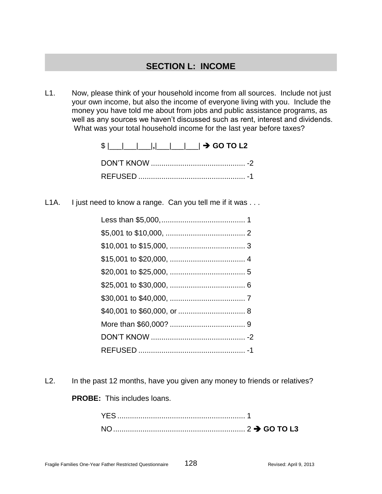# **SECTION L: INCOME**

L1. Now, please think of your household income from all sources. Include not just your own income, but also the income of everyone living with you. Include the money you have told me about from jobs and public assistance programs, as well as any sources we haven't discussed such as rent, interest and dividends. What was your total household income for the last year before taxes?

| $\frac{1}{2}$ $\frac{1}{2}$ $\frac{1}{2}$ $\frac{1}{2}$ $\frac{1}{2}$ $\frac{1}{2}$ $\frac{1}{2}$ GO TO L2 |  |
|------------------------------------------------------------------------------------------------------------|--|
|                                                                                                            |  |
|                                                                                                            |  |

L1A. I just need to know a range. Can you tell me if it was ...

L2. In the past 12 months, have you given any money to friends or relatives?

**PROBE:** This includes loans.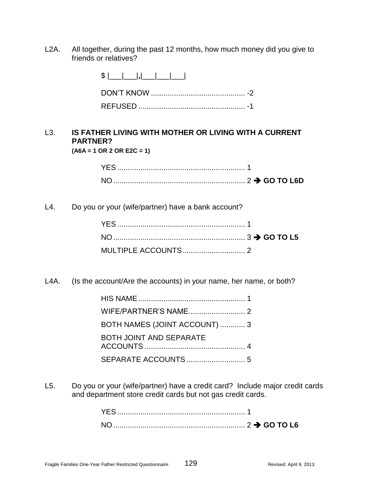L2A. All together, during the past 12 months, how much money did you give to friends or relatives?

| $$ $ $\Box$ $ $ $ $ $ $ $\Box$ $ $ $\Box$ $ $ $\Box$ $ $ |
|----------------------------------------------------------|
|                                                          |
|                                                          |

#### L3. **IS FATHER LIVING WITH MOTHER OR LIVING WITH A CURRENT PARTNER? (A6A = 1 OR 2 OR E2C = 1)**

| NO. |  |
|-----|--|

L4. Do you or your (wife/partner) have a bank account?

L4A. (Is the account/Are the accounts) in your name, her name, or both?

| BOTH NAMES (JOINT ACCOUNT)  3  |
|--------------------------------|
| <b>BOTH JOINT AND SEPARATE</b> |
|                                |

L5. Do you or your (wife/partner) have a credit card? Include major credit cards and department store credit cards but not gas credit cards.

| <b>YES</b> |  |
|------------|--|
| <b>NO</b>  |  |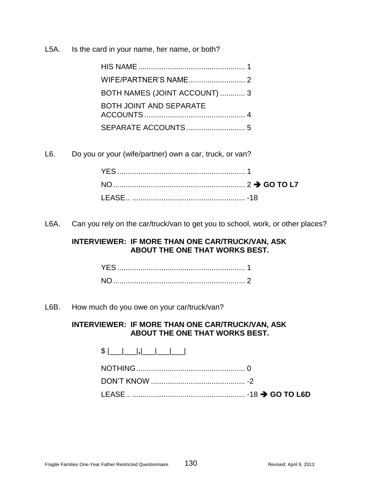L5A. Is the card in your name, her name, or both?

| BOTH NAMES (JOINT ACCOUNT)  3  |
|--------------------------------|
| <b>BOTH JOINT AND SEPARATE</b> |
|                                |

L6. Do you or your (wife/partner) own a car, truck, or van?

L6A. Can you rely on the car/truck/van to get you to school, work, or other places?

# **INTERVIEWER: IF MORE THAN ONE CAR/TRUCK/VAN, ASK ABOUT THE ONE THAT WORKS BEST.**

L6B. How much do you owe on your car/truck/van?

# **INTERVIEWER: IF MORE THAN ONE CAR/TRUCK/VAN, ASK ABOUT THE ONE THAT WORKS BEST.**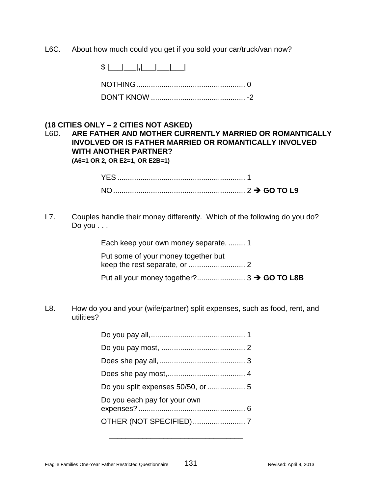L6C. About how much could you get if you sold your car/truck/van now?

\$ |\_\_\_|\_\_\_|**,**|\_\_\_|\_\_\_|\_\_\_|

# **(18 CITIES ONLY – 2 CITIES NOT ASKED)**

# L6D. **ARE FATHER AND MOTHER CURRENTLY MARRIED OR ROMANTICALLY INVOLVED OR IS FATHER MARRIED OR ROMANTICALLY INVOLVED WITH ANOTHER PARTNER?**

**(A6=1 OR 2, OR E2=1, OR E2B=1)**

| YEڪ |  |  |
|-----|--|--|
| NΩ  |  |  |

L7. Couples handle their money differently. Which of the following do you do? Do you . . .

Each keep your own money separate, ........ 1

Put some of your money together but keep the rest separate, or ........................... 2

Put all your money together?....................... 3 **GO TO L8B**

L8. How do you and your (wife/partner) split expenses, such as food, rent, and utilities?

| Do you each pay for your own |
|------------------------------|
|                              |
|                              |

\_\_\_\_\_\_\_\_\_\_\_\_\_\_\_\_\_\_\_\_\_\_\_\_\_\_\_\_\_\_\_\_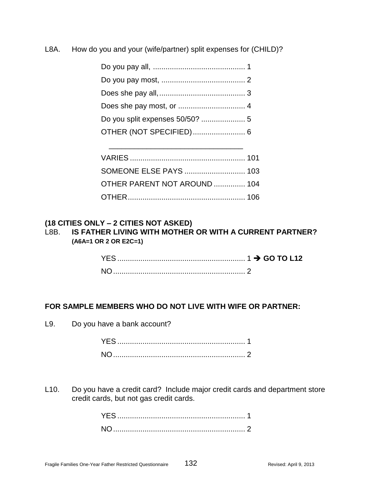L8A. How do you and your (wife/partner) split expenses for (CHILD)?

| OTHER PARENT NOT AROUND  104 |  |
|------------------------------|--|
|                              |  |

### **(18 CITIES ONLY – 2 CITIES NOT ASKED)**

L8B. **IS FATHER LIVING WITH MOTHER OR WITH A CURRENT PARTNER? (A6A=1 OR 2 OR E2C=1)**

| <b>NO</b> |  |
|-----------|--|

# **FOR SAMPLE MEMBERS WHO DO NOT LIVE WITH WIFE OR PARTNER:**

L9. Do you have a bank account?

L10. Do you have a credit card? Include major credit cards and department store credit cards, but not gas credit cards.